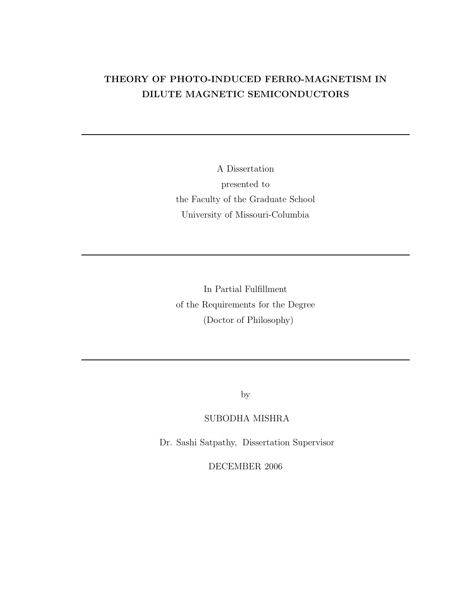## THEORY OF PHOTO-INDUCED FERRO-MAGNETISM IN DILUTE MAGNETIC SEMICONDUCTORS

A Dissertation presented to the Faculty of the Graduate School University of Missouri-Columbia

In Partial Fulfillment of the Requirements for the Degree (Doctor of Philosophy)

by

### SUBODHA MISHRA

Dr. Sashi Satpathy, Dissertation Supervisor

DECEMBER 2006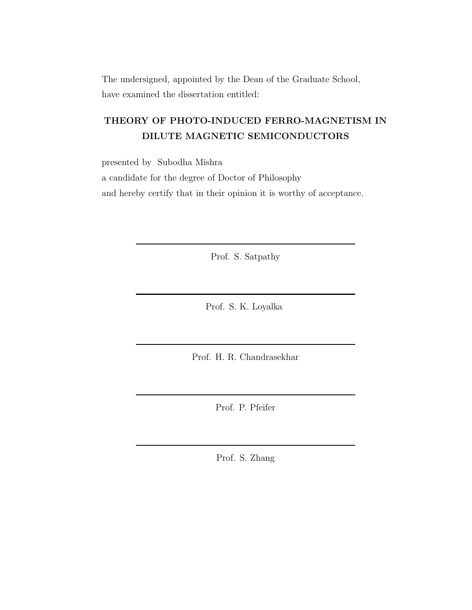The undersigned, appointed by the Dean of the Graduate School, have examined the dissertation entitled:

## THEORY OF PHOTO-INDUCED FERRO-MAGNETISM IN DILUTE MAGNETIC SEMICONDUCTORS

presented by Subodha Mishra a candidate for the degree of Doctor of Philosophy and hereby certify that in their opinion it is worthy of acceptance.

Prof. S. Satpathy

Prof. S. K. Loyalka

Prof. H. R. Chandrasekhar

Prof. P. Pfeifer

Prof. S. Zhang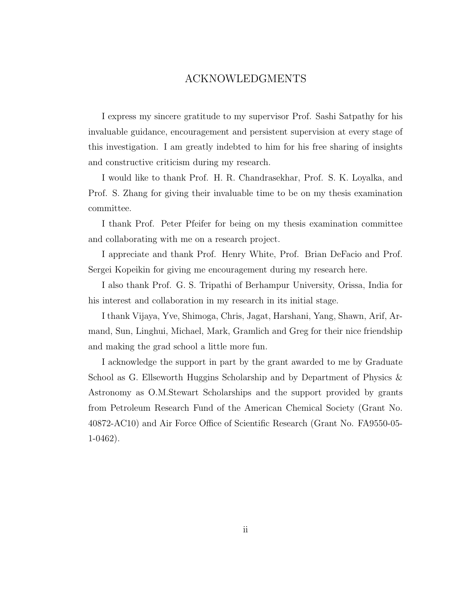### ACKNOWLEDGMENTS

I express my sincere gratitude to my supervisor Prof. Sashi Satpathy for his invaluable guidance, encouragement and persistent supervision at every stage of this investigation. I am greatly indebted to him for his free sharing of insights and constructive criticism during my research.

I would like to thank Prof. H. R. Chandrasekhar, Prof. S. K. Loyalka, and Prof. S. Zhang for giving their invaluable time to be on my thesis examination committee.

I thank Prof. Peter Pfeifer for being on my thesis examination committee and collaborating with me on a research project.

I appreciate and thank Prof. Henry White, Prof. Brian DeFacio and Prof. Sergei Kopeikin for giving me encouragement during my research here.

I also thank Prof. G. S. Tripathi of Berhampur University, Orissa, India for his interest and collaboration in my research in its initial stage.

I thank Vijaya, Yve, Shimoga, Chris, Jagat, Harshani, Yang, Shawn, Arif, Armand, Sun, Linghui, Michael, Mark, Gramlich and Greg for their nice friendship and making the grad school a little more fun.

I acknowledge the support in part by the grant awarded to me by Graduate School as G. Ellseworth Huggins Scholarship and by Department of Physics & Astronomy as O.M.Stewart Scholarships and the support provided by grants from Petroleum Research Fund of the American Chemical Society (Grant No. 40872-AC10) and Air Force Office of Scientific Research (Grant No. FA9550-05- 1-0462).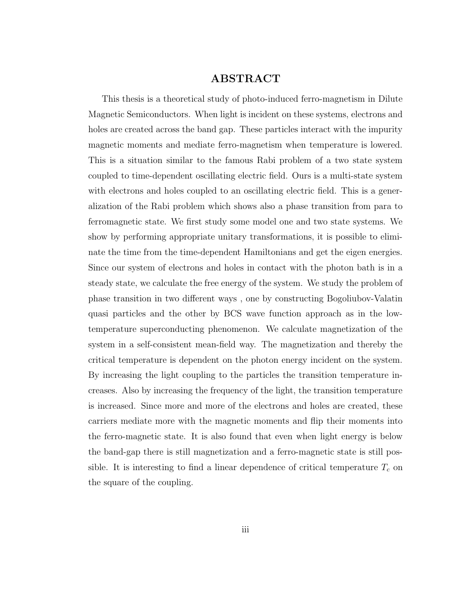### ABSTRACT

This thesis is a theoretical study of photo-induced ferro-magnetism in Dilute Magnetic Semiconductors. When light is incident on these systems, electrons and holes are created across the band gap. These particles interact with the impurity magnetic moments and mediate ferro-magnetism when temperature is lowered. This is a situation similar to the famous Rabi problem of a two state system coupled to time-dependent oscillating electric field. Ours is a multi-state system with electrons and holes coupled to an oscillating electric field. This is a generalization of the Rabi problem which shows also a phase transition from para to ferromagnetic state. We first study some model one and two state systems. We show by performing appropriate unitary transformations, it is possible to eliminate the time from the time-dependent Hamiltonians and get the eigen energies. Since our system of electrons and holes in contact with the photon bath is in a steady state, we calculate the free energy of the system. We study the problem of phase transition in two different ways , one by constructing Bogoliubov-Valatin quasi particles and the other by BCS wave function approach as in the lowtemperature superconducting phenomenon. We calculate magnetization of the system in a self-consistent mean-field way. The magnetization and thereby the critical temperature is dependent on the photon energy incident on the system. By increasing the light coupling to the particles the transition temperature increases. Also by increasing the frequency of the light, the transition temperature is increased. Since more and more of the electrons and holes are created, these carriers mediate more with the magnetic moments and flip their moments into the ferro-magnetic state. It is also found that even when light energy is below the band-gap there is still magnetization and a ferro-magnetic state is still possible. It is interesting to find a linear dependence of critical temperature  $T_c$  on the square of the coupling.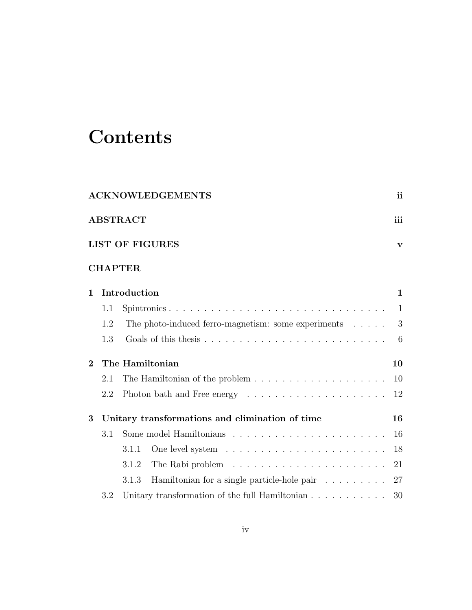# **Contents**

|                |                                        | <b>ACKNOWLEDGEMENTS</b>                                               | ii |  |  |  |  |
|----------------|----------------------------------------|-----------------------------------------------------------------------|----|--|--|--|--|
|                | <b>ABSTRACT</b><br>iii                 |                                                                       |    |  |  |  |  |
|                | <b>LIST OF FIGURES</b><br>$\mathbf{v}$ |                                                                       |    |  |  |  |  |
|                |                                        | <b>CHAPTER</b>                                                        |    |  |  |  |  |
| $\mathbf{1}$   |                                        | Introduction                                                          | 1  |  |  |  |  |
|                | 1.1                                    | Spintronics                                                           | 1  |  |  |  |  |
|                | 1.2                                    | The photo-induced ferro-magnetism: some experiments $\dots$ .         | 3  |  |  |  |  |
|                | 1.3                                    |                                                                       | 6  |  |  |  |  |
| $\overline{2}$ |                                        | The Hamiltonian                                                       | 10 |  |  |  |  |
|                | 2.1                                    |                                                                       | 10 |  |  |  |  |
|                | 2.2                                    |                                                                       | 12 |  |  |  |  |
| 3              |                                        | Unitary transformations and elimination of time                       | 16 |  |  |  |  |
|                | 3.1                                    |                                                                       | 16 |  |  |  |  |
|                |                                        | 3.1.1                                                                 | 18 |  |  |  |  |
|                |                                        | 3.1.2                                                                 | 21 |  |  |  |  |
|                |                                        | 3.1.3<br>Hamiltonian for a single particle-hole pair                  | 27 |  |  |  |  |
|                | 3.2                                    | Unitary transformation of the full Hamiltonian $\ldots \ldots \ldots$ | 30 |  |  |  |  |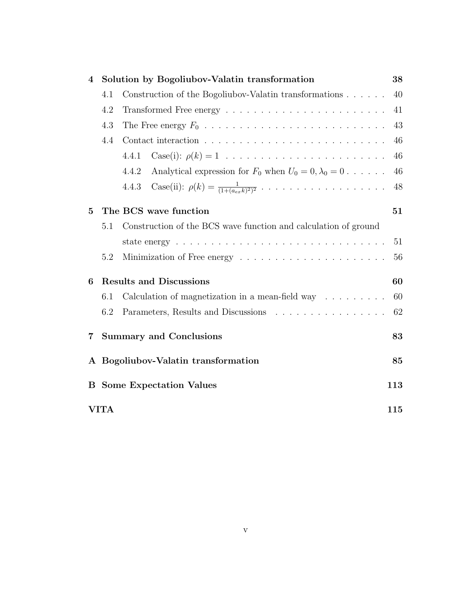| $\boldsymbol{4}$ |      | Solution by Bogoliubov-Valatin transformation                                                                | 38  |
|------------------|------|--------------------------------------------------------------------------------------------------------------|-----|
|                  | 4.1  | Construction of the Bogoliubov-Valatin transformations                                                       | 40  |
|                  | 4.2  | Transformed Free energy $\ldots \ldots \ldots \ldots \ldots \ldots \ldots \ldots \ldots$                     | 41  |
|                  | 4.3  |                                                                                                              | 43  |
|                  | 4.4  |                                                                                                              | 46  |
|                  |      | 4.4.1                                                                                                        | 46  |
|                  |      | Analytical expression for $F_0$ when $U_0 = 0, \lambda_0 = 0$<br>4.4.2                                       | 46  |
|                  |      | Case(ii): $\rho(k) = \frac{1}{(1 + (a_{ex}k)^2)^2} \dots \dots \dots \dots \dots \dots \dots \dots$<br>4.4.3 | 48  |
| 5                |      | The BCS wave function                                                                                        | 51  |
|                  | 5.1  | Construction of the BCS wave function and calculation of ground                                              |     |
|                  |      |                                                                                                              | 51  |
|                  | 5.2  |                                                                                                              | 56  |
| 6                |      | <b>Results and Discussions</b>                                                                               | 60  |
|                  | 6.1  | Calculation of magnetization in a mean-field way $\dots \dots \dots$                                         | 60  |
|                  | 6.2  | Parameters, Results and Discussions                                                                          | 62  |
| 7                |      | <b>Summary and Conclusions</b>                                                                               | 83  |
|                  |      | A Bogoliubov-Valatin transformation                                                                          | 85  |
| B                |      | <b>Some Expectation Values</b>                                                                               | 113 |
|                  | VITA |                                                                                                              | 115 |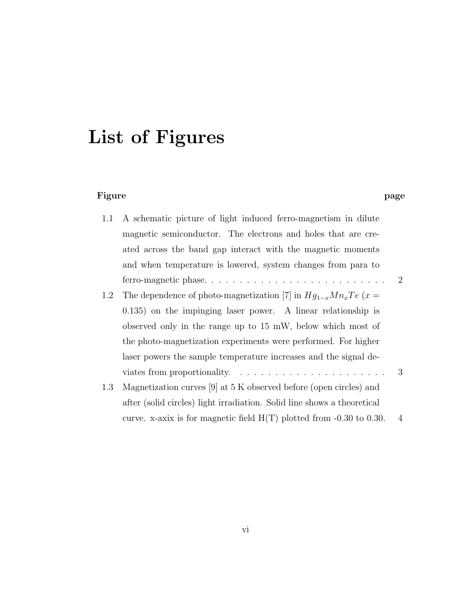# List of Figures

#### Figure page and the page of the page of the page of the page of the page of the page of the page of the page of the  $\mu$

| 1.1 | A schematic picture of light induced ferro-magnetism in dilute           |                |
|-----|--------------------------------------------------------------------------|----------------|
|     | magnetic semiconductor. The electrons and holes that are cre-            |                |
|     | ated across the band gap interact with the magnetic moments              |                |
|     | and when temperature is lowered, system changes from para to             |                |
|     | ferro-magnetic phase                                                     | $\overline{2}$ |
| 1.2 | The dependence of photo-magnetization [7] in $Hg_{1-x}Mn_xTe$ (x =       |                |
|     | $(0.135)$ on the impinging laser power. A linear relationship is         |                |
|     | observed only in the range up to 15 mW, below which most of              |                |
|     | the photo-magnetization experiments were performed. For higher           |                |
|     | laser powers the sample temperature increases and the signal de-         |                |
|     | viates from proportionality. $\dots \dots \dots \dots \dots \dots \dots$ | 3              |
| 1.3 | Magnetization curves [9] at $5 K$ observed before (open circles) and     |                |
|     | after (solid circles) light irradiation. Solid line shows a theoretical  |                |
|     | curve. x-axix is for magnetic field $H(T)$ plotted from -0.30 to 0.30.   | $\overline{4}$ |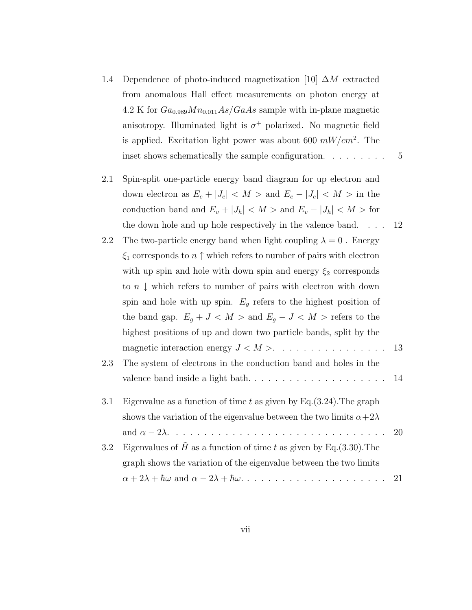- 1.4 Dependence of photo-induced magnetization [10]  $\Delta M$  extracted from anomalous Hall effect measurements on photon energy at 4.2 K for  $Ga_{0.989}Mn_{0.011}As/GaAs$  sample with in-plane magnetic anisotropy. Illuminated light is  $\sigma^+$  polarized. No magnetic field is applied. Excitation light power was about 600  $mW/cm^2$ . The inset shows schematically the sample configuration. . . . . . . . . . . 5
- 2.1 Spin-split one-particle energy band diagram for up electron and down electron as  $E_c + |J_e| < M >$  and  $E_c - |J_e| < M >$  in the conduction band and  $E_v + |J_h| < M$  > and  $E_v - |J_h| < M$  > for the down hole and up hole respectively in the valence band. . . . 12
- 2.2 The two-particle energy band when light coupling  $\lambda = 0$ . Energy  $\xi_1$  corresponds to  $n \uparrow$  which refers to number of pairs with electron with up spin and hole with down spin and energy  $\xi_2$  corresponds to  $n \downarrow$  which refers to number of pairs with electron with down spin and hole with up spin.  $E_g$  refers to the highest position of the band gap.  $E_g + J < M$  > and  $E_g - J < M$  > refers to the highest positions of up and down two particle bands, split by the magnetic interaction energy  $J < M >$ . . . . . . . . . . . . . . . . 13 2.3 The system of electrons in the conduction band and holes in the valence band inside a light bath............................. 14 3.1 Eigenvalue as a function of time t as given by Eq.  $(3.24)$ . The graph shows the variation of the eigenvalue between the two limits  $\alpha+2\lambda$ and α − 2λ. . . . . . . . . . . . . . . . . . . . . . . . . . . . . . . 20 3.2 Eigenvalues of  $\tilde{H}$  as a function of time t as given by Eq.(3.30). The graph shows the variation of the eigenvalue between the two limits α + 2λ + hω¯ and α − 2λ + hω¯ . . . . . . . . . . . . . . . . . . . . . 21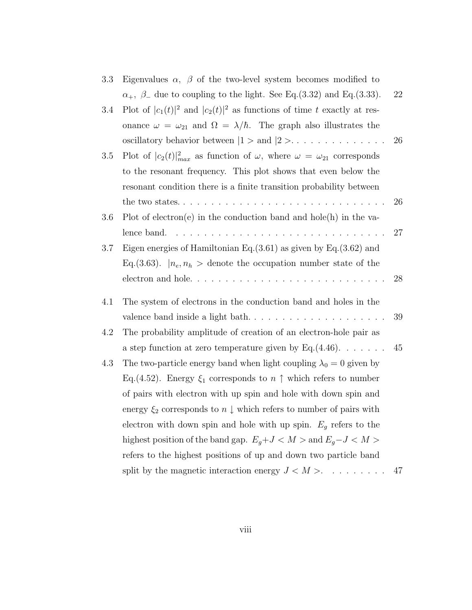| 3.3 | Eigenvalues $\alpha$ , $\beta$ of the two-level system becomes modified to                    |    |
|-----|-----------------------------------------------------------------------------------------------|----|
|     | $\alpha_+$ , $\beta_-$ due to coupling to the light. See Eq. (3.32) and Eq. (3.33).           | 22 |
| 3.4 | Plot of $ c_1(t) ^2$ and $ c_2(t) ^2$ as functions of time t exactly at res-                  |    |
|     | onance $\omega = \omega_{21}$ and $\Omega = \lambda/\hbar$ . The graph also illustrates the   |    |
|     | oscillatory behavior between $ 1 > \text{and }  2 > \ldots \ldots \ldots \ldots$              | 26 |
| 3.5 | Plot of $ c_2(t) _{max}^2$ as function of $\omega$ , where $\omega = \omega_{21}$ corresponds |    |
|     | to the resonant frequency. This plot shows that even below the                                |    |
|     | resonant condition there is a finite transition probability between                           |    |
|     | the two states. $\dots$ . $\dots$ . $\dots$ . $\dots$ . $\dots$ . $\dots$                     | 26 |
| 3.6 | Plot of electron(e) in the conduction band and hole(h) in the va-                             |    |
|     | lence band.                                                                                   | 27 |
| 3.7 | Eigen energies of Hamiltonian Eq. $(3.61)$ as given by Eq. $(3.62)$ and                       |    |
|     | Eq. (3.63). $ n_e, n_h\rangle$ denote the occupation number state of the                      |    |
|     | electron and hole                                                                             | 28 |
| 4.1 | The system of electrons in the conduction band and holes in the                               |    |
|     | valence band inside a light bath                                                              | 39 |
| 4.2 | The probability amplitude of creation of an electron-hole pair as                             |    |
|     | a step function at zero temperature given by Eq. $(4.46)$ .                                   | 45 |
| 4.3 | The two-particle energy band when light coupling $\lambda_0 = 0$ given by                     |    |
|     | Eq. (4.52). Energy $\xi_1$ corresponds to $n \uparrow$ which refers to number                 |    |
|     | of pairs with electron with up spin and hole with down spin and                               |    |
|     | energy $\xi_2$ corresponds to $n \downarrow$ which refers to number of pairs with             |    |
|     | electron with down spin and hole with up spin. $E_g$ refers to the                            |    |
|     | highest position of the band gap. $E_g + J < M >$ and $E_g - J < M >$                         |    |
|     | refers to the highest positions of up and down two particle band                              |    |
|     | split by the magnetic interaction energy $J < M >$                                            | 47 |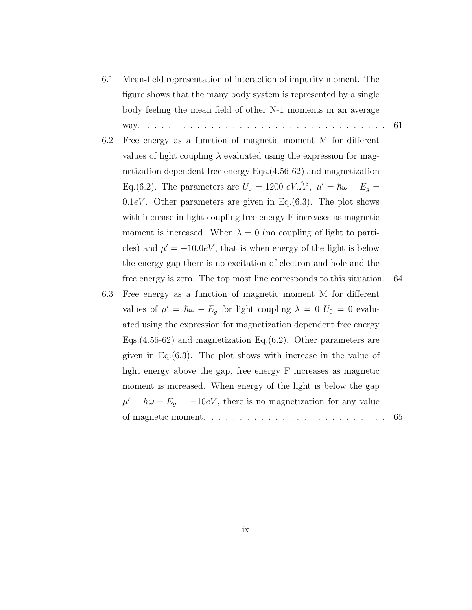- 6.1 Mean-field representation of interaction of impurity moment. The figure shows that the many body system is represented by a single body feeling the mean field of other N-1 moments in an average way. . . . . . . . . . . . . . . . . . . . . . . . . . . . . . . . . . . 61
- 6.2 Free energy as a function of magnetic moment M for different values of light coupling  $\lambda$  evaluated using the expression for magnetization dependent free energy Eqs.(4.56-62) and magnetization Eq.(6.2). The parameters are  $U_0 = 1200 \text{ eV} \cdot \AA^3$ ,  $\mu' = \hbar \omega - E_g =$  $0.1eV$ . Other parameters are given in Eq.(6.3). The plot shows with increase in light coupling free energy F increases as magnetic moment is increased. When  $\lambda = 0$  (no coupling of light to particles) and  $\mu' = -10.0eV$ , that is when energy of the light is below the energy gap there is no excitation of electron and hole and the free energy is zero. The top most line corresponds to this situation. 64
- 6.3 Free energy as a function of magnetic moment M for different values of  $\mu' = \hbar \omega - E_g$  for light coupling  $\lambda = 0$   $U_0 = 0$  evaluated using the expression for magnetization dependent free energy Eqs.(4.56-62) and magnetization Eq.(6.2). Other parameters are given in Eq.(6.3). The plot shows with increase in the value of light energy above the gap, free energy F increases as magnetic moment is increased. When energy of the light is below the gap  $\mu' = \hbar \omega - E_g = -10eV$ , there is no magnetization for any value of magnetic moment. . . . . . . . . . . . . . . . . . . . . . . . . . 65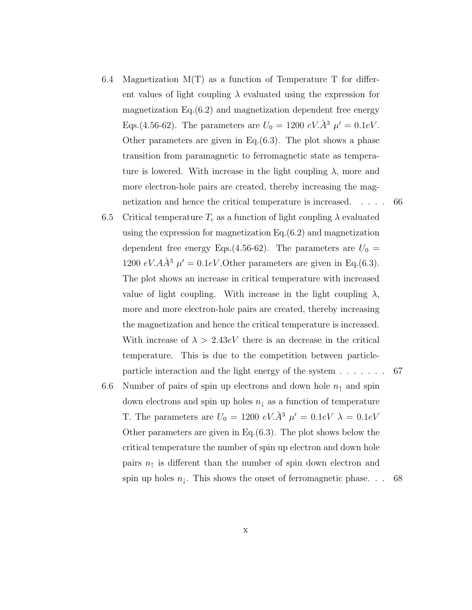- 6.4 Magnetization  $M(T)$  as a function of Temperature T for different values of light coupling  $\lambda$  evaluated using the expression for magnetization Eq.(6.2) and magnetization dependent free energy Eqs.(4.56-62). The parameters are  $U_0 = 1200 \ eV \AA^3 \ \mu' = 0.1 eV$ . Other parameters are given in Eq.(6.3). The plot shows a phase transition from paramagnetic to ferromagnetic state as temperature is lowered. With increase in the light coupling  $\lambda$ , more and more electron-hole pairs are created, thereby increasing the magnetization and hence the critical temperature is increased. . . . . 66
- 6.5 Critical temperature  $T_c$  as a function of light coupling  $\lambda$  evaluated using the expression for magnetization Eq.(6.2) and magnetization dependent free energy Eqs.(4.56-62). The parameters are  $U_0 =$ 1200 eV. $A\AA^3$   $\mu' = 0.1$ eV.Other parameters are given in Eq.(6.3). The plot shows an increase in critical temperature with increased value of light coupling. With increase in the light coupling  $\lambda$ , more and more electron-hole pairs are created, thereby increasing the magnetization and hence the critical temperature is increased. With increase of  $\lambda > 2.43eV$  there is an decrease in the critical temperature. This is due to the competition between particleparticle interaction and the light energy of the system . . . . . . . . 67
- 6.6 Number of pairs of spin up electrons and down hole  $n_1$  and spin down electrons and spin up holes  $n_{\downarrow}$  as a function of temperature T. The parameters are  $U_0 = 1200 \text{ eV} \cdot \AA^3 \mu' = 0.1 \text{ eV} \lambda = 0.1 \text{ eV}$ Other parameters are given in Eq.(6.3). The plot shows below the critical temperature the number of spin up electron and down hole pairs  $n<sub>1</sub>$  is different than the number of spin down electron and spin up holes  $n_{\perp}$ . This shows the onset of ferromagnetic phase... 68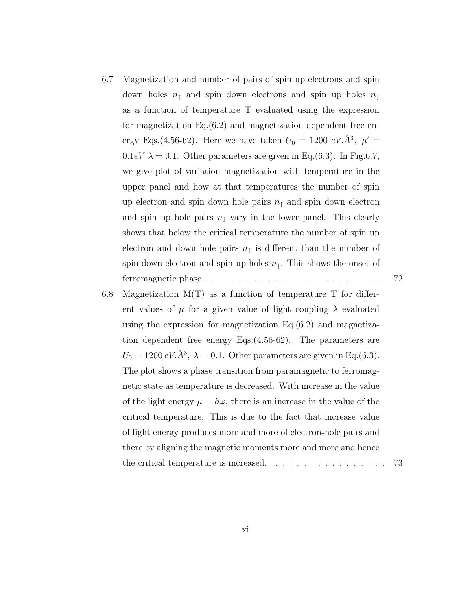- 6.7 Magnetization and number of pairs of spin up electrons and spin down holes  $n_{\uparrow}$  and spin down electrons and spin up holes  $n_{\downarrow}$ as a function of temperature T evaluated using the expression for magnetization Eq.(6.2) and magnetization dependent free energy Eqs.(4.56-62). Here we have taken  $U_0 = 1200 \ eV \hat{A}^3$ ,  $\mu' =$  $0.1eV \lambda = 0.1$ . Other parameters are given in Eq.(6.3). In Fig.6.7, we give plot of variation magnetization with temperature in the upper panel and how at that temperatures the number of spin up electron and spin down hole pairs  $n<sub>†</sub>$  and spin down electron and spin up hole pairs  $n_{\downarrow}$  vary in the lower panel. This clearly shows that below the critical temperature the number of spin up electron and down hole pairs  $n<sub>†</sub>$  is different than the number of spin down electron and spin up holes  $n_{\perp}$ . This shows the onset of ferromagnetic phase. . . . . . . . . . . . . . . . . . . . . . . . . . 72
- 6.8 Magnetization  $M(T)$  as a function of temperature T for different values of  $\mu$  for a given value of light coupling  $\lambda$  evaluated using the expression for magnetization Eq.(6.2) and magnetization dependent free energy Eqs.(4.56-62). The parameters are  $U_0 = 1200 \, eV \mathring{A}^3$ ,  $\lambda = 0.1$ . Other parameters are given in Eq.(6.3). The plot shows a phase transition from paramagnetic to ferromagnetic state as temperature is decreased. With increase in the value of the light energy  $\mu = \hbar \omega$ , there is an increase in the value of the critical temperature. This is due to the fact that increase value of light energy produces more and more of electron-hole pairs and there by aligning the magnetic moments more and more and hence the critical temperature is increased. . . . . . . . . . . . . . . . . 73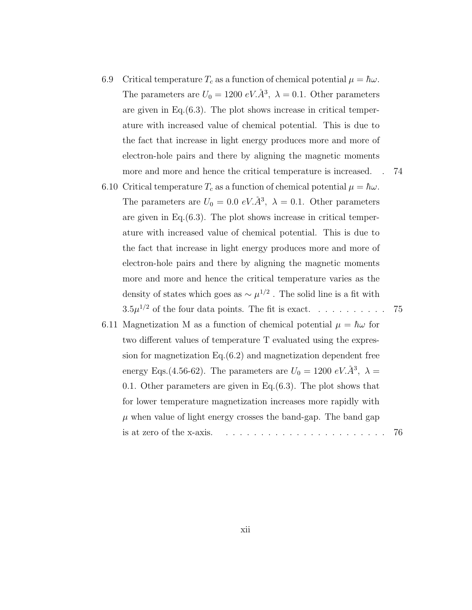- 6.9 Critical temperature  $T_c$  as a function of chemical potential  $\mu = \hbar \omega$ . The parameters are  $U_0 = 1200 \ eV \hat{A}^3$ ,  $\lambda = 0.1$ . Other parameters are given in Eq.(6.3). The plot shows increase in critical temperature with increased value of chemical potential. This is due to the fact that increase in light energy produces more and more of electron-hole pairs and there by aligning the magnetic moments more and more and hence the critical temperature is increased. . 74
- 6.10 Critical temperature  $T_c$  as a function of chemical potential  $\mu = \hbar \omega$ . The parameters are  $U_0 = 0.0 \, eV \hat{A}^3$ ,  $\lambda = 0.1$ . Other parameters are given in Eq.(6.3). The plot shows increase in critical temperature with increased value of chemical potential. This is due to the fact that increase in light energy produces more and more of electron-hole pairs and there by aligning the magnetic moments more and more and hence the critical temperature varies as the density of states which goes as  $\sim \mu^{1/2}$ . The solid line is a fit with  $3.5\mu^{1/2}$  of the four data points. The fit is exact. . . . . . . . . . . 75
- 6.11 Magnetization M as a function of chemical potential  $\mu = \hbar \omega$  for two different values of temperature T evaluated using the expression for magnetization Eq.(6.2) and magnetization dependent free energy Eqs.(4.56-62). The parameters are  $U_0 = 1200 \text{ eV} \cdot \AA^3$ ,  $\lambda =$ 0.1. Other parameters are given in Eq.(6.3). The plot shows that for lower temperature magnetization increases more rapidly with  $\mu$  when value of light energy crosses the band-gap. The band gap is at zero of the x-axis.  $\dots \dots \dots \dots \dots \dots \dots \dots \dots \dots \dots \dots \dots \dots \dots \dots \dots$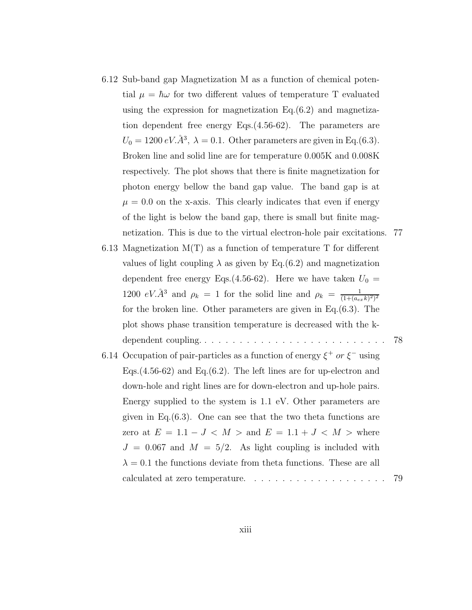- 6.12 Sub-band gap Magnetization M as a function of chemical potential  $\mu = \hbar \omega$  for two different values of temperature T evaluated using the expression for magnetization  $Eq.(6.2)$  and magnetization dependent free energy Eqs.(4.56-62). The parameters are  $U_0 = 1200 \, eV \mathring{A}^3$ ,  $\lambda = 0.1$ . Other parameters are given in Eq.(6.3). Broken line and solid line are for temperature 0.005K and 0.008K respectively. The plot shows that there is finite magnetization for photon energy bellow the band gap value. The band gap is at  $\mu = 0.0$  on the x-axis. This clearly indicates that even if energy of the light is below the band gap, there is small but finite magnetization. This is due to the virtual electron-hole pair excitations. 77
- 6.13 Magnetization  $M(T)$  as a function of temperature T for different values of light coupling  $\lambda$  as given by Eq.(6.2) and magnetization dependent free energy Eqs.(4.56-62). Here we have taken  $U_0 =$ 1200 eV. $A^3$  and  $\rho_k = 1$  for the solid line and  $\rho_k = \frac{1}{(1 + \rho_k)^2}$  $(1+(a_{ex}k)^2)^2$ for the broken line. Other parameters are given in Eq.(6.3). The plot shows phase transition temperature is decreased with the kdependent coupling. . . . . . . . . . . . . . . . . . . . . . . . . . . 78
- 6.14 Occupation of pair-particles as a function of energy  $\xi^+$  or  $\xi^-$  using Eqs.(4.56-62) and Eq.(6.2). The left lines are for up-electron and down-hole and right lines are for down-electron and up-hole pairs. Energy supplied to the system is 1.1 eV. Other parameters are given in Eq.(6.3). One can see that the two theta functions are zero at  $E = 1.1 - J < M >$  and  $E = 1.1 + J < M >$  where  $J = 0.067$  and  $M = 5/2$ . As light coupling is included with  $\lambda = 0.1$  the functions deviate from theta functions. These are all calculated at zero temperature. . . . . . . . . . . . . . . . . . . . 79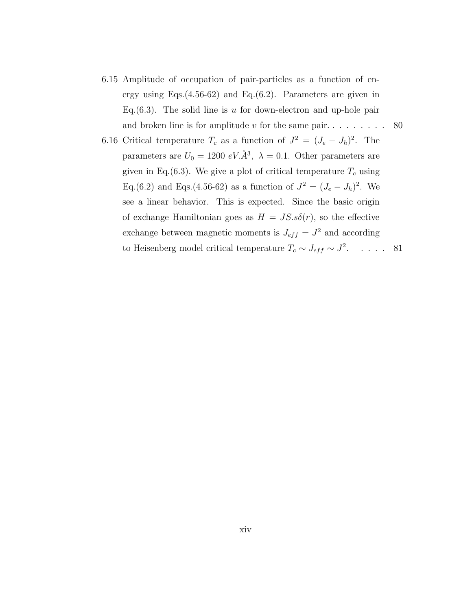- 6.15 Amplitude of occupation of pair-particles as a function of energy using Eqs.(4.56-62) and Eq.(6.2). Parameters are given in Eq.  $(6.3)$ . The solid line is u for down-electron and up-hole pair and broken line is for amplitude v for the same pair. . . . . . . . . 80
- 6.16 Critical temperature  $T_c$  as a function of  $J^2 = (J_e J_h)^2$ . The parameters are  $U_0 = 1200 \ eV \AA^3$ ,  $\lambda = 0.1$ . Other parameters are given in Eq.(6.3). We give a plot of critical temperature  $T_c$  using Eq.(6.2) and Eqs.(4.56-62) as a function of  $J^2 = (J_e - J_h)^2$ . We see a linear behavior. This is expected. Since the basic origin of exchange Hamiltonian goes as  $H = JS. s\delta(r)$ , so the effective exchange between magnetic moments is  $J_{eff} = J^2$  and according to Heisenberg model critical temperature  $T_c \sim J_{eff} \sim J^2$ . ... 81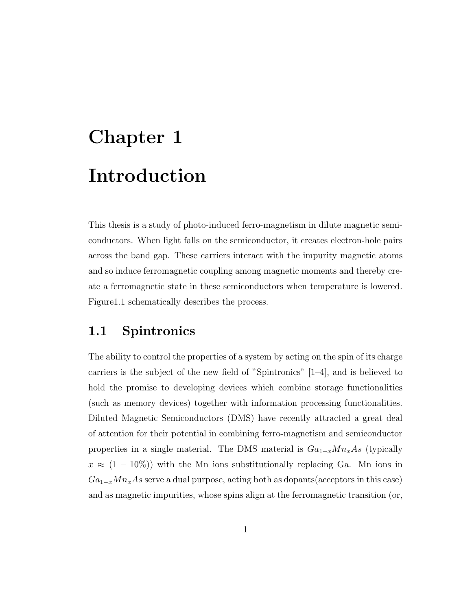# Chapter 1 Introduction

This thesis is a study of photo-induced ferro-magnetism in dilute magnetic semiconductors. When light falls on the semiconductor, it creates electron-hole pairs across the band gap. These carriers interact with the impurity magnetic atoms and so induce ferromagnetic coupling among magnetic moments and thereby create a ferromagnetic state in these semiconductors when temperature is lowered. Figure1.1 schematically describes the process.

## 1.1 Spintronics

The ability to control the properties of a system by acting on the spin of its charge carriers is the subject of the new field of "Spintronics" [1–4], and is believed to hold the promise to developing devices which combine storage functionalities (such as memory devices) together with information processing functionalities. Diluted Magnetic Semiconductors (DMS) have recently attracted a great deal of attention for their potential in combining ferro-magnetism and semiconductor properties in a single material. The DMS material is  $Ga_{1-x}Mn_xAs$  (typically  $x \approx (1 - 10\%)$  with the Mn ions substitutionally replacing Ga. Mn ions in  $Ga_{1-x}Mn_xAs$  serve a dual purpose, acting both as dopants(acceptors in this case) and as magnetic impurities, whose spins align at the ferromagnetic transition (or,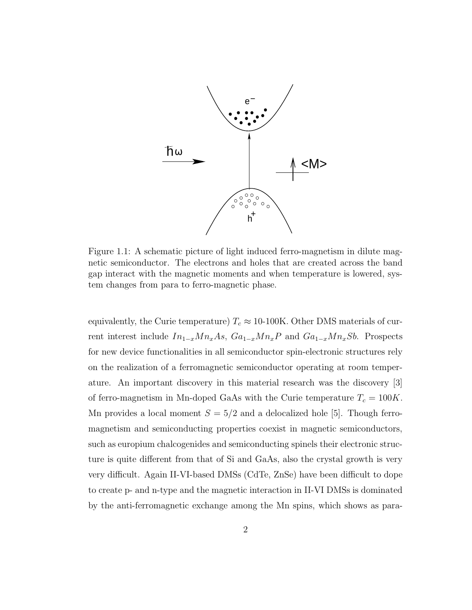

Figure 1.1: A schematic picture of light induced ferro-magnetism in dilute magnetic semiconductor. The electrons and holes that are created across the band gap interact with the magnetic moments and when temperature is lowered, system changes from para to ferro-magnetic phase.

equivalently, the Curie temperature)  $T_c \approx 10{\text -}100\text{K}$ . Other DMS materials of current interest include  $In_{1-x}Mn_xAs$ ,  $Ga_{1-x}Mn_xP$  and  $Ga_{1-x}Mn_xSb$ . Prospects for new device functionalities in all semiconductor spin-electronic structures rely on the realization of a ferromagnetic semiconductor operating at room temperature. An important discovery in this material research was the discovery [3] of ferro-magnetism in Mn-doped GaAs with the Curie temperature  $T_c = 100K$ . Mn provides a local moment  $S = 5/2$  and a delocalized hole [5]. Though ferromagnetism and semiconducting properties coexist in magnetic semiconductors, such as europium chalcogenides and semiconducting spinels their electronic structure is quite different from that of Si and GaAs, also the crystal growth is very very difficult. Again II-VI-based DMSs (CdTe, ZnSe) have been difficult to dope to create p- and n-type and the magnetic interaction in II-VI DMSs is dominated by the anti-ferromagnetic exchange among the Mn spins, which shows as para-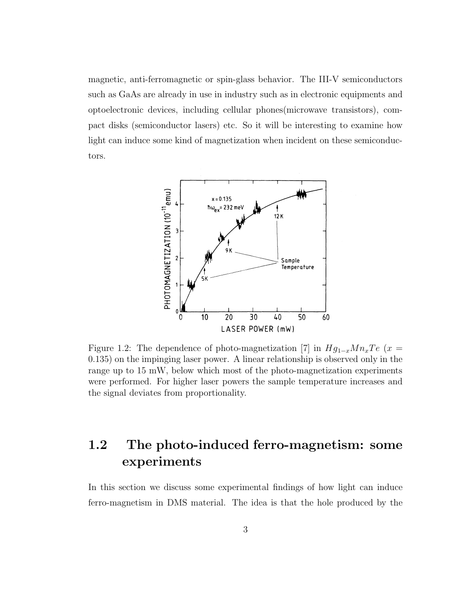magnetic, anti-ferromagnetic or spin-glass behavior. The III-V semiconductors such as GaAs are already in use in industry such as in electronic equipments and optoelectronic devices, including cellular phones(microwave transistors), compact disks (semiconductor lasers) etc. So it will be interesting to examine how light can induce some kind of magnetization when incident on these semiconductors.



Figure 1.2: The dependence of photo-magnetization [7] in  $Hg_{1-x}Mn_xTe$  (x = 0.135) on the impinging laser power. A linear relationship is observed only in the range up to 15 mW, below which most of the photo-magnetization experiments were performed. For higher laser powers the sample temperature increases and the signal deviates from proportionality.

## 1.2 The photo-induced ferro-magnetism: some experiments

In this section we discuss some experimental findings of how light can induce ferro-magnetism in DMS material. The idea is that the hole produced by the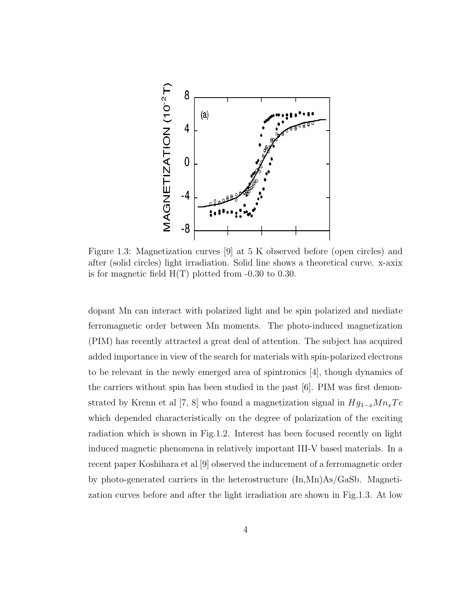

Figure 1.3: Magnetization curves [9] at 5 K observed before (open circles) and after (solid circles) light irradiation. Solid line shows a theoretical curve. x-axix is for magnetic field  $H(T)$  plotted from  $-0.30$  to 0.30.

dopant Mn can interact with polarized light and be spin polarized and mediate ferromagnetic order between Mn moments. The photo-induced magnetization (PIM) has recently attracted a great deal of attention. The subject has acquired added importance in view of the search for materials with spin-polarized electrons to be relevant in the newly emerged area of spintronics [4], though dynamics of the carriers without spin has been studied in the past [6]. PIM was first demonstrated by Krenn et al [7, 8] who found a magnetization signal in  $Hg_{1-x}Mn_xTe$ which depended characteristically on the degree of polarization of the exciting radiation which is shown in Fig.1.2. Interest has been focused recently on light induced magnetic phenomena in relatively important III-V based materials. In a recent paper Koshihara et al [9] observed the inducement of a ferromagnetic order by photo-generated carriers in the heterostructure (In,Mn)As/GaSb. Magnetization curves before and after the light irradiation are shown in Fig.1.3. At low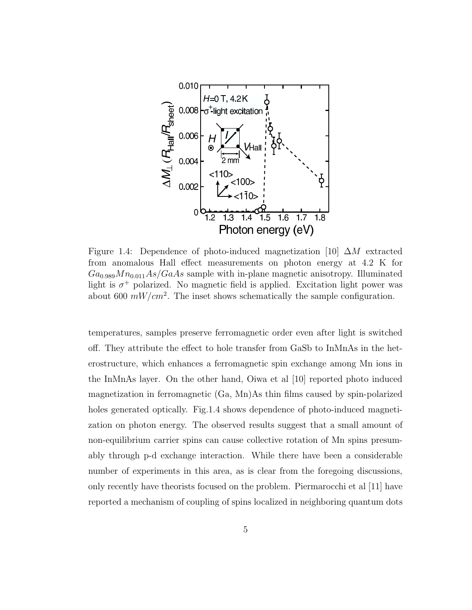

Figure 1.4: Dependence of photo-induced magnetization [10]  $\Delta M$  extracted from anomalous Hall effect measurements on photon energy at 4.2 K for  $Ga_{0.989}Mn_{0.011}As/GaAs$  sample with in-plane magnetic anisotropy. Illuminated light is  $\sigma^+$  polarized. No magnetic field is applied. Excitation light power was about 600  $mW/cm^2$ . The inset shows schematically the sample configuration.

temperatures, samples preserve ferromagnetic order even after light is switched off. They attribute the effect to hole transfer from GaSb to InMnAs in the heterostructure, which enhances a ferromagnetic spin exchange among Mn ions in the InMnAs layer. On the other hand, Oiwa et al [10] reported photo induced magnetization in ferromagnetic (Ga, Mn)As thin films caused by spin-polarized holes generated optically. Fig.1.4 shows dependence of photo-induced magnetization on photon energy. The observed results suggest that a small amount of non-equilibrium carrier spins can cause collective rotation of Mn spins presumably through p-d exchange interaction. While there have been a considerable number of experiments in this area, as is clear from the foregoing discussions, only recently have theorists focused on the problem. Piermarocchi et al [11] have reported a mechanism of coupling of spins localized in neighboring quantum dots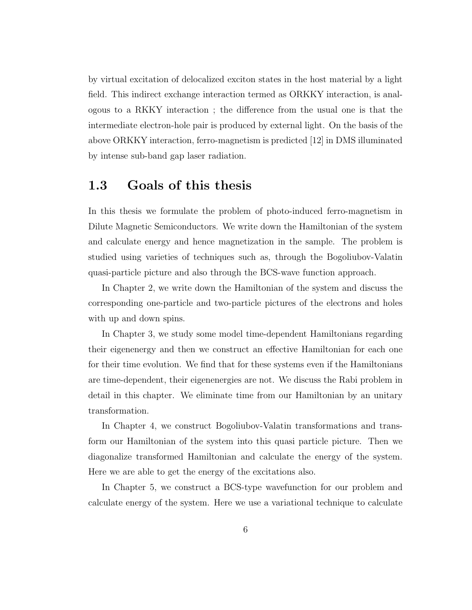by virtual excitation of delocalized exciton states in the host material by a light field. This indirect exchange interaction termed as ORKKY interaction, is analogous to a RKKY interaction ; the difference from the usual one is that the intermediate electron-hole pair is produced by external light. On the basis of the above ORKKY interaction, ferro-magnetism is predicted [12] in DMS illuminated by intense sub-band gap laser radiation.

### 1.3 Goals of this thesis

In this thesis we formulate the problem of photo-induced ferro-magnetism in Dilute Magnetic Semiconductors. We write down the Hamiltonian of the system and calculate energy and hence magnetization in the sample. The problem is studied using varieties of techniques such as, through the Bogoliubov-Valatin quasi-particle picture and also through the BCS-wave function approach.

In Chapter 2, we write down the Hamiltonian of the system and discuss the corresponding one-particle and two-particle pictures of the electrons and holes with up and down spins.

In Chapter 3, we study some model time-dependent Hamiltonians regarding their eigenenergy and then we construct an effective Hamiltonian for each one for their time evolution. We find that for these systems even if the Hamiltonians are time-dependent, their eigenenergies are not. We discuss the Rabi problem in detail in this chapter. We eliminate time from our Hamiltonian by an unitary transformation.

In Chapter 4, we construct Bogoliubov-Valatin transformations and transform our Hamiltonian of the system into this quasi particle picture. Then we diagonalize transformed Hamiltonian and calculate the energy of the system. Here we are able to get the energy of the excitations also.

In Chapter 5, we construct a BCS-type wavefunction for our problem and calculate energy of the system. Here we use a variational technique to calculate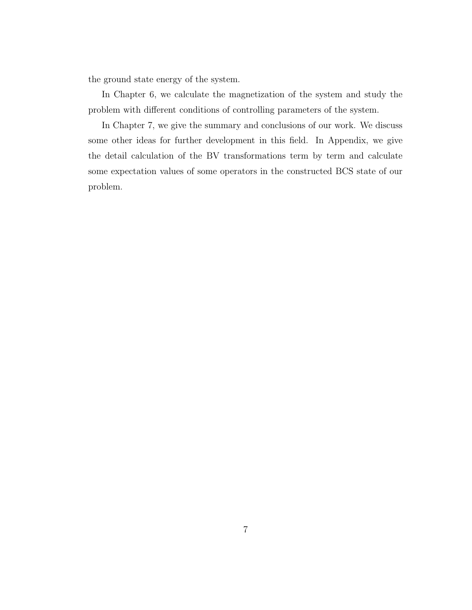the ground state energy of the system.

In Chapter 6, we calculate the magnetization of the system and study the problem with different conditions of controlling parameters of the system.

In Chapter 7, we give the summary and conclusions of our work. We discuss some other ideas for further development in this field. In Appendix, we give the detail calculation of the BV transformations term by term and calculate some expectation values of some operators in the constructed BCS state of our problem.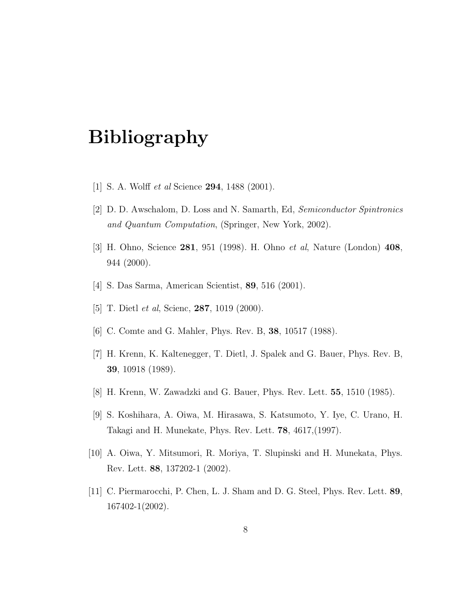# Bibliography

- [1] S. A. Wolff et al Science 294, 1488 (2001).
- [2] D. D. Awschalom, D. Loss and N. Samarth, Ed, Semiconductor Spintronics and Quantum Computation, (Springer, New York, 2002).
- [3] H. Ohno, Science 281, 951 (1998). H. Ohno et al, Nature (London) 408, 944 (2000).
- [4] S. Das Sarma, American Scientist, 89, 516 (2001).
- [5] T. Dietl *et al*, Scienc, **287**, 1019 (2000).
- [6] C. Comte and G. Mahler, Phys. Rev. B, 38, 10517 (1988).
- [7] H. Krenn, K. Kaltenegger, T. Dietl, J. Spalek and G. Bauer, Phys. Rev. B, 39, 10918 (1989).
- [8] H. Krenn, W. Zawadzki and G. Bauer, Phys. Rev. Lett. 55, 1510 (1985).
- [9] S. Koshihara, A. Oiwa, M. Hirasawa, S. Katsumoto, Y. Iye, C. Urano, H. Takagi and H. Munekate, Phys. Rev. Lett. 78, 4617,(1997).
- [10] A. Oiwa, Y. Mitsumori, R. Moriya, T. Slupinski and H. Munekata, Phys. Rev. Lett. 88, 137202-1 (2002).
- [11] C. Piermarocchi, P. Chen, L. J. Sham and D. G. Steel, Phys. Rev. Lett. 89, 167402-1(2002).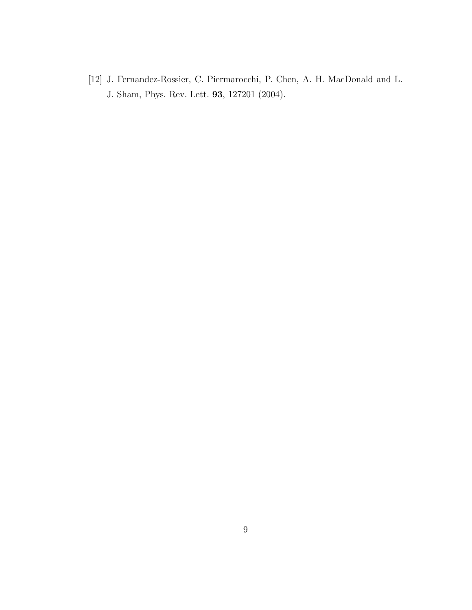[12] J. Fernandez-Rossier, C. Piermarocchi, P. Chen, A. H. MacDonald and L. J. Sham, Phys. Rev. Lett. 93, 127201 (2004).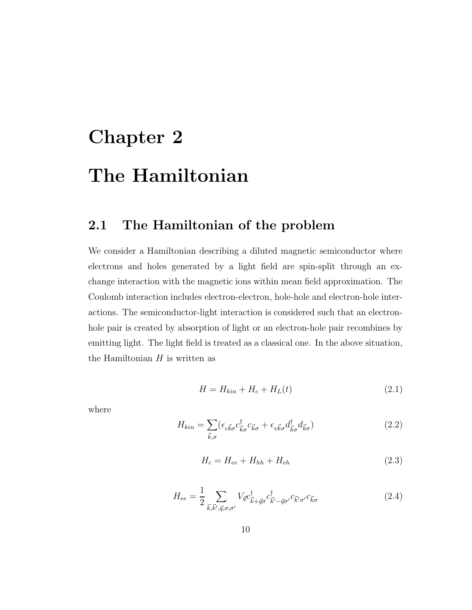# Chapter 2 The Hamiltonian

## 2.1 The Hamiltonian of the problem

We consider a Hamiltonian describing a diluted magnetic semiconductor where electrons and holes generated by a light field are spin-split through an exchange interaction with the magnetic ions within mean field approximation. The Coulomb interaction includes electron-electron, hole-hole and electron-hole interactions. The semiconductor-light interaction is considered such that an electronhole pair is created by absorption of light or an electron-hole pair recombines by emitting light. The light field is treated as a classical one. In the above situation, the Hamiltonian  $H$  is written as

$$
H = H_{kin} + H_c + H_L(t) \tag{2.1}
$$

where

$$
H_{kin} = \sum_{\vec{k},\sigma} (\epsilon_{c\vec{k}\sigma} c^{\dagger}_{\vec{k}\sigma} c_{\vec{k}\sigma} + \epsilon_{v\vec{k}\sigma} d^{\dagger}_{\vec{k}\sigma} d^{\dagger}_{\vec{k}\sigma})
$$
(2.2)

$$
H_c = H_{ee} + H_{hh} + H_{eh}
$$
\n
$$
(2.3)
$$

$$
H_{ee} = \frac{1}{2} \sum_{\vec{k}, \vec{k}', \vec{q}, \sigma, \sigma'} V_{\vec{q}} c_{\vec{k} + \vec{q}\sigma}^{\dagger} c_{\vec{k}' - \vec{q}\sigma'}^{\dagger} c_{\vec{k}'\sigma'}^{\dagger} c_{\vec{k}\sigma} \tag{2.4}
$$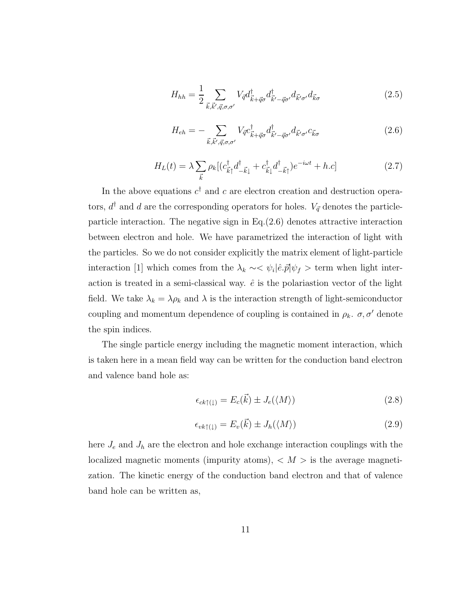$$
H_{hh} = \frac{1}{2} \sum_{\vec{k}, \vec{k}', \vec{q}, \sigma, \sigma'} V_{\vec{q}} d_{\vec{k} + \vec{q}\sigma}^{\dagger} d_{\vec{k}' - \vec{q}\sigma'}^{\dagger} d_{\vec{k}'\sigma'} d_{\vec{k}\sigma}
$$
(2.5)

$$
H_{eh} = -\sum_{\vec{k}, \vec{k}', \vec{q}, \sigma, \sigma'} V_{\vec{q}} c^{\dagger}_{\vec{k} + \vec{q}\sigma} d^{\dagger}_{\vec{k}' - \vec{q}\sigma'} d_{\vec{k}'\sigma'} c_{\vec{k}\sigma}
$$
(2.6)

$$
H_L(t) = \lambda \sum_{\vec{k}} \rho_k \left[ (c_{\vec{k}\uparrow}^\dagger d_{-\vec{k}\downarrow}^\dagger + c_{\vec{k}\downarrow}^\dagger d_{-\vec{k}\uparrow}^\dagger \right] e^{-i\omega t} + h.c \right]
$$
(2.7)

In the above equations  $c^{\dagger}$  and c are electron creation and destruction operators,  $d^{\dagger}$  and d are the corresponding operators for holes.  $V_{\vec{q}}$  denotes the particleparticle interaction. The negative sign in Eq.(2.6) denotes attractive interaction between electron and hole. We have parametrized the interaction of light with the particles. So we do not consider explicitly the matrix element of light-particle interaction [1] which comes from the  $\lambda_k \sim \langle \psi_i | \hat{e} \cdot \vec{p} | \psi_f \rangle$  term when light interaction is treated in a semi-classical way.  $\hat{e}$  is the polariastion vector of the light field. We take  $\lambda_k = \lambda \rho_k$  and  $\lambda$  is the interaction strength of light-semiconductor coupling and momentum dependence of coupling is contained in  $\rho_k$ .  $\sigma$ ,  $\sigma'$  denote the spin indices.

The single particle energy including the magnetic moment interaction, which is taken here in a mean field way can be written for the conduction band electron and valence band hole as:

$$
\epsilon_{ck\uparrow(\downarrow)} = E_c(\vec{k}) \pm J_e(\langle M \rangle) \tag{2.8}
$$

$$
\epsilon_{vk\uparrow(\downarrow)} = E_v(\vec{k}) \pm J_h(\langle M \rangle) \tag{2.9}
$$

here  $J_e$  and  $J_h$  are the electron and hole exchange interaction couplings with the localized magnetic moments (impurity atoms),  $\langle M \rangle$  is the average magnetization. The kinetic energy of the conduction band electron and that of valence band hole can be written as,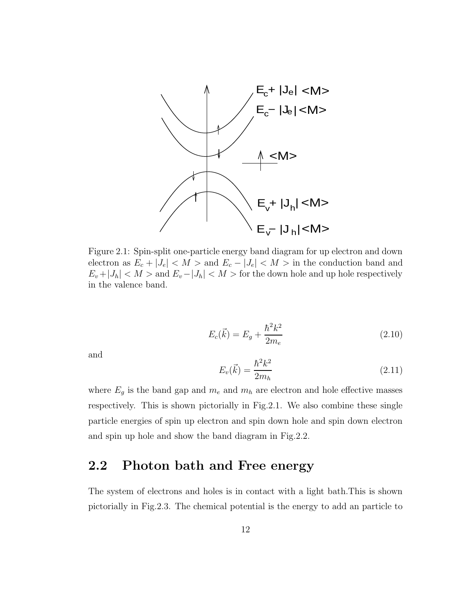

Figure 2.1: Spin-split one-particle energy band diagram for up electron and down electron as  $E_c + |J_e| < M >$  and  $E_c - |J_e| < M >$  in the conduction band and  $E_v + |J_h| < M$  > and  $E_v - |J_h| < M$  > for the down hole and up hole respectively in the valence band.

$$
E_c(\vec{k}) = E_g + \frac{\hbar^2 k^2}{2m_e} \tag{2.10}
$$

and

$$
E_v(\vec{k}) = \frac{\hbar^2 k^2}{2m_h} \tag{2.11}
$$

where  $E_g$  is the band gap and  $m_e$  and  $m_h$  are electron and hole effective masses respectively. This is shown pictorially in Fig.2.1. We also combine these single particle energies of spin up electron and spin down hole and spin down electron and spin up hole and show the band diagram in Fig.2.2.

### 2.2 Photon bath and Free energy

The system of electrons and holes is in contact with a light bath.This is shown pictorially in Fig.2.3. The chemical potential is the energy to add an particle to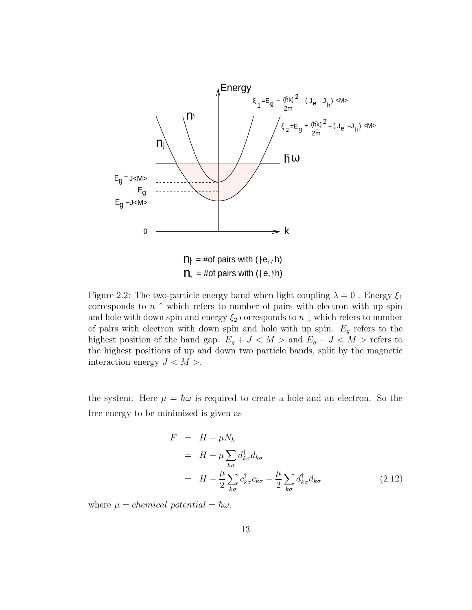

Figure 2.2: The two-particle energy band when light coupling  $\lambda = 0$ . Energy  $\xi_1$ corresponds to  $n \uparrow$  which refers to number of pairs with electron with up spin and hole with down spin and energy  $\xi_2$  corresponds to  $n \downarrow$  which refers to number of pairs with electron with down spin and hole with up spin.  $E_g$  refers to the highest position of the band gap.  $E_g + J < M$  > and  $E_g - J < M$  > refers to the highest positions of up and down two particle bands, split by the magnetic interaction energy  $J < M >$ .

the system. Here  $\mu = \hbar \omega$  is required to create a hole and an electron. So the free energy to be minimized is given as

$$
F = H - \mu N_h
$$
  
=  $H - \mu \sum_{k\sigma} d_{k\sigma}^{\dagger} d_{k\sigma}$   
=  $H - \frac{\mu}{2} \sum_{k\sigma} c_{k\sigma}^{\dagger} c_{k\sigma} - \frac{\mu}{2} \sum_{k\sigma} d_{k\sigma}^{\dagger} d_{k\sigma}$  (2.12)

where  $\mu = chemical$  potential  $=\hbar\omega$ .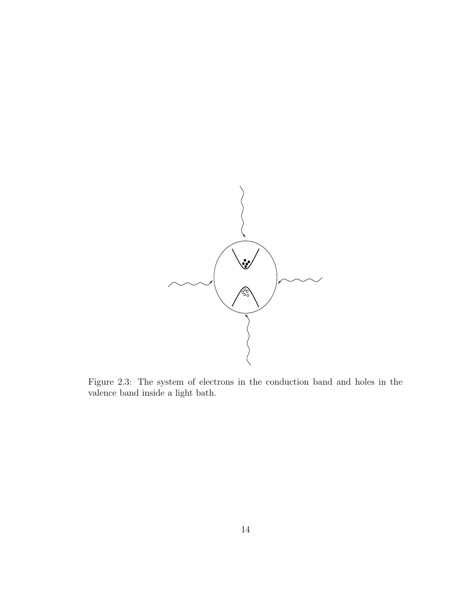

Figure 2.3: The system of electrons in the conduction band and holes in the valence band inside a light bath.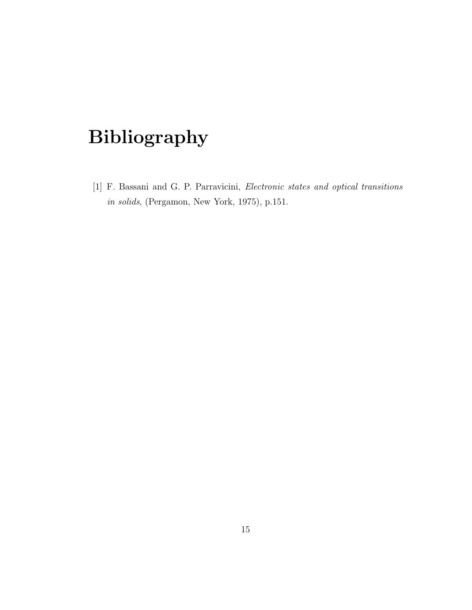# Bibliography

[1] F. Bassani and G. P. Parravicini, Electronic states and optical transitions in solids, (Pergamon, New York, 1975), p.151.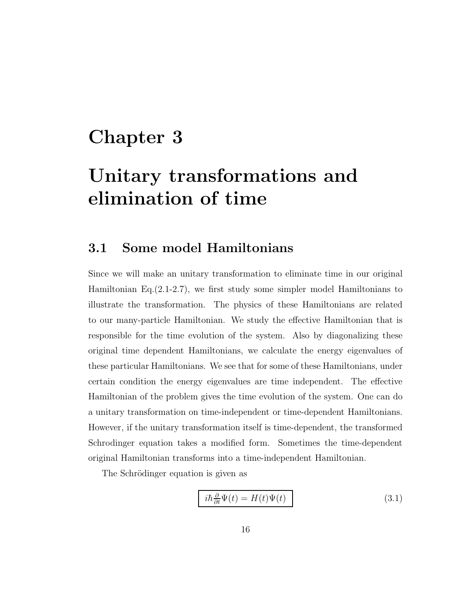# Chapter 3

# Unitary transformations and elimination of time

## 3.1 Some model Hamiltonians

Since we will make an unitary transformation to eliminate time in our original Hamiltonian Eq.(2.1-2.7), we first study some simpler model Hamiltonians to illustrate the transformation. The physics of these Hamiltonians are related to our many-particle Hamiltonian. We study the effective Hamiltonian that is responsible for the time evolution of the system. Also by diagonalizing these original time dependent Hamiltonians, we calculate the energy eigenvalues of these particular Hamiltonians. We see that for some of these Hamiltonians, under certain condition the energy eigenvalues are time independent. The effective Hamiltonian of the problem gives the time evolution of the system. One can do a unitary transformation on time-independent or time-dependent Hamiltonians. However, if the unitary transformation itself is time-dependent, the transformed Schrodinger equation takes a modified form. Sometimes the time-dependent original Hamiltonian transforms into a time-independent Hamiltonian.

The Schrödinger equation is given as

$$
i\hbar \frac{\partial}{\partial t} \Psi(t) = H(t)\Psi(t)
$$
\n(3.1)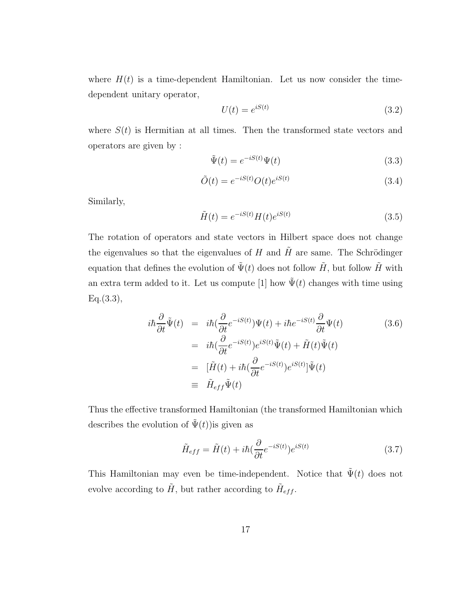where  $H(t)$  is a time-dependent Hamiltonian. Let us now consider the timedependent unitary operator,

$$
U(t) = e^{iS(t)} \tag{3.2}
$$

where  $S(t)$  is Hermitian at all times. Then the transformed state vectors and operators are given by :

$$
\tilde{\Psi}(t) = e^{-iS(t)}\Psi(t)
$$
\n(3.3)

$$
\tilde{O}(t) = e^{-iS(t)}O(t)e^{iS(t)}
$$
\n(3.4)

Similarly,

$$
\tilde{H}(t) = e^{-iS(t)}H(t)e^{iS(t)}\tag{3.5}
$$

The rotation of operators and state vectors in Hilbert space does not change the eigenvalues so that the eigenvalues of H and  $\tilde{H}$  are same. The Schrödinger equation that defines the evolution of  $\tilde{\Psi}(t)$  does not follow  $\tilde{H}$ , but follow  $\tilde{H}$  with an extra term added to it. Let us compute [1] how  $\tilde{\Psi}(t)$  changes with time using  $Eq.(3.3),$ 

$$
i\hbar \frac{\partial}{\partial t} \tilde{\Psi}(t) = i\hbar (\frac{\partial}{\partial t} e^{-iS(t)}) \Psi(t) + i\hbar e^{-iS(t)} \frac{\partial}{\partial t} \Psi(t)
$$
\n
$$
= i\hbar (\frac{\partial}{\partial t} e^{-iS(t)}) e^{iS(t)} \tilde{\Psi}(t) + \tilde{H}(t) \tilde{\Psi}(t)
$$
\n
$$
= [\tilde{H}(t) + i\hbar (\frac{\partial}{\partial t} e^{-iS(t)}) e^{iS(t)}] \tilde{\Psi}(t)
$$
\n
$$
\equiv \tilde{H}_{eff} \tilde{\Psi}(t)
$$
\n(3.6)

Thus the effective transformed Hamiltonian (the transformed Hamiltonian which describes the evolution of  $\tilde{\Psi}(t)$ ) is given as

$$
\tilde{H}_{eff} = \tilde{H}(t) + i\hbar \left(\frac{\partial}{\partial t} e^{-iS(t)}\right) e^{iS(t)} \tag{3.7}
$$

This Hamiltonian may even be time-independent. Notice that  $\tilde{\Psi}(t)$  does not evolve according to  $\tilde{H}$ , but rather according to  $\tilde{H}_{eff}$ .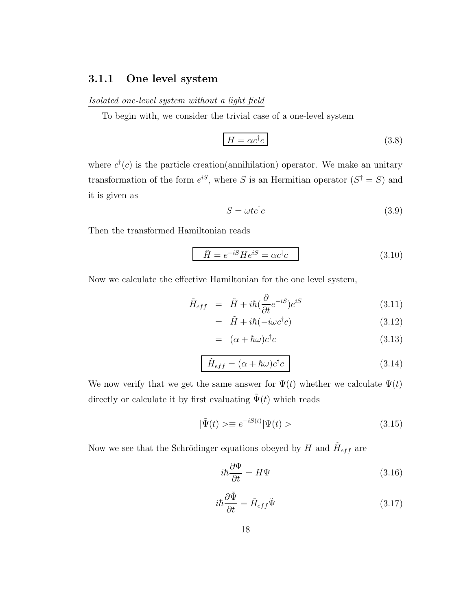### 3.1.1 One level system

Isolated one-level system without a light field

To begin with, we consider the trivial case of a one-level system

$$
H = \alpha c^{\dagger} c \tag{3.8}
$$

where  $c^{\dagger}(c)$  is the particle creation(annihilation) operator. We make an unitary transformation of the form  $e^{iS}$ , where S is an Hermitian operator  $(S^{\dagger} = S)$  and it is given as

$$
S = \omega t c^{\dagger} c \tag{3.9}
$$

Then the transformed Hamiltonian reads

$$
\tilde{H} = e^{-iS}He^{iS} = \alpha c^{\dagger}c
$$
\n(3.10)

Now we calculate the effective Hamiltonian for the one level system,

$$
\tilde{H}_{eff} = \tilde{H} + i\hbar \left(\frac{\partial}{\partial t}e^{-iS}\right)e^{iS} \tag{3.11}
$$

$$
= \tilde{H} + i\hbar(-i\omega c^{\dagger}c) \tag{3.12}
$$

$$
= (\alpha + \hbar\omega)c^{\dagger}c \tag{3.13}
$$

$$
\tilde{H}_{eff} = (\alpha + \hbar\omega)c^{\dagger}c \tag{3.14}
$$

We now verify that we get the same answer for  $\Psi(t)$  whether we calculate  $\Psi(t)$ directly or calculate it by first evaluating  $\tilde{\Psi}(t)$  which reads

$$
|\tilde{\Psi}(t)\rangle \equiv e^{-iS(t)}|\Psi(t)\rangle \tag{3.15}
$$

Now we see that the Schrödinger equations obeyed by  $H$  and  $\tilde{H}_{eff}$  are

$$
i\hbar \frac{\partial \Psi}{\partial t} = H\Psi \tag{3.16}
$$

$$
i\hbar \frac{\partial \tilde{\Psi}}{\partial t} = \tilde{H}_{eff} \tilde{\Psi}
$$
\n(3.17)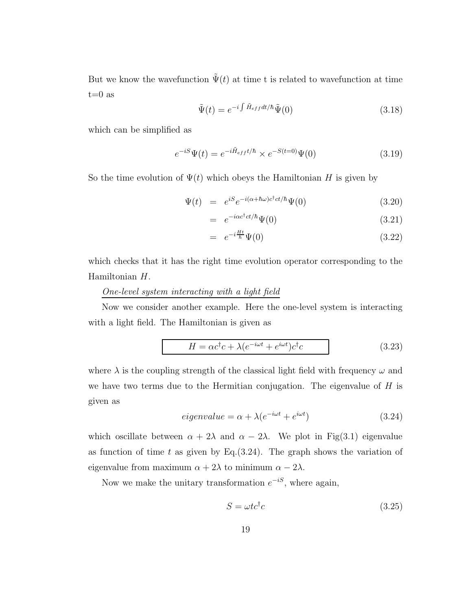But we know the wavefunction  $\tilde{\Psi}(t)$  at time t is related to wavefunction at time  $t=0$  as

$$
\tilde{\Psi}(t) = e^{-i \int \tilde{H}_{eff} dt/\hbar} \tilde{\Psi}(0)
$$
\n(3.18)

which can be simplified as

$$
e^{-iS}\Psi(t) = e^{-i\tilde{H}_{eff}t/\hbar} \times e^{-S(t=0)}\Psi(0)
$$
\n(3.19)

So the time evolution of  $\Psi(t)$  which obeys the Hamiltonian H is given by

$$
\Psi(t) = e^{iS} e^{-i(\alpha + \hbar\omega)c^{\dagger}ct/\hbar} \Psi(0)
$$
\n(3.20)

$$
= e^{-i\alpha c^{\dagger}ct/\hbar} \Psi(0) \tag{3.21}
$$

$$
= e^{-i\frac{Ht}{\hbar}}\Psi(0) \tag{3.22}
$$

which checks that it has the right time evolution operator corresponding to the Hamiltonian H.

### One-level system interacting with a light field

Now we consider another example. Here the one-level system is interacting with a light field. The Hamiltonian is given as

$$
H = \alpha c^{\dagger} c + \lambda (e^{-i\omega t} + e^{i\omega t}) c^{\dagger} c \tag{3.23}
$$

where  $\lambda$  is the coupling strength of the classical light field with frequency  $\omega$  and we have two terms due to the Hermitian conjugation. The eigenvalue of  $H$  is given as

$$
eigenvalue = \alpha + \lambda (e^{-i\omega t} + e^{i\omega t})
$$
\n(3.24)

which oscillate between  $\alpha + 2\lambda$  and  $\alpha - 2\lambda$ . We plot in Fig(3.1) eigenvalue as function of time t as given by Eq. $(3.24)$ . The graph shows the variation of eigenvalue from maximum  $\alpha + 2\lambda$  to minimum  $\alpha - 2\lambda$ .

Now we make the unitary transformation  $e^{-iS}$ , where again,

$$
S = \omega t c^{\dagger} c \tag{3.25}
$$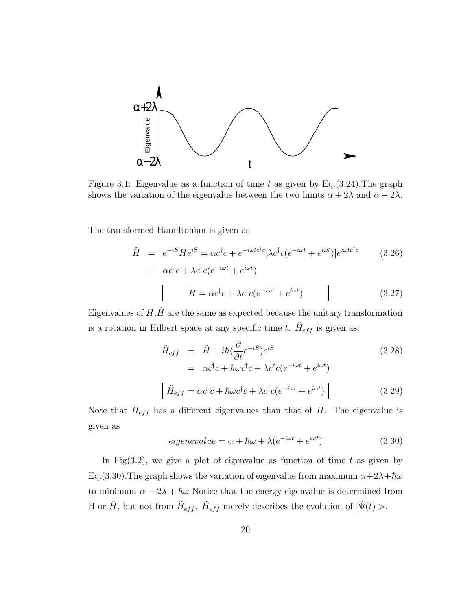

Figure 3.1: Eigenvalue as a function of time t as given by Eq.  $(3.24)$ . The graph shows the variation of the eigenvalue between the two limits  $\alpha + 2\lambda$  and  $\alpha - 2\lambda$ .

The transformed Hamiltonian is given as

$$
\tilde{H} = e^{-iS}He^{iS} = \alpha c^{\dagger}c + e^{-i\omega t c^{\dagger}c}[\lambda c^{\dagger}c(e^{-i\omega t} + e^{i\omega t})]e^{i\omega t c^{\dagger}c}
$$
\n
$$
= \alpha c^{\dagger}c + \lambda c^{\dagger}c(e^{-i\omega t} + e^{i\omega t})
$$
\n(3.26)

$$
\tilde{H} = \alpha c^{\dagger} c + \lambda c^{\dagger} c (e^{-i\omega t} + e^{i\omega t})
$$
\n(3.27)

Eigenvalues of  $H, \tilde{H}$  are the same as expected because the unitary transformation is a rotation in Hilbert space at any specific time t.  $\tilde{H}_{eff}$  is given as:

$$
\tilde{H}_{eff} = \tilde{H} + i\hbar \left(\frac{\partial}{\partial t} e^{-iS}\right) e^{iS}
$$
\n
$$
= \alpha c^{\dagger} c + \hbar \omega c^{\dagger} c + \lambda c^{\dagger} c (e^{-i\omega t} + e^{i\omega t})
$$
\n
$$
\tilde{H}_{eff} = \alpha c^{\dagger} c + \hbar \omega c^{\dagger} c + \lambda c^{\dagger} c (e^{-i\omega t} + e^{i\omega t})
$$
\n(3.29)

Note that  $\tilde{H}_{eff}$  has a different eigenvalues than that of  $\tilde{H}$ . The eigenvalue is given as

$$
eigenevaluate = \alpha + \hbar\omega + \lambda(e^{-i\omega t} + e^{i\omega t})
$$
\n(3.30)

In Fig(3.2), we give a plot of eigenvalue as function of time t as given by Eq.(3.30). The graph shows the variation of eigenvalue from maximum  $\alpha + 2\lambda + \hbar\omega$ to minimum  $\alpha - 2\lambda + \hbar \omega$  Notice that the energy eigenvalue is determined from H or  $\tilde{H}$ , but not from  $\tilde{H}_{eff}$ .  $\tilde{H}_{eff}$  merely describes the evolution of  $|\tilde{\Psi}(t)>\rangle$ .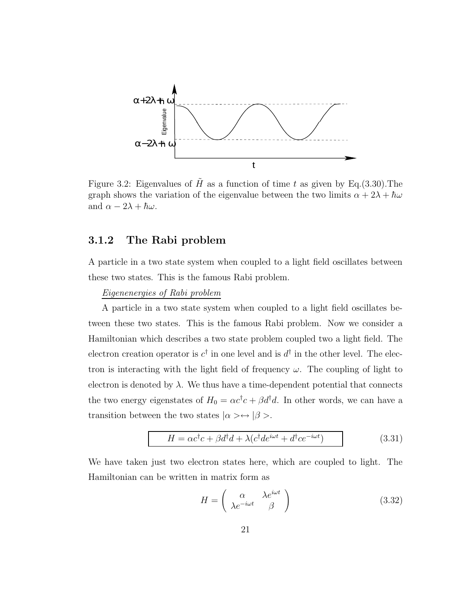

Figure 3.2: Eigenvalues of  $\tilde{H}$  as a function of time t as given by Eq.(3.30). The graph shows the variation of the eigenvalue between the two limits  $\alpha + 2\lambda + \hbar\omega$ and  $\alpha - 2\lambda + \hbar \omega$ .

### 3.1.2 The Rabi problem

A particle in a two state system when coupled to a light field oscillates between these two states. This is the famous Rabi problem.

#### Eigenenergies of Rabi problem

A particle in a two state system when coupled to a light field oscillates between these two states. This is the famous Rabi problem. Now we consider a Hamiltonian which describes a two state problem coupled two a light field. The electron creation operator is  $c^{\dagger}$  in one level and is  $d^{\dagger}$  in the other level. The electron is interacting with the light field of frequency  $\omega$ . The coupling of light to electron is denoted by  $\lambda$ . We thus have a time-dependent potential that connects the two energy eigenstates of  $H_0 = \alpha c^{\dagger} c + \beta d^{\dagger} d$ . In other words, we can have a transition between the two states  $|\alpha\rangle \leftrightarrow |\beta\rangle$ .

$$
H = \alpha c^{\dagger} c + \beta d^{\dagger} d + \lambda (c^{\dagger} d e^{i\omega t} + d^{\dagger} c e^{-i\omega t})
$$
 (3.31)

We have taken just two electron states here, which are coupled to light. The Hamiltonian can be written in matrix form as

$$
H = \begin{pmatrix} \alpha & \lambda e^{i\omega t} \\ \lambda e^{-i\omega t} & \beta \end{pmatrix}
$$
 (3.32)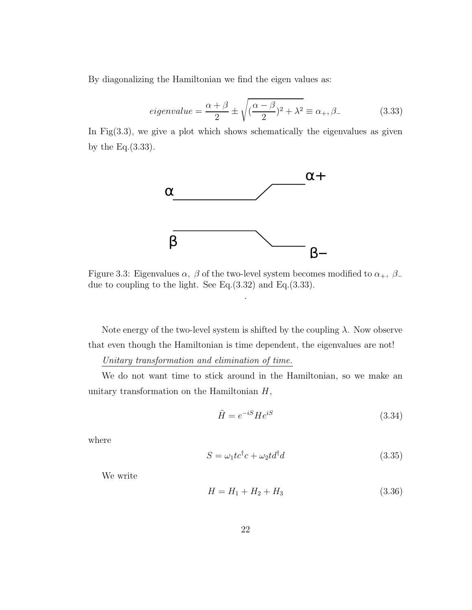By diagonalizing the Hamiltonian we find the eigen values as:

$$
eigenvalue = \frac{\alpha + \beta}{2} \pm \sqrt{(\frac{\alpha - \beta}{2})^2 + \lambda^2} \equiv \alpha_+, \beta_-
$$
 (3.33)

In Fig $(3.3)$ , we give a plot which shows schematically the eigenvalues as given by the Eq.(3.33).



Figure 3.3: Eigenvalues  $\alpha$ ,  $\beta$  of the two-level system becomes modified to  $\alpha_+$ ,  $\beta_$ due to coupling to the light. See Eq.(3.32) and Eq.(3.33).

.

Note energy of the two-level system is shifted by the coupling  $\lambda$ . Now observe that even though the Hamiltonian is time dependent, the eigenvalues are not!

Unitary transformation and elimination of time.

We do not want time to stick around in the Hamiltonian, so we make an unitary transformation on the Hamiltonian  $H$ ,

$$
\tilde{H} = e^{-iS} H e^{iS} \tag{3.34}
$$

where

$$
S = \omega_1 t c^{\dagger} c + \omega_2 t d^{\dagger} d \tag{3.35}
$$

We write

$$
H = H_1 + H_2 + H_3 \tag{3.36}
$$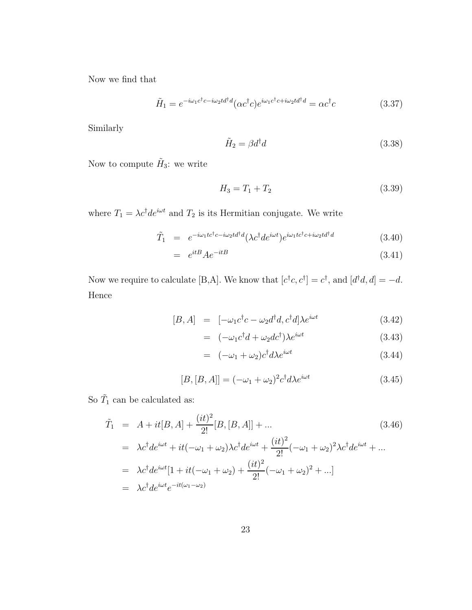Now we find that

$$
\tilde{H}_1 = e^{-i\omega_1 c^\dagger c - i\omega_2 t d^\dagger d} (\alpha c^\dagger c) e^{i\omega_1 c^\dagger c + i\omega_2 t d^\dagger d} = \alpha c^\dagger c \tag{3.37}
$$

Similarly

$$
\tilde{H}_2 = \beta d^\dagger d \tag{3.38}
$$

Now to compute  $\tilde{H}_3$ : we write

$$
H_3 = T_1 + T_2 \tag{3.39}
$$

where  $T_1 = \lambda c^{\dagger}de^{i\omega t}$  and  $T_2$  is its Hermitian conjugate. We write

$$
\tilde{T}_1 = e^{-i\omega_1 t c^\dagger c - i\omega_2 t d^\dagger d} (\lambda c^\dagger d e^{i\omega t}) e^{i\omega_1 t c^\dagger c + i\omega_2 t d^\dagger d} \tag{3.40}
$$

$$
= e^{itB} A e^{-itB} \tag{3.41}
$$

Now we require to calculate [B,A]. We know that  $[c^{\dagger}c, c^{\dagger}] = c^{\dagger}$ , and  $[d^{\dagger}d, d] = -d$ . Hence

$$
[B,A] = [-\omega_1 c^\dagger c - \omega_2 d^\dagger d, c^\dagger d] \lambda e^{i\omega t}
$$
 (3.42)

$$
= (-\omega_1 c^{\dagger} d + \omega_2 d c^{\dagger}) \lambda e^{i\omega t} \tag{3.43}
$$

$$
= (-\omega_1 + \omega_2)c^{\dagger}d\lambda e^{i\omega t} \tag{3.44}
$$

$$
[B, [B, A]] = (-\omega_1 + \omega_2)^2 c^{\dagger} d\lambda e^{i\omega t}
$$
 (3.45)

So  $\tilde{T}_1$  can be calculated as:

$$
\tilde{T}_1 = A + it[B, A] + \frac{(it)^2}{2!} [B, [B, A]] + ...
$$
\n
$$
= \lambda c^{\dagger} d e^{i\omega t} + it(-\omega_1 + \omega_2) \lambda c^{\dagger} d e^{i\omega t} + \frac{(it)^2}{2!} (-\omega_1 + \omega_2)^2 \lambda c^{\dagger} d e^{i\omega t} + ...
$$
\n
$$
= \lambda c^{\dagger} d e^{i\omega t} [1 + it(-\omega_1 + \omega_2) + \frac{(it)^2}{2!} (-\omega_1 + \omega_2)^2 + ...]
$$
\n
$$
= \lambda c^{\dagger} d e^{i\omega t} e^{-it(\omega_1 - \omega_2)}
$$
\n(3.46)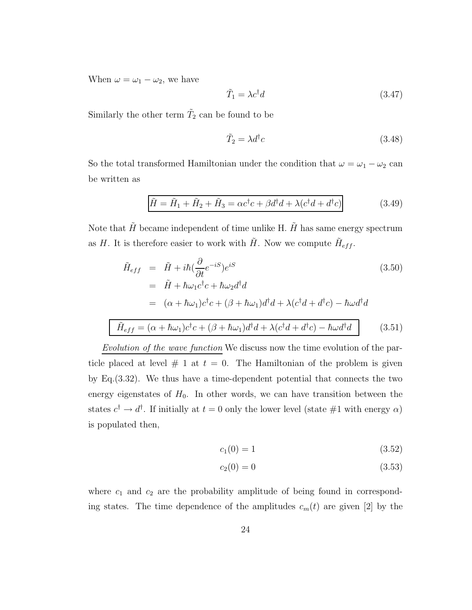When  $\omega = \omega_1 - \omega_2$ , we have

$$
\tilde{T}_1 = \lambda c^\dagger d \tag{3.47}
$$

Similarly the other term  $\tilde{T}_2$  can be found to be

$$
\tilde{T}_2 = \lambda d^\dagger c \tag{3.48}
$$

So the total transformed Hamiltonian under the condition that  $\omega = \omega_1 - \omega_2$  can be written as

$$
\tilde{H} = \tilde{H}_1 + \tilde{H}_2 + \tilde{H}_3 = \alpha c^{\dagger} c + \beta d^{\dagger} d + \lambda (c^{\dagger} d + d^{\dagger} c)
$$
\n(3.49)

Note that  $\tilde{H}$  became independent of time unlike H.  $\tilde{H}$  has same energy spectrum as H. It is therefore easier to work with  $\tilde{H}$ . Now we compute  $\tilde{H}_{eff}$ .

$$
\tilde{H}_{eff} = \tilde{H} + i\hbar \left( \frac{\partial}{\partial t} e^{-iS} \right) e^{iS}
$$
\n
$$
= \tilde{H} + \hbar \omega_1 c^{\dagger} c + \hbar \omega_2 d^{\dagger} d
$$
\n
$$
= (\alpha + \hbar \omega_1) c^{\dagger} c + (\beta + \hbar \omega_1) d^{\dagger} d + \lambda (c^{\dagger} d + d^{\dagger} c) - \hbar \omega d^{\dagger} d
$$
\n
$$
\tilde{H}_{eff} = (\alpha + \hbar \omega_1) c^{\dagger} c + (\beta + \hbar \omega_1) d^{\dagger} d + \lambda (c^{\dagger} d + d^{\dagger} c) - \hbar \omega d^{\dagger} d
$$
\n(3.51)

Evolution of the wave function We discuss now the time evolution of the particle placed at level  $# 1$  at  $t = 0$ . The Hamiltonian of the problem is given by Eq.(3.32). We thus have a time-dependent potential that connects the two energy eigenstates of  $H_0$ . In other words, we can have transition between the states  $c^{\dagger} \rightarrow d^{\dagger}$ . If initially at  $t = 0$  only the lower level (state #1 with energy  $\alpha$ ) is populated then,

$$
c_1(0) = 1 \tag{3.52}
$$

$$
c_2(0) = 0 \tag{3.53}
$$

where  $c_1$  and  $c_2$  are the probability amplitude of being found in corresponding states. The time dependence of the amplitudes  $c_m(t)$  are given [2] by the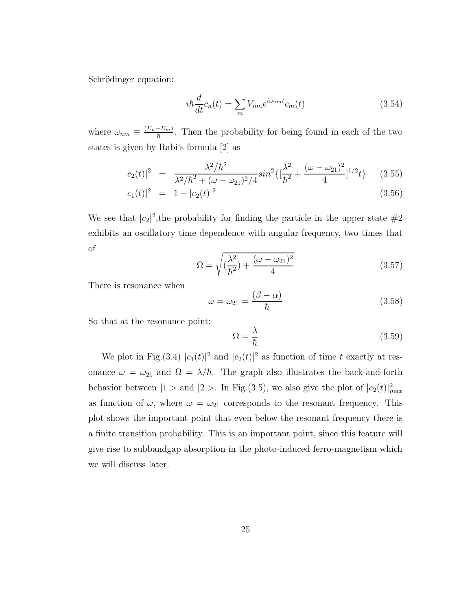Schrödinger equation:

$$
i\hbar \frac{d}{dt}c_n(t) = \sum_m V_{nm} e^{i\omega_{nm}t} c_m(t)
$$
\n(3.54)

where  $\omega_{nm} \equiv \frac{(E_n - E_m)}{\hbar}$  $\frac{-E_m}{\hbar}$ . Then the probability for being found in each of the two states is given by Rabi's formula [2] as

$$
|c_2(t)|^2 = \frac{\lambda^2/\hbar^2}{\lambda^2/\hbar^2 + (\omega - \omega_{21})^2/4} sin^2\left\{ \left[ \frac{\lambda^2}{\hbar^2} + \frac{(\omega - \omega_{21})^2}{4} \right]^{1/2} t \right\} \quad (3.55)
$$

$$
|c_1(t)|^2 = 1 - |c_2(t)|^2 \tag{3.56}
$$

We see that  $|c_2|^2$ , the probability for finding the particle in the upper state  $\#2$ exhibits an oscillatory time dependence with angular frequency, two times that of

$$
\Omega = \sqrt{\left(\frac{\lambda^2}{\hbar^2}\right) + \frac{(\omega - \omega_{21})^2}{4}}
$$
\n(3.57)

There is resonance when

$$
\omega = \omega_{21} = \frac{(\beta - \alpha)}{\hbar} \tag{3.58}
$$

So that at the resonance point:

$$
\Omega = \frac{\lambda}{\hbar} \tag{3.59}
$$

We plot in Fig.(3.4)  $|c_1(t)|^2$  and  $|c_2(t)|^2$  as function of time t exactly at resonance  $\omega = \omega_{21}$  and  $\Omega = \lambda/\hbar$ . The graph also illustrates the back-and-forth behavior between  $|1\rangle$  and  $|2\rangle$ . In Fig.(3.5), we also give the plot of  $|c_2(t)|_{max}^2$ as function of  $\omega$ , where  $\omega = \omega_{21}$  corresponds to the resonant frequency. This plot shows the important point that even below the resonant frequency there is a finite transition probability. This is an important point, since this feature will give rise to subbandgap absorption in the photo-induced ferro-magnetism which we will discuss later.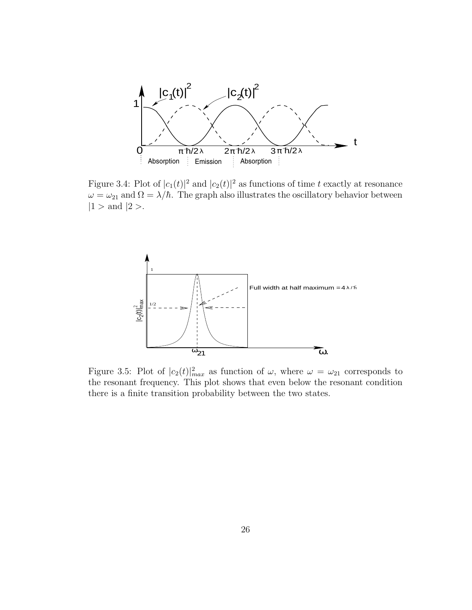

Figure 3.4: Plot of  $|c_1(t)|^2$  and  $|c_2(t)|^2$  as functions of time t exactly at resonance  $\omega = \omega_{21}$  and  $\Omega = \lambda/\hbar$ . The graph also illustrates the oscillatory behavior between  $|1 > \text{and } |2 >$ .



Figure 3.5: Plot of  $|c_2(t)|_{max}^2$  as function of  $\omega$ , where  $\omega = \omega_{21}$  corresponds to the resonant frequency. This plot shows that even below the resonant condition there is a finite transition probability between the two states.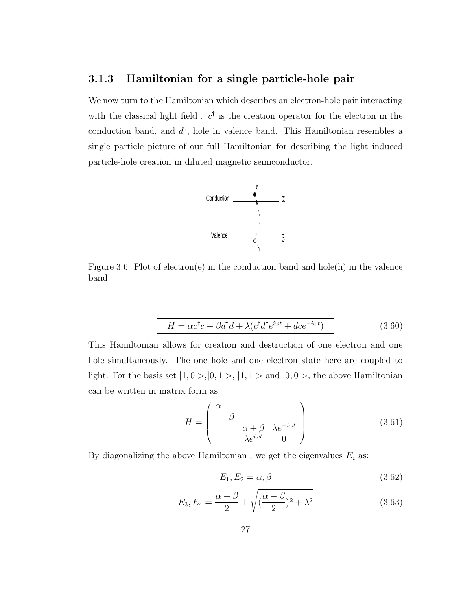#### 3.1.3 Hamiltonian for a single particle-hole pair

We now turn to the Hamiltonian which describes an electron-hole pair interacting with the classical light field .  $c^{\dagger}$  is the creation operator for the electron in the conduction band, and  $d^{\dagger}$ , hole in valence band. This Hamiltonian resembles a single particle picture of our full Hamiltonian for describing the light induced particle-hole creation in diluted magnetic semiconductor.



Figure 3.6: Plot of electron(e) in the conduction band and hole(h) in the valence band.

$$
H = \alpha c^{\dagger} c + \beta d^{\dagger} d + \lambda (c^{\dagger} d^{\dagger} e^{i\omega t} + dce^{-i\omega t})
$$
 (3.60)

This Hamiltonian allows for creation and destruction of one electron and one hole simultaneously. The one hole and one electron state here are coupled to light. For the basis set  $|1, 0 \rangle, |0, 1 \rangle, |1, 1 \rangle$  and  $|0, 0 \rangle$ , the above Hamiltonian can be written in matrix form as

$$
H = \begin{pmatrix} \alpha & & \\ & \beta & \\ & & \alpha + \beta & \lambda e^{-i\omega t} \\ & & \lambda e^{i\omega t} & 0 \end{pmatrix} \tag{3.61}
$$

By diagonalizing the above Hamiltonian, we get the eigenvalues  $E_i$  as:

$$
E_1, E_2 = \alpha, \beta \tag{3.62}
$$

$$
E_3, E_4 = \frac{\alpha + \beta}{2} \pm \sqrt{(\frac{\alpha - \beta}{2})^2 + \lambda^2}
$$
\n(3.63)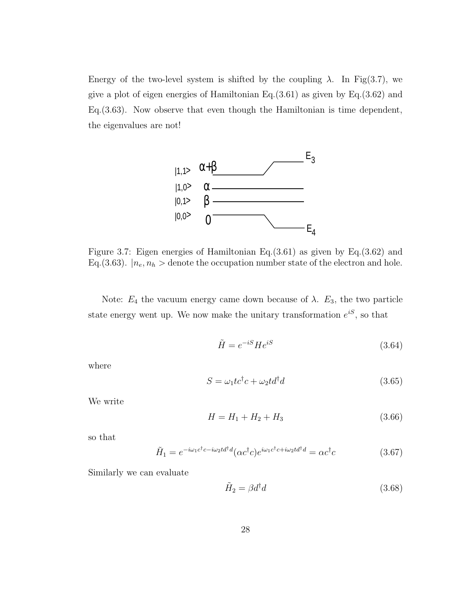Energy of the two-level system is shifted by the coupling  $\lambda$ . In Fig(3.7), we give a plot of eigen energies of Hamiltonian Eq.(3.61) as given by Eq.(3.62) and Eq.(3.63). Now observe that even though the Hamiltonian is time dependent, the eigenvalues are not!



Figure 3.7: Eigen energies of Hamiltonian Eq.(3.61) as given by Eq.(3.62) and Eq.(3.63).  $|n_e, n_h>$  denote the occupation number state of the electron and hole.

Note:  $E_4$  the vacuum energy came down because of  $\lambda$ .  $E_3$ , the two particle state energy went up. We now make the unitary transformation  $e^{iS}$ , so that

$$
\tilde{H} = e^{-iS} H e^{iS} \tag{3.64}
$$

where

$$
S = \omega_1 t c^{\dagger} c + \omega_2 t d^{\dagger} d \tag{3.65}
$$

We write

$$
H = H_1 + H_2 + H_3 \tag{3.66}
$$

so that

$$
\tilde{H}_1 = e^{-i\omega_1 c^\dagger c - i\omega_2 t d^\dagger d} (\alpha c^\dagger c) e^{i\omega_1 c^\dagger c + i\omega_2 t d^\dagger d} = \alpha c^\dagger c \tag{3.67}
$$

Similarly we can evaluate

$$
\tilde{H}_2 = \beta d^\dagger d \tag{3.68}
$$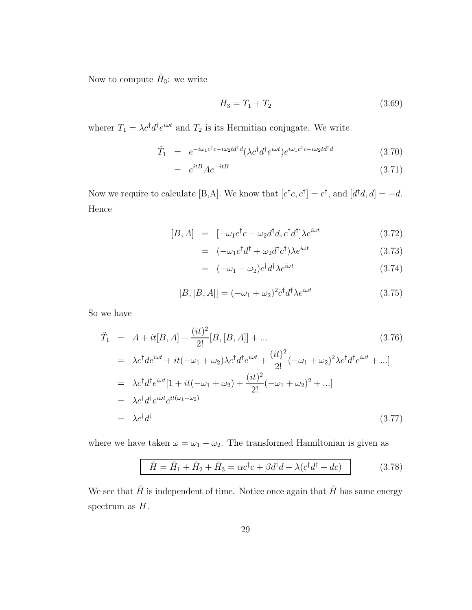Now to compute  $\tilde{H}_3$ : we write

$$
H_3 = T_1 + T_2 \tag{3.69}
$$

wherer  $T_1 = \lambda c^{\dagger} d^{\dagger} e^{i\omega t}$  and  $T_2$  is its Hermitian conjugate. We write

$$
\tilde{T}_1 = e^{-i\omega_1 c^\dagger c - i\omega_2 t d^\dagger d} (\lambda c^\dagger d^\dagger e^{i\omega t}) e^{i\omega_1 c^\dagger c + i\omega_2 t d^\dagger d} \tag{3.70}
$$

$$
= e^{itB} A e^{-itB} \tag{3.71}
$$

Now we require to calculate [B,A]. We know that  $[c^{\dagger}c, c^{\dagger}] = c^{\dagger}$ , and  $[d^{\dagger}d, d] = -d$ . Hence

$$
[B,A] = [-\omega_1 c^\dagger c - \omega_2 d^\dagger d, c^\dagger d^\dagger] \lambda e^{i\omega t} \tag{3.72}
$$

$$
= (-\omega_1 c^{\dagger} d^{\dagger} + \omega_2 d^{\dagger} c^{\dagger}) \lambda e^{i\omega t} \tag{3.73}
$$

$$
= (-\omega_1 + \omega_2)c^{\dagger}d^{\dagger}\lambda e^{i\omega t} \tag{3.74}
$$

$$
[B, [B, A]] = (-\omega_1 + \omega_2)^2 c^{\dagger} d^{\dagger} \lambda e^{i\omega t}
$$
 (3.75)

So we have

$$
\tilde{T}_1 = A + it[B, A] + \frac{(it)^2}{2!} [B, [B, A]] + ...
$$
\n
$$
= \lambda c^{\dagger} d e^{i\omega t} + it(-\omega_1 + \omega_2) \lambda c^{\dagger} d^{\dagger} e^{i\omega t} + \frac{(it)^2}{2!} (-\omega_1 + \omega_2)^2 \lambda c^{\dagger} d^{\dagger} e^{i\omega t} + ...]
$$
\n
$$
= \lambda c^{\dagger} d^{\dagger} e^{i\omega t} [1 + it(-\omega_1 + \omega_2) + \frac{(it)^2}{2!} (-\omega_1 + \omega_2)^2 + ...]
$$
\n
$$
= \lambda c^{\dagger} d^{\dagger} e^{i\omega t} e^{it(\omega_1 - \omega_2)}
$$
\n
$$
= \lambda c^{\dagger} d^{\dagger}
$$
\n(3.77)

where we have taken  $\omega = \omega_1 - \omega_2$ . The transformed Hamiltonian is given as

$$
\tilde{H} = \tilde{H}_1 + \tilde{H}_2 + \tilde{H}_3 = \alpha c^{\dagger} c + \beta d^{\dagger} d + \lambda (c^{\dagger} d^{\dagger} + dc)
$$
\n(3.78)

We see that  $\tilde{H}$  is independent of time. Notice once again that  $\tilde{H}$  has same energy spectrum as  $H$ .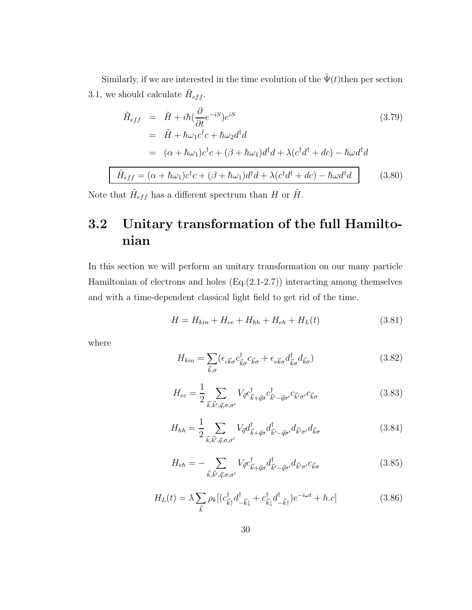Similarly, if we are interested in the time evolution of the  $\tilde{\Psi}(t)$  then per section 3.1, we should calculate  $\tilde{H}_{eff}$ .

$$
\tilde{H}_{eff} = \tilde{H} + i\hbar(\frac{\partial}{\partial t}e^{-iS})e^{iS}
$$
\n
$$
= \tilde{H} + \hbar\omega_1 c^{\dagger}c + \hbar\omega_2 d^{\dagger}d
$$
\n
$$
= (\alpha + \hbar\omega_1)c^{\dagger}c + (\beta + \hbar\omega_1)d^{\dagger}d + \lambda(c^{\dagger}d^{\dagger} + dc) - \hbar\omega d^{\dagger}d
$$
\n
$$
\tilde{H}_{eff} = (\alpha + \hbar\omega_1)c^{\dagger}c + (\beta + \hbar\omega_1)d^{\dagger}d + \lambda(c^{\dagger}d^{\dagger} + dc) - \hbar\omega d^{\dagger}d
$$
\n(3.80)

Note that  $\tilde{H}_{eff}$  has a different spectrum than H or  $\tilde{H}$ .

## 3.2 Unitary transformation of the full Hamiltonian

In this section we will perform an unitary transformation on our many particle Hamiltonian of electrons and holes (Eq.(2.1-2.7)) interacting among themselves and with a time-dependent classical light field to get rid of the time.

$$
H = H_{kin} + H_{ee} + H_{hh} + H_{eh} + H_L(t)
$$
\n(3.81)

where

$$
H_{kin} = \sum_{\vec{k},\sigma} (\epsilon_{c\vec{k}\sigma} c^{\dagger}_{\vec{k}\sigma} c_{\vec{k}\sigma} + \epsilon_{v\vec{k}\sigma} d^{\dagger}_{\vec{k}\sigma} d_{\vec{k}\sigma})
$$
(3.82)

$$
H_{ee} = \frac{1}{2} \sum_{\vec{k}, \vec{k}', \vec{q}, \sigma, \sigma'} V_{\vec{q}} c_{\vec{k} + \vec{q}\sigma}^{\dagger} c_{\vec{k}' - \vec{q}\sigma'}^{\dagger} c_{\vec{k}'\sigma'}^{\dagger} c_{\vec{k}\sigma} \tag{3.83}
$$

$$
H_{hh} = \frac{1}{2} \sum_{\vec{k}, \vec{k}', \vec{q}, \sigma, \sigma'} V_{\vec{q}} d_{\vec{k} + \vec{q}\sigma}^{\dagger} d_{\vec{k}' - \vec{q}\sigma'}^{\dagger} d_{\vec{k}'\sigma'} d_{\vec{k}\sigma}
$$
(3.84)

$$
H_{eh} = -\sum_{\vec{k}, \vec{k}', \vec{q}, \sigma, \sigma'} V_{\vec{q}} c^{\dagger}_{\vec{k} + \vec{q}\sigma} d^{\dagger}_{\vec{k}' - \vec{q}\sigma'} d_{\vec{k}'\sigma'} c_{\vec{k}\sigma}
$$
(3.85)

$$
H_L(t) = \lambda \sum_{\vec{k}} \rho_k \left[ (c_{\vec{k}\uparrow}^\dagger d_{-\vec{k}\downarrow}^\dagger + c_{\vec{k}\downarrow}^\dagger d_{-\vec{k}\uparrow}^\dagger) e^{-i\omega t} + h.c \right]
$$
(3.86)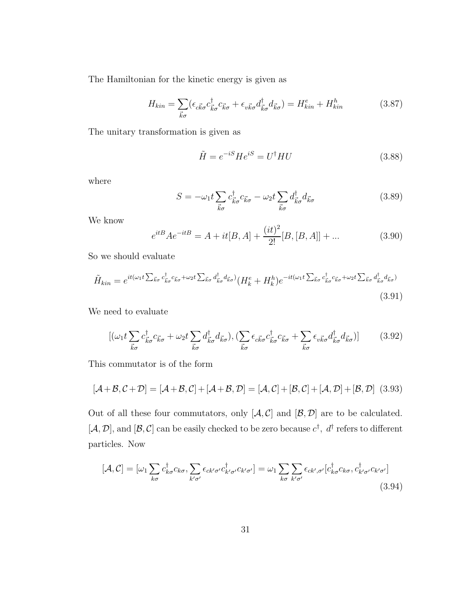The Hamiltonian for the kinetic energy is given as

$$
H_{kin} = \sum_{\vec{k}\sigma} (\epsilon_{c\vec{k}\sigma} c_{\vec{k}\sigma}^{\dagger} c_{\vec{k}\sigma} + \epsilon_{v\vec{k}\sigma} d_{\vec{k}\sigma}^{\dagger} d_{\vec{k}\sigma}) = H_{kin}^{e} + H_{kin}^{h}
$$
 (3.87)

The unitary transformation is given as

$$
\tilde{H} = e^{-iS} H e^{iS} = U^{\dagger} H U \tag{3.88}
$$

where

$$
S = -\omega_1 t \sum_{\vec{k}\sigma} c_{\vec{k}\sigma}^\dagger c_{\vec{k}\sigma} - \omega_2 t \sum_{\vec{k}\sigma} d_{\vec{k}\sigma}^\dagger d_{\vec{k}\sigma}
$$
(3.89)

We know

$$
e^{itB}Ae^{-itB} = A + it[B,A] + \frac{(it)^2}{2!}[B,[B,A]] + ... \tag{3.90}
$$

So we should evaluate

$$
\tilde{H}_{kin} = e^{it(\omega_1 t \sum_{\vec{k}\sigma} c^{\dagger}_{\vec{k}\sigma} c_{\vec{k}\sigma} + \omega_2 t \sum_{\vec{k}\sigma} d^{\dagger}_{\vec{k}\sigma} d_{\vec{k}\sigma})} (H_k^e + H_k^h) e^{-it(\omega_1 t \sum_{\vec{k}\sigma} c^{\dagger}_{\vec{k}\sigma} c_{\vec{k}\sigma} + \omega_2 t \sum_{\vec{k}\sigma} d^{\dagger}_{\vec{k}\sigma} d_{\vec{k}\sigma})}
$$
\n(3.91)

We need to evaluate

$$
[(\omega_1 t \sum_{\vec{k}\sigma} c_{\vec{k}\sigma}^\dagger c_{\vec{k}\sigma} + \omega_2 t \sum_{\vec{k}\sigma} d_{\vec{k}\sigma}^\dagger d_{\vec{k}\sigma}), (\sum_{\vec{k}\sigma} \epsilon_{c\vec{k}\sigma} c_{\vec{k}\sigma}^\dagger c_{\vec{k}\sigma} + \sum_{\vec{k}\sigma} \epsilon_{v\vec{k}\sigma} d_{\vec{k}\sigma}^\dagger d_{\vec{k}\sigma})]
$$
(3.92)

This commutator is of the form

$$
[\mathcal{A}+\mathcal{B}, \mathcal{C}+\mathcal{D}] = [\mathcal{A}+\mathcal{B}, \mathcal{C}] + [\mathcal{A}+\mathcal{B}, \mathcal{D}] = [\mathcal{A}, \mathcal{C}] + [\mathcal{B}, \mathcal{C}] + [\mathcal{A}, \mathcal{D}] + [\mathcal{B}, \mathcal{D}]
$$
(3.93)

Out of all these four commutators, only  $[\mathcal{A}, \mathcal{C}]$  and  $[\mathcal{B}, \mathcal{D}]$  are to be calculated.  $[\mathcal{A}, \mathcal{D}]$ , and  $[\mathcal{B}, \mathcal{C}]$  can be easily checked to be zero because  $c^{\dagger}$ ,  $d^{\dagger}$  refers to different particles. Now

$$
[\mathcal{A}, \mathcal{C}] = [\omega_1 \sum_{k\sigma} c_{k\sigma}^\dagger c_{k\sigma}, \sum_{k'\sigma'} \epsilon_{ck'\sigma'} c_{k'\sigma'}^\dagger c_{k'\sigma'}] = \omega_1 \sum_{k\sigma} \sum_{k'\sigma'} \epsilon_{ck',\sigma'} [c_{k\sigma}^\dagger c_{k\sigma}, c_{k'\sigma'}^\dagger c_{k'\sigma'}]
$$
(3.94)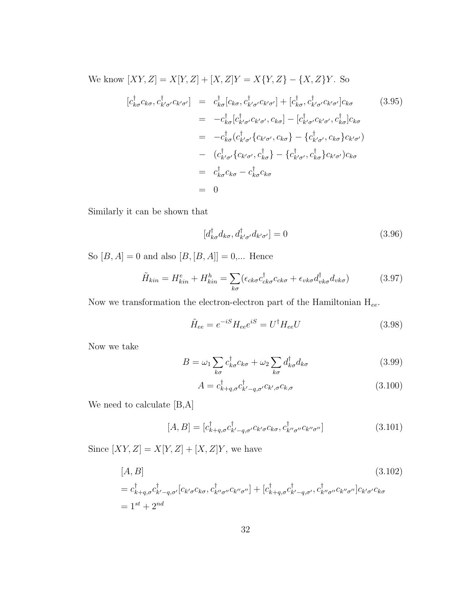We know  $[XY, Z] = X[Y, Z] + [X, Z]Y = X\{Y, Z\} - \{X, Z\}Y$ . So

$$
[c_{k\sigma}^{\dagger}c_{k\sigma}, c_{k'\sigma'}^{\dagger}c_{k'\sigma'}] = c_{k\sigma}^{\dagger}[c_{k\sigma}, c_{k'\sigma'}^{\dagger}c_{k'\sigma'}] + [c_{k\sigma}^{\dagger}, c_{k'\sigma'}^{\dagger}c_{k'\sigma'}]c_{k\sigma}
$$
(3.95)  
\n
$$
= -c_{k\sigma}^{\dagger}[c_{k'\sigma'}^{\dagger}c_{k'\sigma'}, c_{k\sigma}] - [c_{k'\sigma'}^{\dagger}c_{k'\sigma'}, c_{k\sigma}^{\dagger}]c_{k\sigma}
$$
  
\n
$$
= -c_{k\sigma}^{\dagger}(c_{k'\sigma'}^{\dagger}\{c_{k'\sigma'}, c_{k\sigma}\} - \{c_{k'\sigma'}^{\dagger}, c_{k\sigma}\}c_{k'\sigma'})
$$
  
\n
$$
- (c_{k'\sigma'}^{\dagger}\{c_{k'\sigma'}, c_{k\sigma}^{\dagger}\} - \{c_{k'\sigma'}^{\dagger}, c_{k\sigma}\}c_{k'\sigma'})c_{k\sigma}
$$
  
\n
$$
= c_{k\sigma}^{\dagger}c_{k\sigma} - c_{k\sigma}^{\dagger}c_{k\sigma}
$$
  
\n
$$
= 0
$$
(3.95)

Similarly it can be shown that

$$
[d_{k\sigma}^{\dagger}d_{k\sigma}, d_{k'\sigma'}^{\dagger}d_{k'\sigma'}] = 0 \tag{3.96}
$$

So  $[B,A]=0$  and also  $[B,[B,A]]=0,\ldots$  Hence

$$
\tilde{H}_{kin} = H_{kin}^e + H_{kin}^h = \sum_{k\sigma} (\epsilon_{ck\sigma} c_{ck\sigma}^\dagger c_{ck\sigma} + \epsilon_{vk\sigma} d_{vk\sigma}^\dagger d_{vk\sigma}) \tag{3.97}
$$

Now we transformation the electron-electron part of the Hamiltonian  $\mathbf{H}_{ee}.$ 

$$
\tilde{H}_{ee} = e^{-iS} H_{ee} e^{iS} = U^{\dagger} H_{ee} U \tag{3.98}
$$

Now we take

$$
B = \omega_1 \sum_{k\sigma} c_{k\sigma}^\dagger c_{k\sigma} + \omega_2 \sum_{k\sigma} d_{k\sigma}^\dagger d_{k\sigma}
$$
 (3.99)

$$
A = c_{k+q,\sigma}^{\dagger} c_{k'-q,\sigma'}^{\dagger} c_{k',\sigma} c_{k,\sigma}
$$
\n(3.100)

We need to calculate [B,A]

$$
[A,B] = [c_{k+q,\sigma}^{\dagger} c_{k'-q,\sigma'}^{\dagger} c_{k'\sigma} c_{k\sigma}, c_{k''\sigma''}^{\dagger} c_{k''\sigma''}]
$$
\n(3.101)

Since  $[XY,Z]=X[Y,Z]+[X,Z]Y,$  we have

$$
[A, B] \tag{3.102}
$$
\n
$$
= c_{k+q,\sigma}^{\dagger} c_{k'-q,\sigma'}^{\dagger} [c_{k'\sigma} c_{k\sigma}, c_{k''\sigma''}^{\dagger} c_{k''\sigma''}] + [c_{k+q,\sigma}^{\dagger} c_{k'-q,\sigma'}^{\dagger}, c_{k''\sigma''}^{\dagger} c_{k''\sigma''}] c_{k'\sigma'} c_{k\sigma}
$$
\n
$$
= 1^{st} + 2^{nd}
$$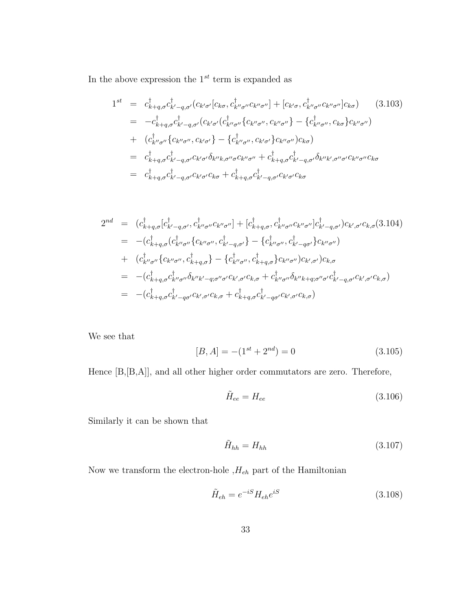In the above expression the  $1^{st}$  term is expanded as

$$
1^{st} = c_{k+q,\sigma}^{\dagger} c_{k'-q,\sigma'}^{\dagger} (c_{k'\sigma'} [c_{k\sigma}, c_{k''\sigma''}^{\dagger} c_{k''\sigma''}] + [c_{k'\sigma}, c_{k''\sigma''}^{\dagger} c_{k''\sigma''}] c_{k\sigma})
$$
(3.103)  
\n
$$
= -c_{k+q,\sigma}^{\dagger} c_{k'-q,\sigma'}^{\dagger} (c_{k'\sigma'} (c_{k''\sigma''}^{\dagger} \{c_{k''\sigma''}, c_{k''\sigma''}\}) - \{c_{k''\sigma''}^{\dagger}, c_{k\sigma}\} c_{k''\sigma''})
$$
\n
$$
+ (c_{k''\sigma''}^{\dagger} \{c_{k''\sigma''}, c_{k'\sigma'}\} - \{c_{k''\sigma''}^{\dagger}, c_{k'\sigma'}\} c_{k''\sigma''}) c_{k\sigma})
$$
\n
$$
= c_{k+q,\sigma}^{\dagger} c_{k'-q,\sigma'}^{\dagger} c_{k'\sigma'} \delta_{k''k,\sigma''\sigma} c_{k''\sigma''} + c_{k+q,\sigma}^{\dagger} c_{k'-q,\sigma'}^{\dagger} \delta_{k''k',\sigma''\sigma'} c_{k''\sigma''} c_{k\sigma}
$$
\n
$$
= c_{k+q,\sigma}^{\dagger} c_{k'-q,\sigma'}^{\dagger} c_{k'\sigma'} c_{k\sigma} + c_{k+q,\sigma}^{\dagger} c_{k'-q,\sigma'}^{\dagger} c_{k'\sigma'} c_{k\sigma}
$$

$$
2^{nd} = (c_{k+q,\sigma}^{\dagger} [c_{k'-q,\sigma'}^{\dagger}, c_{k''\sigma''}^{\dagger} c_{k''\sigma''}] + [c_{k+q,\sigma}^{\dagger}, c_{k''\sigma''}^{\dagger} c_{k''\sigma''}]c_{k'-q,\sigma'}^{\dagger}]c_{k'-q,\sigma'}^{\dagger}]c_{k',\sigma'}c_{k,\sigma}(3.104)
$$
  
\n
$$
= -(c_{k+q,\sigma}^{\dagger} (c_{k''\sigma''}^{\dagger} \{c_{k''\sigma''}, c_{k'-q,\sigma'}^{\dagger}) - \{c_{k''\sigma''}^{\dagger}, c_{k'-q\sigma'}^{\dagger}\}c_{k''\sigma''})
$$
  
\n
$$
+ (c_{k''\sigma''}^{\dagger} \{c_{k''\sigma''}, c_{k+q,\sigma}^{\dagger}\} - \{c_{k''\sigma''}^{\dagger}, c_{k+q,\sigma}^{\dagger}\}c_{k''\sigma''})c_{k',\sigma'}c_{k,\sigma}
$$
  
\n
$$
= -(c_{k+q,\sigma}^{\dagger} c_{k''\sigma''}^{\dagger}\delta_{k''k'-q;\sigma''\sigma'c_{k',\sigma'}c_{k,\sigma} + c_{k''\sigma''}^{\dagger}\delta_{k''k+q;\sigma''\sigma'}c_{k'-q,\sigma'}^{\dagger}c_{k',\sigma'}c_{k,\sigma})
$$
  
\n
$$
= -(c_{k+q,\sigma}^{\dagger} c_{k'-q\sigma'}^{\dagger} c_{k',\sigma'}c_{k,\sigma} + c_{k+q,\sigma}^{\dagger} c_{k'-q\sigma'}^{\dagger} c_{k',\sigma'}c_{k,\sigma})
$$

We see that

$$
[B, A] = -(1^{st} + 2^{nd}) = 0 \tag{3.105}
$$

Hence [B,[B,A]], and all other higher order commutators are zero. Therefore,

$$
\tilde{H}_{ee} = H_{ee} \tag{3.106}
$$

Similarly it can be shown that

$$
\tilde{H}_{hh} = H_{hh} \tag{3.107}
$$

Now we transform the electron-hole  $\, , \! H_{eh}$  part of the Hamiltonian

$$
\tilde{H}_{eh} = e^{-iS} H_{eh} e^{iS} \tag{3.108}
$$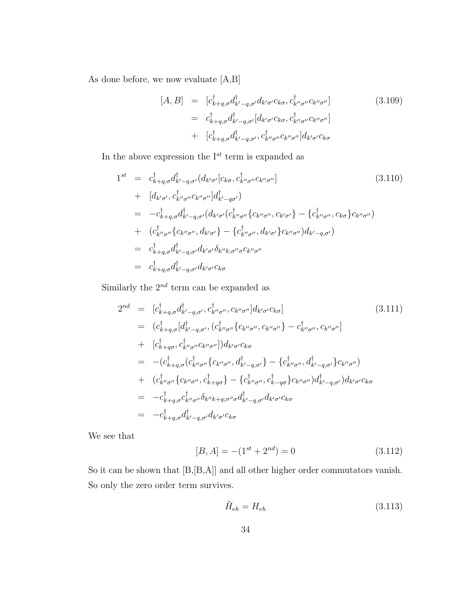As done before, we now evaluate [A,B]

$$
[A, B] = [c_{k+q,\sigma}^{\dagger} d_{k'-q,\sigma'}^{\dagger} d_{k'\sigma'} c_{k\sigma}, c_{k''\sigma''}^{\dagger} c_{k''\sigma''}]
$$
\n
$$
= c_{k+q,\sigma}^{\dagger} d_{k'-q,\sigma'}^{\dagger} [d_{k'\sigma'} c_{k\sigma}, c_{k''\sigma''}^{\dagger} c_{k''\sigma''}]
$$
\n
$$
+ [c_{k+q,\sigma}^{\dagger} d_{k'-q,\sigma'}^{\dagger}, c_{k''\sigma''}^{\dagger} c_{k''\sigma''}] d_{k'\sigma'} c_{k\sigma}
$$
\n
$$
(3.109)
$$

In the above expression the  $I^{st}$  term is expanded as

$$
1^{st} = c_{k+q,\sigma}^{\dagger} d_{k'-q,\sigma'}^{\dagger} (d_{k'\sigma'} [c_{k\sigma}, c_{k''\sigma''}^{\dagger} c_{k''\sigma''}]
$$
\n
$$
+ [d_{k'\sigma'}, c_{k''\sigma''}^{\dagger} c_{k''\sigma''}] d_{k'-q\sigma'}^{\dagger}
$$
\n
$$
= -c_{k+q,\sigma}^{\dagger} d_{k'-q,\sigma'}^{\dagger} (d_{k'\sigma'} (c_{k''\sigma''}^{\dagger} \{c_{k''\sigma''}, c_{k'\sigma'}\} - \{c_{k''\sigma''}^{\dagger}, c_{k\sigma}^{\dagger} c_{k''\sigma''})
$$
\n
$$
+ (c_{k''\sigma''}^{\dagger} \{c_{k''\sigma''}, d_{k'\sigma'}\} - \{c_{k''\sigma''}^{\dagger}, d_{k'\sigma'}^{\dagger} c_{k''\sigma''}) d_{k'-q,\sigma'}\}
$$
\n
$$
= c_{k+q,\sigma}^{\dagger} d_{k'-q,\sigma'}^{\dagger} d_{k'\sigma'} \delta_{k''k;\sigma''\sigma} c_{k''\sigma''}
$$
\n
$$
= c_{k+q,\sigma}^{\dagger} d_{k'-q,\sigma'}^{\dagger} d_{k'\sigma'} c_{k\sigma}
$$
\n
$$
(3.110)
$$
\n
$$
(3.110)
$$

Similarly the  $2^{nd}$  term can be expanded as

$$
2^{nd} = [c_{k+q,\sigma}^{\dagger} d_{k'-q,\sigma'}^{\dagger}, c_{k''\sigma''}, c_{k''\sigma''}] d_{k'\sigma'} c_{k\sigma}]
$$
\n
$$
= (c_{k+q,\sigma}^{\dagger} [d_{k'-q,\sigma'}^{\dagger}, (c_{k''\sigma''}^{\dagger} \{c_{k''\sigma''}, c_{k''\sigma''}\} - c_{k''\sigma''}^{\dagger}, c_{k''\sigma''}]
$$
\n
$$
+ [c_{k+q\sigma}^{\dagger}, c_{k''\sigma''}^{\dagger} c_{k''\sigma''}] d_{k'\sigma'} c_{k\sigma}
$$
\n
$$
= -(c_{k+q,\sigma}^{\dagger} (c_{k''\sigma''}^{\dagger} \{c_{k''\sigma''}, d_{k'-q,\sigma'}^{\dagger}\} - \{c_{k''\sigma''}^{\dagger}, d_{k'-q,\sigma'}^{\dagger}\} c_{k''\sigma''})
$$
\n
$$
+ (c_{k''\sigma''}^{\dagger} \{c_{k''\sigma''}, c_{k+q\sigma}^{\dagger}\} - \{c_{k''\sigma''}^{\dagger}, c_{k'-q\sigma}^{\dagger}\} c_{k''\sigma''}) d_{k'-q,\sigma'}^{\dagger}) d_{k'\sigma'} c_{k\sigma}
$$
\n
$$
= -c_{k+q,\sigma}^{\dagger} c_{k''\sigma''}^{\dagger} \delta_{k''k+q;\sigma''\sigma} d_{k'-q,\sigma'}^{\dagger} d_{k'\sigma'} c_{k\sigma}
$$
\n
$$
= -c_{k+q,\sigma}^{\dagger} d_{k'-q,\sigma'}^{\dagger} d_{k'\sigma'} c_{k\sigma}
$$

We see that

$$
[B, A] = -(1^{st} + 2^{nd}) = 0
$$
\n(3.112)

So it can be shown that [B,[B,A]] and all other higher order commutators vanish. So only the zero order term survives.

$$
\tilde{H}_{eh} = H_{eh} \tag{3.113}
$$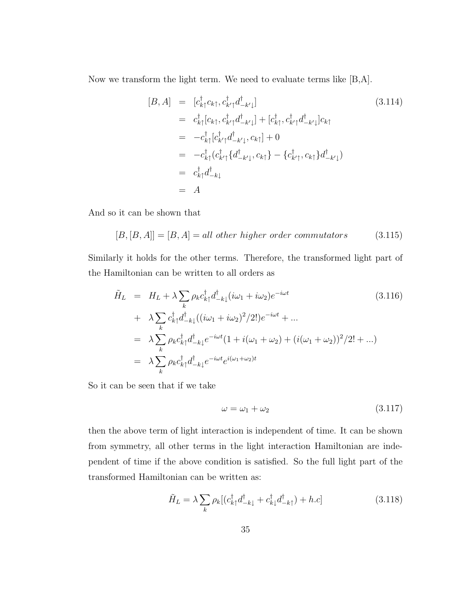Now we transform the light term. We need to evaluate terms like [B,A].

$$
[B, A] = [c_{k\uparrow}^{\dagger} c_{k\uparrow}, c_{k'\uparrow}^{\dagger} d_{-k'\downarrow}^{\dagger}]
$$
\n
$$
= c_{k\uparrow}^{\dagger} [c_{k\uparrow}, c_{k'\uparrow}^{\dagger} d_{-k'\downarrow}^{\dagger}] + [c_{k\uparrow}^{\dagger}, c_{k'\uparrow}^{\dagger} d_{-k'\downarrow}^{\dagger}] c_{k\uparrow}
$$
\n
$$
= -c_{k\uparrow}^{\dagger} [c_{k'\uparrow}^{\dagger} d_{-k'\downarrow}^{\dagger}, c_{k\uparrow}] + 0
$$
\n
$$
= -c_{k\uparrow}^{\dagger} (c_{k'\uparrow}^{\dagger} \{ d_{-k'\downarrow}^{\dagger}, c_{k\uparrow} \} - \{ c_{k'\uparrow}^{\dagger}, c_{k\uparrow} \} d_{-k'\downarrow}^{\dagger})
$$
\n
$$
= c_{k\uparrow}^{\dagger} d_{-k\downarrow}^{\dagger}
$$
\n
$$
= A
$$
\n(3.114)

And so it can be shown that

$$
[B, [B, A]] = [B, A] = all other higher order commutators
$$
\n
$$
(3.115)
$$

Similarly it holds for the other terms. Therefore, the transformed light part of the Hamiltonian can be written to all orders as

$$
\tilde{H}_{L} = H_{L} + \lambda \sum_{k} \rho_{k} c_{k\uparrow}^{\dagger} d_{-k\downarrow}^{\dagger} (i\omega_{1} + i\omega_{2}) e^{-i\omega t}
$$
\n
$$
+ \lambda \sum_{k} c_{k\uparrow}^{\dagger} d_{-k\downarrow}^{\dagger} ((i\omega_{1} + i\omega_{2})^{2}/2!) e^{-i\omega t} + \dots
$$
\n
$$
= \lambda \sum_{k} \rho_{k} c_{k\uparrow}^{\dagger} d_{-k\downarrow}^{\dagger} e^{-i\omega t} (1 + i(\omega_{1} + \omega_{2}) + (i(\omega_{1} + \omega_{2}))^{2}/2! + \dots)
$$
\n
$$
= \lambda \sum_{k} \rho_{k} c_{k\uparrow}^{\dagger} d_{-k\downarrow}^{\dagger} e^{-i\omega t} e^{i(\omega_{1} + \omega_{2})t}
$$
\n(3.116)

So it can be seen that if we take

$$
\omega = \omega_1 + \omega_2 \tag{3.117}
$$

then the above term of light interaction is independent of time. It can be shown from symmetry, all other terms in the light interaction Hamiltonian are independent of time if the above condition is satisfied. So the full light part of the transformed Hamiltonian can be written as:

$$
\tilde{H}_L = \lambda \sum_k \rho_k \left[ (c_{k\uparrow}^\dagger d_{-k\downarrow}^\dagger + c_{k\downarrow}^\dagger d_{-k\uparrow}^\dagger) + h.c \right] \tag{3.118}
$$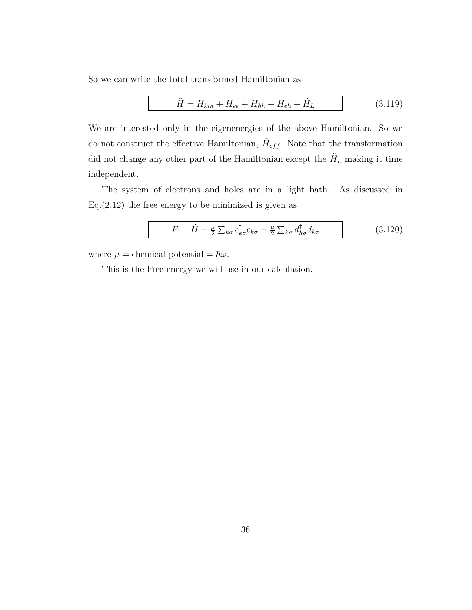So we can write the total transformed Hamiltonian as

$$
\tilde{H} = H_{kin} + H_{ee} + H_{hh} + H_{eh} + \tilde{H}_{L}
$$
\n(3.119)

We are interested only in the eigenenergies of the above Hamiltonian. So we do not construct the effective Hamiltonian,  $\tilde{H}_{eff}$ . Note that the transformation did not change any other part of the Hamiltonian except the  $\tilde{H}_L$  making it time independent.

The system of electrons and holes are in a light bath. As discussed in  $Eq.(2.12)$  the free energy to be minimized is given as

$$
F = \tilde{H} - \frac{\mu}{2} \sum_{k\sigma} c_{k\sigma}^{\dagger} c_{k\sigma} - \frac{\mu}{2} \sum_{k\sigma} d_{k\sigma}^{\dagger} d_{k\sigma}
$$
(3.120)

where  $\mu =$  chemical potential =  $\hbar \omega$ .

This is the Free energy we will use in our calculation.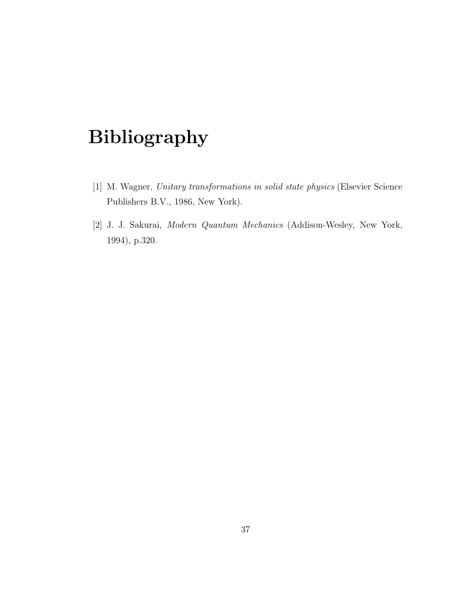# Bibliography

- [1] M. Wagner, Unitary transformations in solid state physics (Elsevier Science Publishers B.V., 1986, New York).
- [2] J. J. Sakurai, Modern Quantum Mechanics (Addison-Wesley, New York, 1994), p.320.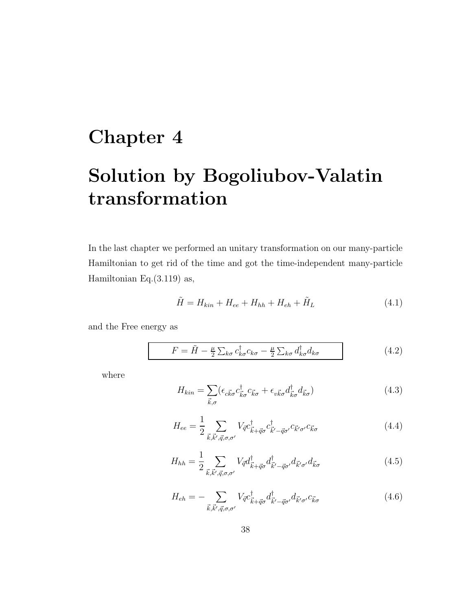# Chapter 4

# Solution by Bogoliubov-Valatin transformation

In the last chapter we performed an unitary transformation on our many-particle Hamiltonian to get rid of the time and got the time-independent many-particle Hamiltonian Eq.(3.119) as,

$$
\tilde{H} = H_{kin} + H_{ee} + H_{hh} + H_{eh} + \tilde{H}_L
$$
\n(4.1)

and the Free energy as

$$
F = \tilde{H} - \frac{\mu}{2} \sum_{k\sigma} c_{k\sigma}^{\dagger} c_{k\sigma} - \frac{\mu}{2} \sum_{k\sigma} d_{k\sigma}^{\dagger} d_{k\sigma}
$$
(4.2)

where

$$
H_{kin} = \sum_{\vec{k},\sigma} (\epsilon_{c\vec{k}\sigma} c^{\dagger}_{\vec{k}\sigma} c_{\vec{k}\sigma} + \epsilon_{v\vec{k}\sigma} d^{\dagger}_{\vec{k}\sigma} d_{\vec{k}\sigma})
$$
(4.3)

$$
H_{ee} = \frac{1}{2} \sum_{\vec{k}, \vec{k}', \vec{q}, \sigma, \sigma'} V_{\vec{q}} c^{\dagger}_{\vec{k} + \vec{q}\sigma} c^{\dagger}_{\vec{k}' - \vec{q}\sigma'} c_{\vec{k}'\sigma'} c_{\vec{k}\sigma} \tag{4.4}
$$

$$
H_{hh} = \frac{1}{2} \sum_{\vec{k}, \vec{k}', \vec{q}, \sigma, \sigma'} V_{\vec{q}} d_{\vec{k} + \vec{q}\sigma}^{\dagger} d_{\vec{k}' - \vec{q}\sigma'}^{\dagger} d_{\vec{k}'\sigma'} d_{\vec{k}\sigma}
$$
(4.5)

$$
H_{eh} = -\sum_{\vec{k}, \vec{k}', \vec{q}, \sigma, \sigma'} V_{\vec{q}} c^{\dagger}_{\vec{k} + \vec{q}\sigma} d^{\dagger}_{\vec{k}' - \vec{q}\sigma'} d_{\vec{k}'\sigma'} c_{\vec{k}\sigma}
$$
(4.6)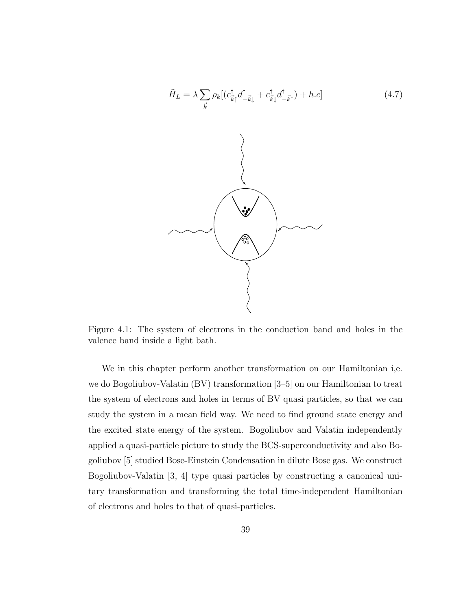

Figure 4.1: The system of electrons in the conduction band and holes in the valence band inside a light bath.

We in this chapter perform another transformation on our Hamiltonian i,e. we do Bogoliubov-Valatin (BV) transformation [3–5] on our Hamiltonian to treat the system of electrons and holes in terms of BV quasi particles, so that we can study the system in a mean field way. We need to find ground state energy and the excited state energy of the system. Bogoliubov and Valatin independently applied a quasi-particle picture to study the BCS-superconductivity and also Bogoliubov [5] studied Bose-Einstein Condensation in dilute Bose gas. We construct Bogoliubov-Valatin [3, 4] type quasi particles by constructing a canonical unitary transformation and transforming the total time-independent Hamiltonian of electrons and holes to that of quasi-particles.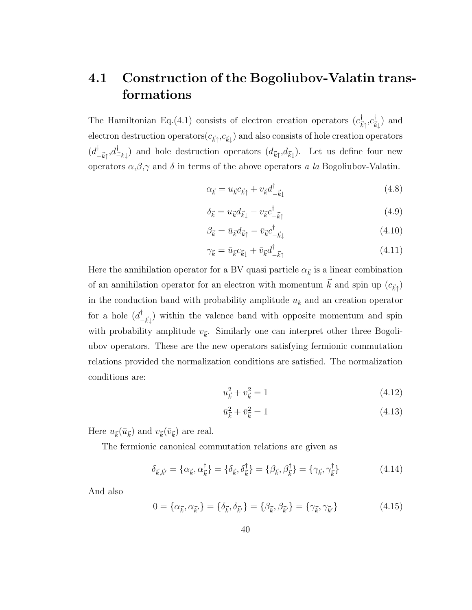### 4.1 Construction of the Bogoliubov-Valatin transformations

The Hamiltonian Eq.(4.1) consists of electron creation operators  $(c_i^{\dagger})$  $^\dagger_{\vec k\uparrow}, c^\dagger_{\vec k}$  $(\vec{k}_\downarrow)$  and electron destruction operators $(c_{\vec k\uparrow},c_{\vec k\downarrow})$  and also consists of hole creation operators  $(d^{\dagger}$  $_{-\vec{k}\uparrow}^{\dagger},d_{\dot{-}}^{\dagger}$  $\mathbb{L}_{k\downarrow}$ ) and hole destruction operators  $(d_{\vec{k}\uparrow}, d_{\vec{k}\downarrow})$ . Let us define four new operators  $\alpha, \beta, \gamma$  and  $\delta$  in terms of the above operators a la Bogoliubov-Valatin.

$$
\alpha_{\vec{k}} = u_{\vec{k}} c_{\vec{k}\uparrow} + v_{\vec{k}} d^{\dagger}_{-\vec{k}\downarrow}
$$
\n(4.8)

$$
\delta_{\vec{k}} = u_{\vec{k}} d_{\vec{k}\downarrow} - v_{\vec{k}} c_{-\vec{k}\uparrow}^{\dagger} \tag{4.9}
$$

$$
\beta_{\vec{k}} = \bar{u}_{\vec{k}} d_{\vec{k}\uparrow} - \bar{v}_{\vec{k}} c^{\dagger}_{-\vec{k}\downarrow}
$$
\n(4.10)

$$
\gamma_{\vec{k}} = \bar{u}_{\vec{k}} c_{\vec{k}\downarrow} + \bar{v}_{\vec{k}} d^{\dagger}_{-\vec{k}\uparrow} \tag{4.11}
$$

Here the annihilation operator for a BV quasi particle  $\alpha_{\vec{k}}$  is a linear combination of an annihilation operator for an electron with momentum  $\vec{k}$  and spin up  $(c_{\vec{k}\uparrow})$ in the conduction band with probability amplitude  $u_k$  and an creation operator for a hole  $(d^{\dagger})$  $\begin{bmatrix} \n\overline{-k} \n\end{bmatrix}$  within the valence band with opposite momentum and spin with probability amplitude  $v_{\vec{k}}$ . Similarly one can interpret other three Bogoliubov operators. These are the new operators satisfying fermionic commutation relations provided the normalization conditions are satisfied. The normalization conditions are:

$$
u_k^2 + v_k^2 = 1\tag{4.12}
$$

$$
\bar{u}_{\vec{k}}^2 + \bar{v}_{\vec{k}}^2 = 1\tag{4.13}
$$

Here  $u_{\vec{k}}(\bar{u}_{\vec{k}})$  and  $v_{\vec{k}}(\bar{v}_{\vec{k}})$  are real.

The fermionic canonical commutation relations are given as

$$
\delta_{\vec{k},\vec{k}'} = \{\alpha_{\vec{k}}, \alpha_{\vec{k}}^{\dagger}\} = \{\delta_{\vec{k}}, \delta_{\vec{k}}^{\dagger}\} = \{\beta_{\vec{k}}, \beta_{\vec{k}}^{\dagger}\} = \{\gamma_{\vec{k}}, \gamma_{\vec{k}}^{\dagger}\}\tag{4.14}
$$

And also

$$
0 = {\alpha_{\vec{k}}, \alpha_{\vec{k'}}} = {\delta_{\vec{k}}, \delta_{\vec{k'}}} = {\beta_{\vec{k}}, \beta_{\vec{k'}}} = {\gamma_{\vec{k}}, \gamma_{\vec{k'}}}
$$
\n(4.15)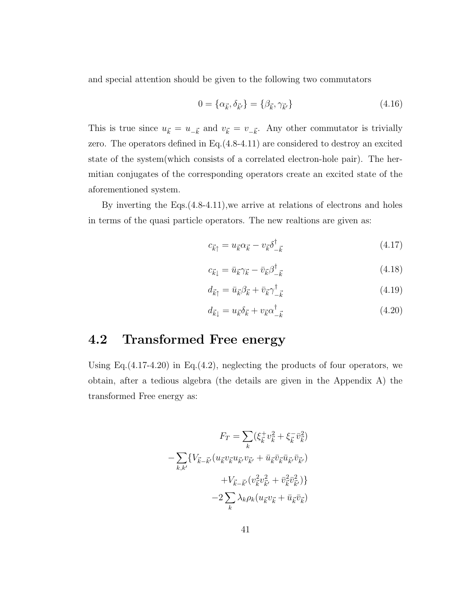and special attention should be given to the following two commutators

$$
0 = \{ \alpha_{\vec{k}}, \delta_{\vec{k}'} \} = \{ \beta_{\vec{k}}, \gamma_{\vec{k}'} \}
$$
\n(4.16)

This is true since  $u_{\vec{k}} = u_{-\vec{k}}$  and  $v_{\vec{k}} = v_{-\vec{k}}$ . Any other commutator is trivially zero. The operators defined in Eq.(4.8-4.11) are considered to destroy an excited state of the system(which consists of a correlated electron-hole pair). The hermitian conjugates of the corresponding operators create an excited state of the aforementioned system.

By inverting the Eqs.(4.8-4.11),we arrive at relations of electrons and holes in terms of the quasi particle operators. The new realtions are given as:

$$
c_{\vec{k}\uparrow} = u_{\vec{k}} \alpha_{\vec{k}} - v_{\vec{k}} \delta^{\dagger}_{-\vec{k}} \tag{4.17}
$$

$$
c_{\vec{k}\downarrow} = \bar{u}_{\vec{k}} \gamma_{\vec{k}} - \bar{v}_{\vec{k}} \beta^{\dagger}_{-\vec{k}} \tag{4.18}
$$

$$
d_{\vec{k}\uparrow} = \bar{u}_{\vec{k}} \beta_{\vec{k}} + \bar{v}_{\vec{k}} \gamma^{\dagger}_{-\vec{k}} \tag{4.19}
$$

$$
d_{\vec{k}\downarrow} = u_{\vec{k}} \delta_{\vec{k}} + v_{\vec{k}} \alpha_{-\vec{k}}^{\dagger} \tag{4.20}
$$

#### 4.2 Transformed Free energy

Using Eq.(4.17-4.20) in Eq.(4.2), neglecting the products of four operators, we obtain, after a tedious algebra (the details are given in the Appendix A) the transformed Free energy as:

$$
F_T = \sum_{k} (\xi_{\vec{k}}^{\pm} v_{\vec{k}}^2 + \xi_{\vec{k}}^{-} \bar{v}_{\vec{k}}^2)
$$

$$
- \sum_{k,k'} \{ V_{\vec{k}-\vec{k}'} (u_{\vec{k}} v_{\vec{k}} u_{\vec{k}'} v_{\vec{k}'} + \bar{u}_{\vec{k}} \bar{v}_{\vec{k}} \bar{u}_{\vec{k}'} \bar{v}_{\vec{k}'})
$$

$$
+ V_{\vec{k}-\vec{k}'} (v_{\vec{k}}^2 v_{\vec{k}'}^2 + \bar{v}_{\vec{k}}^2 \bar{v}_{\vec{k}'}^2) \}
$$

$$
- 2 \sum_{k} \lambda_{k} \rho_{k} (u_{\vec{k}} v_{\vec{k}} + \bar{u}_{\vec{k}} \bar{v}_{\vec{k}})
$$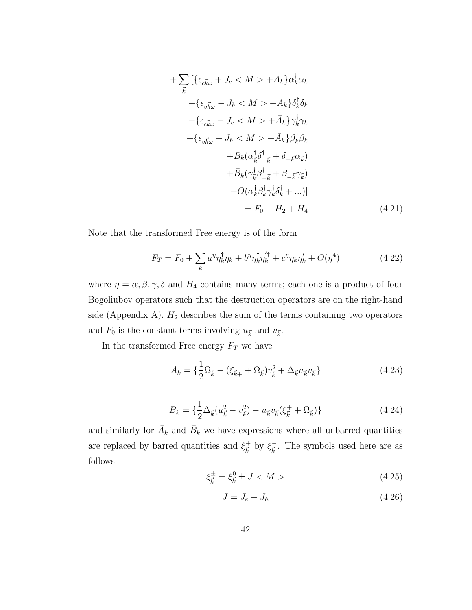$$
+\sum_{\vec{k}}\left[\{\epsilon_{c\vec{k}\omega}+J_{e}< M>+A_{k}\}\alpha_{k}^{\dagger}\alpha_{k}\right.\n+\left\{\epsilon_{v\vec{k}\omega}-J_{h}< M>+A_{k}\}\delta_{k}^{\dagger}\delta_{k}\right.\n+\left\{\epsilon_{c\vec{k}\omega}-J_{e}< M>+\bar{A}_{k}\}\gamma_{k}^{\dagger}\gamma_{k}\right.\n+\left\{\epsilon_{v\vec{k}\omega}+J_{h}< M>+\bar{A}_{k}\}\beta_{k}^{\dagger}\beta_{k}\right.\n\left.\left.\left.+B_{k}(\alpha_{\vec{k}}^{\dagger}\delta_{-\vec{k}}^{\dagger}+\delta_{-\vec{k}}\alpha_{\vec{k}})\right.\right.\right.\n\left.\left.\left.+B_{k}(\gamma_{\vec{k}}^{\dagger}\beta_{-\vec{k}}^{\dagger}+\beta_{-\vec{k}}\gamma_{\vec{k}})\right.\right.\right.\n\left.\left.\left.+O(\alpha_{k}^{\dagger}\beta_{k}^{\dagger}\gamma_{k}^{\dagger}\delta_{k}^{\dagger}+...\right)\right]\right]
$$
\n
$$
=F_{0}+H_{2}+H_{4}
$$
\n(4.21)

Note that the transformed Free energy is of the form

$$
F_T = F_0 + \sum_k a^n \eta_k^{\dagger} \eta_k + b^n \eta_k^{\dagger} \eta_k^{'\dagger} + c^n \eta_k \eta_k' + O(\eta^4)
$$
 (4.22)

where  $\eta = \alpha, \beta, \gamma, \delta$  and  $H_4$  contains many terms; each one is a product of four Bogoliubov operators such that the destruction operators are on the right-hand side (Appendix A).  $H_2$  describes the sum of the terms containing two operators and  $F_0$  is the constant terms involving  $u_{\vec{k}}$  and  $v_{\vec{k}}$ .

In the transformed Free energy  $F_T$  we have

$$
A_k = \left\{ \frac{1}{2} \Omega_{\vec{k}} - (\xi_{\vec{k}+} + \Omega_{\vec{k}}) v_{\vec{k}}^2 + \Delta_{\vec{k}} u_{\vec{k}} v_{\vec{k}} \right\}
$$
(4.23)

$$
B_k = \left\{ \frac{1}{2} \Delta_{\vec{k}} (u_{\vec{k}}^2 - v_{\vec{k}}^2) - u_{\vec{k}} v_{\vec{k}} (\xi_{\vec{k}}^+ + \Omega_{\vec{k}}) \right\}
$$
(4.24)

and similarly for  $\overline{A}_k$  and  $\overline{B}_k$  we have expressions where all unbarred quantities are replaced by barred quantities and  $\xi_{\vec{k}}^+$  $\frac{1}{\vec{k}}$  by  $\xi_{\vec{k}}^ \overline{k}$ . The symbols used here are as follows

$$
\xi_{\vec{k}}^{\pm} = \xi_{\vec{k}}^0 \pm J < M > \tag{4.25}
$$

$$
J = J_e - J_h \tag{4.26}
$$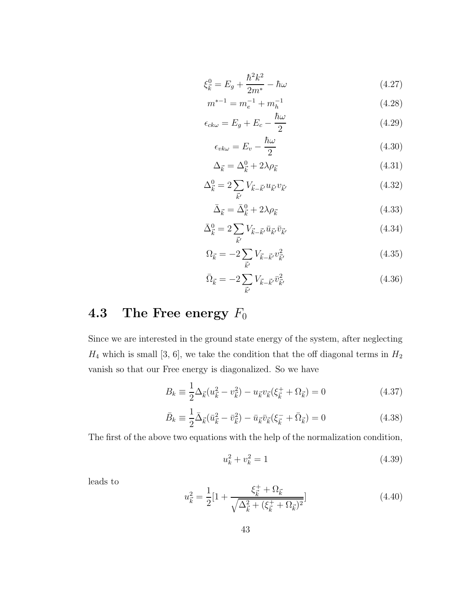$$
\xi_{\vec{k}}^0 = E_g + \frac{\hbar^2 k^2}{2m^*} - \hbar\omega
$$
\n(4.27)

$$
m^{*-1} = m_e^{-1} + m_h^{-1}
$$
 (4.28)

$$
\epsilon_{ck\omega} = E_g + E_c - \frac{\hbar\omega}{2} \tag{4.29}
$$

$$
\epsilon_{v k \omega} = E_v - \frac{\hbar \omega}{2} \tag{4.30}
$$

$$
\Delta_{\vec{k}} = \Delta_{\vec{k}}^0 + 2\lambda \rho_{\vec{k}} \tag{4.31}
$$

$$
\Delta_{\vec{k}}^0 = 2 \sum_{\vec{k}'} V_{\vec{k} - \vec{k}'} u_{\vec{k}'} v_{\vec{k}'}
$$
\n(4.32)

$$
\bar{\Delta}_{\vec{k}} = \bar{\Delta}_{\vec{k}}^0 + 2\lambda \rho_{\vec{k}} \tag{4.33}
$$

$$
\bar{\Delta}_{\vec{k}}^0 = 2 \sum_{\vec{k}'} V_{\vec{k} - \vec{k}'} \bar{u}_{\vec{k}'} \bar{v}_{\vec{k}'}
$$
(4.34)

$$
\Omega_{\vec{k}} = -2 \sum_{\vec{k}'} V_{\vec{k}-\vec{k}'} v_{\vec{k}'}^2
$$
\n(4.35)

$$
\bar{\Omega}_{\vec{k}} = -2 \sum_{\vec{k}'} V_{\vec{k} - \vec{k}'} \bar{v}_{\vec{k}'}^2
$$
\n(4.36)

## **4.3** The Free energy  $F_0$

Since we are interested in the ground state energy of the system, after neglecting  $H_4$  which is small [3, 6], we take the condition that the off diagonal terms in  $H_2$ vanish so that our Free energy is diagonalized. So we have

$$
B_k \equiv \frac{1}{2} \Delta_{\vec{k}} (u_{\vec{k}}^2 - v_{\vec{k}}^2) - u_{\vec{k}} v_{\vec{k}} (\xi_{\vec{k}}^+ + \Omega_{\vec{k}}) = 0 \tag{4.37}
$$

$$
\bar{B}_k \equiv \frac{1}{2} \bar{\Delta}_{\vec{k}} (\bar{u}_{\vec{k}}^2 - \bar{v}_{\vec{k}}^2) - \bar{u}_{\vec{k}} \bar{v}_{\vec{k}} (\xi_{\vec{k}}^- + \bar{\Omega}_{\vec{k}}) = 0 \tag{4.38}
$$

The first of the above two equations with the help of the normalization condition,

$$
u_k^2 + v_k^2 = 1\tag{4.39}
$$

leads to

$$
u_{\vec{k}}^2 = \frac{1}{2} \left[ 1 + \frac{\xi_{\vec{k}}^+ + \Omega_{\vec{k}}}{\sqrt{\Delta_{\vec{k}}^2 + (\xi_{\vec{k}}^+ + \Omega_{\vec{k}})^2}} \right]
$$
(4.40)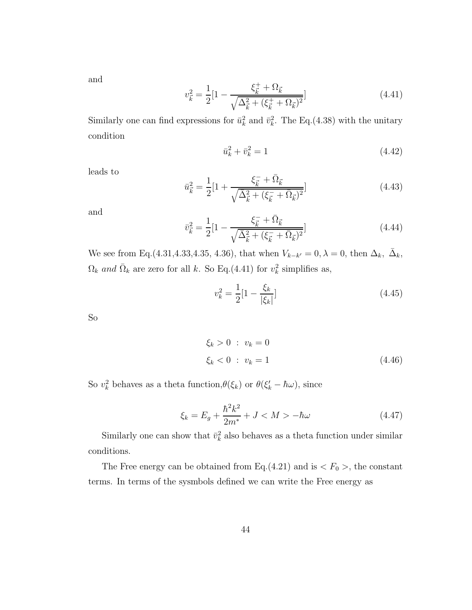and

$$
v_{\vec{k}}^2 = \frac{1}{2} \left[ 1 - \frac{\xi_{\vec{k}}^+ + \Omega_{\vec{k}}}{\sqrt{\Delta_{\vec{k}}^2 + (\xi_{\vec{k}}^+ + \Omega_{\vec{k}})^2}} \right]
$$
(4.41)

Similarly one can find expressions for  $\bar{u}_k^2$  and  $\bar{v}_k^2$ . The Eq.(4.38) with the unitary condition

$$
\bar{u}_k^2 + \bar{v}_k^2 = 1\tag{4.42}
$$

leads to

$$
\bar{u}_{\vec{k}}^2 = \frac{1}{2} \left[ 1 + \frac{\xi_{\vec{k}}^- + \bar{\Omega}_{\vec{k}}}{\sqrt{\bar{\Delta}_{\vec{k}}^2 + (\xi_{\vec{k}}^- + \bar{\Omega}_{\vec{k}})^2}} \right]
$$
(4.43)

and

$$
\bar{v}_{\bar{k}}^2 = \frac{1}{2} \left[ 1 - \frac{\xi_{\bar{k}}^- + \bar{\Omega}_{\bar{k}}}{\sqrt{\bar{\Delta}_{\bar{k}}^2 + (\xi_{\bar{k}}^- + \bar{\Omega}_{\bar{k}})^2}} \right]
$$
(4.44)

We see from Eq.(4.31,4.33,4.35, 4.36), that when  $V_{k-k'} = 0, \lambda = 0$ , then  $\Delta_k$ ,  $\overline{\Delta}_k$ ,  $\Omega_k$  and  $\overline{\Omega}_k$  are zero for all k. So Eq.(4.41) for  $v_k^2$  simplifies as,

$$
v_k^2 = \frac{1}{2} [1 - \frac{\xi_k}{|\xi_k|}]
$$
\n(4.45)

So

$$
\xi_k > 0 \; : \; v_k = 0
$$
\n
$$
\xi_k < 0 \; : \; v_k = 1 \tag{4.46}
$$

So  $v_k^2$  behaves as a theta function,  $\theta(\xi_k)$  or  $\theta(\xi'_k - \hbar \omega)$ , since

$$
\xi_k = E_g + \frac{\hbar^2 k^2}{2m^*} + J < M > -\hbar\omega \tag{4.47}
$$

Similarly one can show that  $\bar{v}_k^2$  also behaves as a theta function under similar conditions.

The Free energy can be obtained from Eq.(4.21) and is  $\langle F_0 \rangle$ , the constant terms. In terms of the sysmbols defined we can write the Free energy as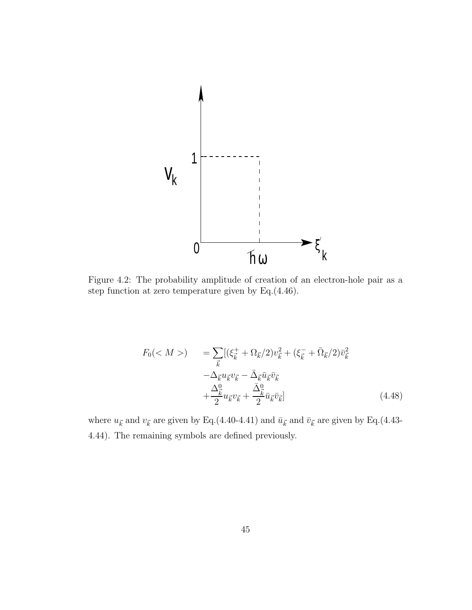

Figure 4.2: The probability amplitude of creation of an electron-hole pair as a step function at zero temperature given by Eq.(4.46).

$$
F_0() = \sum_{\vec{k}} [(\xi_{\vec{k}}^+ + \Omega_{\vec{k}}/2)v_{\vec{k}}^2 + (\xi_{\vec{k}}^- + \bar{\Omega}_{\vec{k}}/2)\bar{v}_{\vec{k}}^2 -\Delta_{\vec{k}} u_{\vec{k}} v_{\vec{k}} - \bar{\Delta}_{\vec{k}} \bar{u}_{\vec{k}} \bar{v}_{\vec{k}} + \frac{\Delta_{\vec{k}}^0}{2} u_{\vec{k}} v_{\vec{k}} + \frac{\bar{\Delta}_{\vec{k}}^0}{2} \bar{u}_{\vec{k}} \bar{v}_{\vec{k}}]
$$
(4.48)

where  $u_{\vec{k}}$  and  $v_{\vec{k}}$  are given by Eq.(4.40-4.41) and  $\bar{u}_{\vec{k}}$  and  $\bar{v}_{\vec{k}}$  are given by Eq.(4.43-4.44). The remaining symbols are defined previously.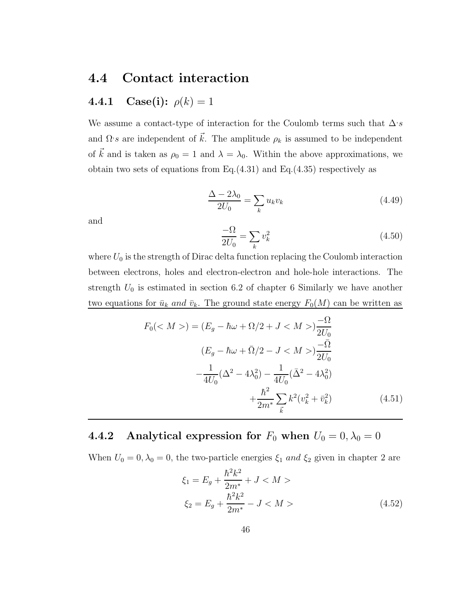#### 4.4 Contact interaction

#### 4.4.1 Case(i):  $\rho(k) = 1$

We assume a contact-type of interaction for the Coulomb terms such that  $\Delta$ 's and  $\Omega$ 's are independent of  $\vec{k}$ . The amplitude  $\rho_k$  is assumed to be independent of  $\vec{k}$  and is taken as  $\rho_0 = 1$  and  $\lambda = \lambda_0$ . Within the above approximations, we obtain two sets of equations from Eq. $(4.31)$  and Eq. $(4.35)$  respectively as

$$
\frac{\Delta - 2\lambda_0}{2U_0} = \sum_k u_k v_k \tag{4.49}
$$

and

$$
\frac{-\Omega}{2U_0} = \sum_k v_k^2 \tag{4.50}
$$

where  $U_0$  is the strength of Dirac delta function replacing the Coulomb interaction between electrons, holes and electron-electron and hole-hole interactions. The strength  $U_0$  is estimated in section 6.2 of chapter 6 Similarly we have another two equations for  $\bar{u}_k$  and  $\bar{v}_k$ . The ground state energy  $F_0(M)$  can be written as

$$
F_0() = (E_g - \hbar\omega + \Omega/2 + J < M>) \frac{-\Omega}{2U_0}
$$
  
\n
$$
(E_g - \hbar\omega + \bar{\Omega}/2 - J < M>) \frac{-\bar{\Omega}}{2U_0}
$$
  
\n
$$
-\frac{1}{4U_0}(\Delta^2 - 4\lambda_0^2) - \frac{1}{4U_0}(\bar{\Delta}^2 - 4\lambda_0^2)
$$
  
\n
$$
+\frac{\hbar^2}{2m^*} \sum_{\vec{k}} k^2 (v_k^2 + \bar{v}_k^2)
$$
(4.51)

4.4.2 Analytical expression for  $F_0$  when  $U_0 = 0, \lambda_0 = 0$ 

When  $U_0 = 0$ ,  $\lambda_0 = 0$ , the two-particle energies  $\xi_1$  and  $\xi_2$  given in chapter 2 are

$$
\xi_1 = E_g + \frac{\hbar^2 k^2}{2m^*} + J < M > \\
\xi_2 = E_g + \frac{\hbar^2 k^2}{2m^*} - J < M > \tag{4.52}
$$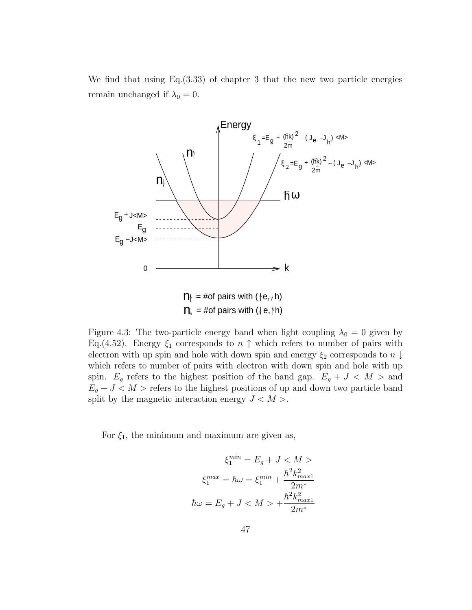We find that using Eq.(3.33) of chapter 3 that the new two particle energies remain unchanged if  $\lambda_0 = 0$ .



Figure 4.3: The two-particle energy band when light coupling  $\lambda_0 = 0$  given by Eq.(4.52). Energy  $\xi_1$  corresponds to  $n \uparrow$  which refers to number of pairs with electron with up spin and hole with down spin and energy  $\xi_2$  corresponds to  $n \downarrow$ which refers to number of pairs with electron with down spin and hole with up spin.  $E_g$  refers to the highest position of the band gap.  $E_g + J \langle M \rangle$  and  $E_g - J < M$  > refers to the highest positions of up and down two particle band split by the magnetic interaction energy  $J < M >$ .

For  $\xi_1$ , the minimum and maximum are given as,

$$
\xi_1^{min} = E_g + J < M > \\
\xi_1^{max} = \hbar\omega = \xi_1^{min} + \frac{\hbar^2 k_{max1}^2}{2m^*} \\
\hbar\omega = E_g + J < M > + \frac{\hbar^2 k_{max1}^2}{2m^*}
$$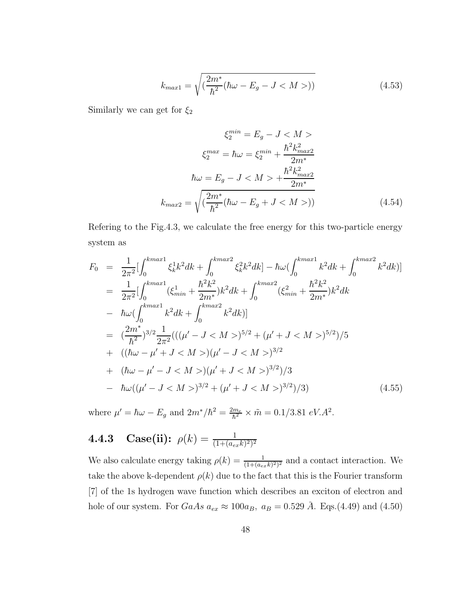$$
k_{max1} = \sqrt{\left(\frac{2m^*}{\hbar^2}(\hbar\omega - E_g - J < M >)\right)}\tag{4.53}
$$

Similarly we can get for  $\xi_2$ 

$$
\xi_2^{min} = E_g - J < M > \\
\xi_2^{max} = \hbar\omega = \xi_2^{min} + \frac{\hbar^2 k_{max2}^2}{2m^*} \\
\hbar\omega = E_g - J < M > + \frac{\hbar^2 k_{max2}^2}{2m^*} \\
k_{max2} = \sqrt{\left(\frac{2m^*}{\hbar^2}(\hbar\omega - E_g + J < M >)\right)}\n\tag{4.54}
$$

Refering to the Fig.4.3, we calculate the free energy for this two-particle energy system as

$$
F_0 = \frac{1}{2\pi^2} \left[ \int_0^{kmax1} \xi_k^1 k^2 dk + \int_0^{kmax2} \xi_k^2 k^2 dk \right] - \hbar \omega \left( \int_0^{kmax1} k^2 dk + \int_0^{kmax2} k^2 dk \right) \right]
$$
  
\n
$$
= \frac{1}{2\pi^2} \left[ \int_0^{kmax1} (\xi_{min}^1 + \frac{\hbar^2 k^2}{2m^*}) k^2 dk + \int_0^{kmax2} (\xi_{min}^2 + \frac{\hbar^2 k^2}{2m^*}) k^2 dk \right]
$$
  
\n
$$
- \hbar \omega \left( \int_0^{kmax1} k^2 dk + \int_0^{kmax2} k^2 dk \right) \right]
$$
  
\n
$$
= (\frac{2m^*}{\hbar^2})^{3/2} \frac{1}{2\pi^2} \left( ((\mu' - J < M >)^{5/2} + (\mu' + J < M >)^{5/2}) / 5 \right)
$$
  
\n
$$
+ ((\hbar \omega - \mu' + J < M >)(\mu' - J < M >)^{3/2}) \right)
$$
  
\n
$$
+ (\hbar \omega - \mu' - J < M >)(\mu' + J < M >)^{3/2}) / 3
$$
  
\n
$$
- \hbar \omega ((\mu' - J < M >)^{3/2} + (\mu' + J < M >)^{3/2}) / 3) \tag{4.55}
$$

where  $\mu' = \hbar \omega - E_g$  and  $2m^*/\hbar^2 = \frac{2m_e}{\hbar^2}$  $\frac{dm_e}{\hbar^2} \times \tilde{m} = 0.1/3.81 \text{ eV}.A^2.$ 

#### **4.4.3** Case(ii):  $\rho(k) = \frac{1}{(1 + (a))}$  $(1+(a_{ex}k)^2)^2$

We also calculate energy taking  $\rho(k) = \frac{1}{(1 + \rho k)^2}$  $\frac{1}{(1+(a_{ex}k)^2)^2}$  and a contact interaction. We take the above k-dependent  $\rho(k)$  due to the fact that this is the Fourier transform [7] of the 1s hydrogen wave function which describes an exciton of electron and hole of our system. For  $GaAs a_{ex} \approx 100a_B$ ,  $a_B = 0.529 \text{ Å}$ . Eqs.(4.49) and (4.50)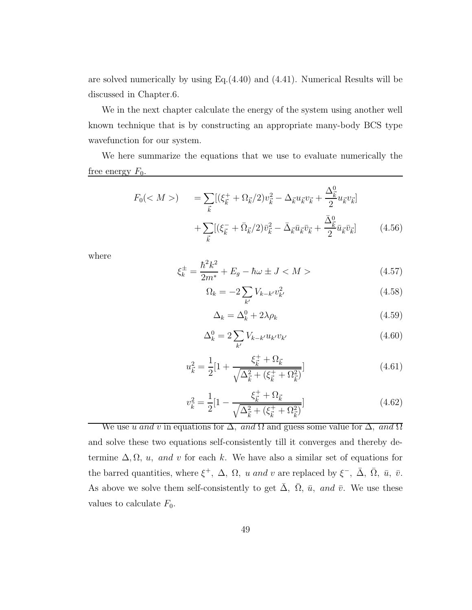are solved numerically by using Eq.(4.40) and (4.41). Numerical Results will be discussed in Chapter.6.

We in the next chapter calculate the energy of the system using another well known technique that is by constructing an appropriate many-body BCS type wavefunction for our system.

We here summarize the equations that we use to evaluate numerically the free energy  $F_0$ .

$$
F_0() = \sum_{\vec{k}} [(\xi_{\vec{k}}^+ + \Omega_{\vec{k}}/2)v_{\vec{k}}^2 - \Delta_{\vec{k}} u_{\vec{k}} v_{\vec{k}} + \frac{\Delta_{\vec{k}}^0}{2} u_{\vec{k}} v_{\vec{k}}] + \sum_{\vec{k}} [(\xi_{\vec{k}}^- + \bar{\Omega}_{\vec{k}}/2)\bar{v}_{\vec{k}}^2 - \bar{\Delta}_{\vec{k}} \bar{u}_{\vec{k}} \bar{v}_{\vec{k}} + \frac{\bar{\Delta}_{\vec{k}}^0}{2} \bar{u}_{\vec{k}} \bar{v}_{\vec{k}}]
$$
(4.56)

where

$$
\xi_k^{\pm} = \frac{\hbar^2 k^2}{2m^*} + E_g - \hbar \omega \pm J < M > \tag{4.57}
$$

$$
\Omega_k = -2 \sum_{k'} V_{k-k'} v_{k'}^2 \tag{4.58}
$$

$$
\Delta_k = \Delta_k^0 + 2\lambda \rho_k \tag{4.59}
$$

$$
\Delta_k^0 = 2 \sum_{k'} V_{k-k'} u_{k'} v_{k'} \tag{4.60}
$$

$$
u_{\vec{k}}^2 = \frac{1}{2} \left[ 1 + \frac{\xi_{\vec{k}}^+ + \Omega_{\vec{k}}}{\sqrt{\Delta_{\vec{k}}^2 + (\xi_{\vec{k}}^+ + \Omega_{\vec{k}}^2)}} \right]
$$
(4.61)

$$
v_{\vec{k}}^2 = \frac{1}{2} \left[ 1 - \frac{\xi_{\vec{k}}^+ + \Omega_{\vec{k}}}{\sqrt{\Delta_{\vec{k}}^2 + (\xi_{\vec{k}}^+ + \Omega_{\vec{k}}^2)}} \right]
$$
(4.62)

We use u and v in equations for  $\Delta$ , and  $\Omega$  and guess some value for  $\Delta$ , and  $\Omega$ and solve these two equations self-consistently till it converges and thereby determine  $\Delta, \Omega, u, \text{ and } v$  for each k. We have also a similar set of equations for the barred quantities, where  $\xi^+$ ,  $\Delta$ ,  $\Omega$ , u and v are replaced by  $\xi^-$ ,  $\bar{\Delta}$ ,  $\bar{\Omega}$ ,  $\bar{u}$ ,  $\bar{v}$ . As above we solve them self-consistently to get  $\bar{\Delta}$ ,  $\bar{\Omega}$ ,  $\bar{u}$ , and  $\bar{v}$ . We use these values to calculate  $F_0$ .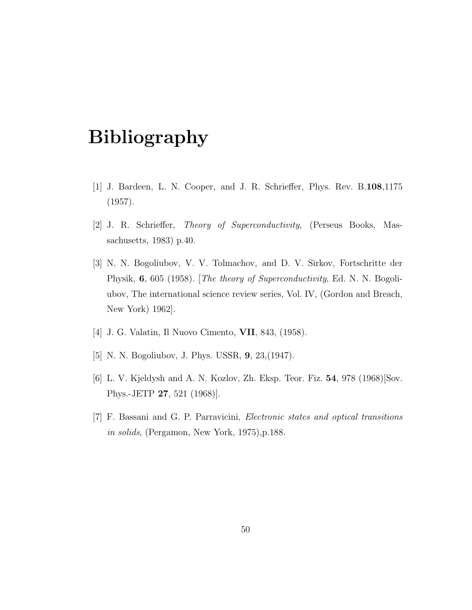# Bibliography

- [1] J. Bardeen, L. N. Cooper, and J. R. Schrieffer, Phys. Rev. B.108,1175 (1957).
- [2] J. R. Schrieffer, Theory of Superconductivity, (Perseus Books, Massachusetts, 1983) p.40.
- [3] N. N. Bogoliubov, V. V. Tolmachov, and D. V. Sirkov, Fortschritte der Physik, 6, 605 (1958). [*The theory of Superconductivity*, Ed. N. N. Bogoliubov, The international science review series, Vol. IV, (Gordon and Breach, New York) 1962].
- [4] J. G. Valatin, Il Nuovo Cimento, VII, 843, (1958).
- [5] N. N. Bogoliubov, J. Phys. USSR, 9, 23,(1947).
- [6] L. V. Kjeldysh and A. N. Kozlov, Zh. Eksp. Teor. Fiz. 54, 978 (1968)[Sov. Phys.-JETP 27, 521 (1968)].
- [7] F. Bassani and G. P. Parravicini, Electronic states and optical transitions in solids, (Pergamon, New York, 1975),p.188.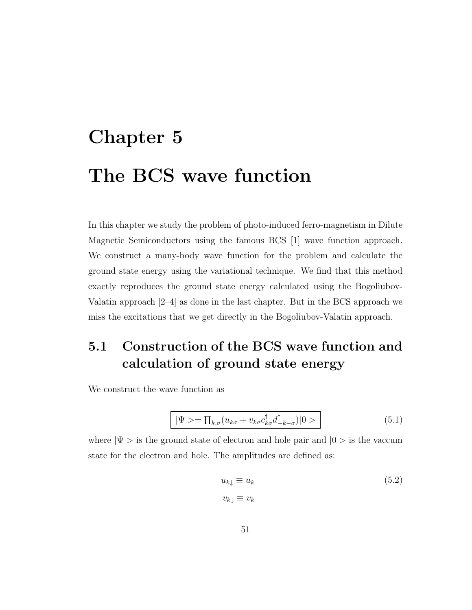# Chapter 5 The BCS wave function

In this chapter we study the problem of photo-induced ferro-magnetism in Dilute Magnetic Semiconductors using the famous BCS [1] wave function approach. We construct a many-body wave function for the problem and calculate the ground state energy using the variational technique. We find that this method exactly reproduces the ground state energy calculated using the Bogoliubov-Valatin approach [2–4] as done in the last chapter. But in the BCS approach we miss the excitations that we get directly in the Bogoliubov-Valatin approach.

## 5.1 Construction of the BCS wave function and calculation of ground state energy

We construct the wave function as

$$
|\Psi\rangle = \prod_{k,\sigma} (u_{k\sigma} + v_{k\sigma} c_{k\sigma}^\dagger d_{-k-\sigma}^\dagger)|0\rangle \tag{5.1}
$$

where  $|\Psi\rangle$  is the ground state of electron and hole pair and  $|0\rangle$  is the vaccum state for the electron and hole. The amplitudes are defined as:

$$
u_{k\downarrow} \equiv u_k \tag{5.2}
$$

$$
v_{k\downarrow} \equiv v_k \tag{5.2}
$$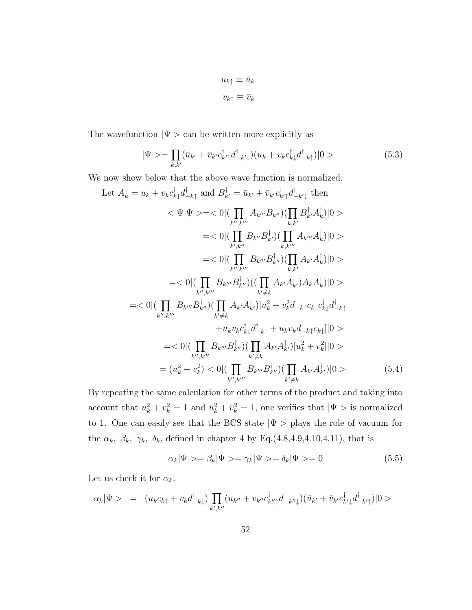$$
u_{k\uparrow} \equiv \bar{u}_k
$$

$$
v_{k\uparrow} \equiv \bar{v}_k
$$

The wavefunction  $|\Psi\rangle$  can be written more explicitly as

$$
|\Psi\rangle = \prod_{k,k'} (\bar{u}_{k'} + \bar{v}_{k'} c_{k'\uparrow}^\dagger d_{-k'\downarrow}^\dagger)(u_k + v_k c_{k\downarrow}^\dagger d_{-k\uparrow}^\dagger)|0\rangle \tag{5.3}
$$

We now show below that the above wave function is normalized.

Let 
$$
A_k^{\dagger} = u_k + v_k c_{k\downarrow}^{\dagger} d_{-k\uparrow}^{\dagger}
$$
 and  $B_{k'}^{\dagger} = \bar{u}_{k'} + \bar{v}_{k'} c_{k'\uparrow}^{\dagger} d_{-k'\downarrow}^{\dagger}$  then  
\n
$$
<\Psi|\Psi> = <0 |(\prod_{k'',k'''} A_{k'''}B_{k''}) (\prod_{k,k'} B_{k'}^{\dagger} A_{k'}^{\dagger})|0>
$$
\n
$$
= <0 |(\prod_{k',k''} B_{k''}B_{k'}^{\dagger}) (\prod_{k,k'''} A_{k'''}A_{k}^{\dagger})|0>
$$
\n
$$
= <0 |(\prod_{k'',k'''} B_{k'''}B_{k''}^{\dagger}) (\prod_{k,k'} A_{k'}A_{k}^{\dagger})|0>
$$
\n
$$
= <0 |(\prod_{k'',k'''} B_{k'''}B_{k''}^{\dagger}) ((\prod_{k'\neq k} A_{k'}A_{k'}^{\dagger}) A_{k}A_{k}^{\dagger})|0>
$$
\n
$$
= <0 |(\prod_{k'',k'''} B_{k'''}B_{k''}^{\dagger}) (\prod_{k'\neq k} A_{k'}A_{k'}^{\dagger}) (A_{k'}A_{k'}^{\dagger}) d_{-k\uparrow}^{\dagger}
$$
\n
$$
+u_k v_k c_{k\downarrow}^{\dagger} d_{-k\uparrow}^{\dagger} + u_k v_k d_{-k\uparrow} c_{k\downarrow} |0>
$$
\n
$$
= <0 |(\prod_{k'',k'''} B_{k'''}B_{k''}^{\dagger}) (\prod_{k'\neq k} A_{k'}A_{k'}^{\dagger}) [u_k^2 + v_k^2]|0>
$$
\n
$$
= (u_k^2 + v_k^2) <0 |(\prod_{k'',k'''} B_{k'''}B_{k''}^{\dagger}) (\prod_{k'\neq k} A_{k'}A_{k'}^{\dagger})|0>
$$
\n(5.4)

By repeating the same calculation for other terms of the product and taking into account that  $u_k^2 + v_k^2 = 1$  and  $\bar{u}_k^2 + \bar{v}_k^2 = 1$ , one verifies that  $|\Psi\rangle$  is normalized to 1. One can easily see that the BCS state  $|\Psi \rangle$  plays the role of vacuum for the  $\alpha_k$ ,  $\beta_k$ ,  $\gamma_k$ ,  $\delta_k$ , defined in chapter 4 by Eq.(4.8,4.9,4.10,4.11), that is

$$
\alpha_k|\Psi\rangle = \beta_k|\Psi\rangle = \gamma_k|\Psi\rangle = \delta_k|\Psi\rangle = 0
$$
\n(5.5)

Let us check it for  $\alpha_k$ .

$$
\alpha_k|\Psi\rangle = (u_k c_{k\uparrow} + v_k d^{\dagger}_{-k\downarrow}) \prod_{k',k''} (u_{k''} + v_{k''} c^{\dagger}_{k''\uparrow} d^{\dagger}_{-k''\downarrow}) (\bar{u}_{k'} + \bar{v}_{k'} c^{\dagger}_{k'\downarrow} d^{\dagger}_{-k'\uparrow})|0\rangle
$$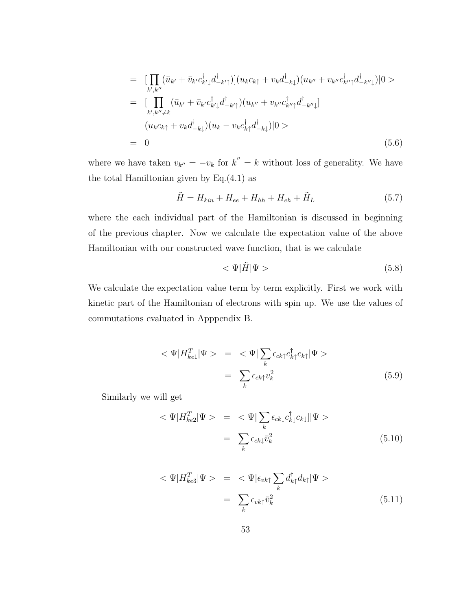$$
= \left[\prod_{k',k''} (\bar{u}_{k'} + \bar{v}_{k'}c_{k'1}^{\dagger}d_{-k'1}^{\dagger})](u_{k}c_{k\uparrow} + v_{k}d_{-k\downarrow}^{\dagger})(u_{k''} + v_{k''}c_{k''\uparrow}^{\dagger}d_{-k''\downarrow}^{\dagger})|0\rangle
$$
  
\n
$$
= \left[\prod_{k',k''\neq k} (\bar{u}_{k'} + \bar{v}_{k'}c_{k'\downarrow}^{\dagger}d_{-k'\uparrow}^{\dagger})(u_{k''} + v_{k''}c_{k''\uparrow}^{\dagger}d_{-k''\downarrow}^{\dagger})\right]
$$
  
\n
$$
(u_{k}c_{k\uparrow} + v_{k}d_{-k\downarrow}^{\dagger})(u_{k} - v_{k}c_{k\uparrow}^{\dagger}d_{-k\downarrow}^{\dagger})|0\rangle
$$
  
\n
$$
= 0
$$
 (5.6)

where we have taken  $v_{k''} = -v_k$  for  $k'' = k$  without loss of generality. We have the total Hamiltonian given by Eq.(4.1) as

$$
\tilde{H} = H_{kin} + H_{ee} + H_{hh} + H_{eh} + \tilde{H}_L
$$
\n(5.7)

where the each individual part of the Hamiltonian is discussed in beginning of the previous chapter. Now we calculate the expectation value of the above Hamiltonian with our constructed wave function, that is we calculate

$$
\langle \Psi | \tilde{H} | \Psi \rangle \tag{5.8}
$$

We calculate the expectation value term by term explicitly. First we work with kinetic part of the Hamiltonian of electrons with spin up. We use the values of commutations evaluated in Apppendix B.

$$
\langle \Psi | H_{kel}^T | \Psi \rangle = \langle \Psi | \sum_k \epsilon_{ck\uparrow} c_{k\uparrow}^\dagger c_{k\uparrow} | \Psi \rangle
$$

$$
= \sum_k \epsilon_{ck\uparrow} v_k^2 \tag{5.9}
$$

Similarly we will get

$$
\langle \Psi | H_{ke2}^T | \Psi \rangle = \langle \Psi | \sum_k \epsilon_{ck\downarrow} c_{k\downarrow}^\dagger c_{k\downarrow} | |\Psi \rangle
$$

$$
= \sum_k \epsilon_{ck\downarrow} \bar{v}_k^2 \tag{5.10}
$$

$$
\langle \Psi | H_{ke3}^T | \Psi \rangle = \langle \Psi | \epsilon_{vk\uparrow} \sum_k d_{k\uparrow}^\dagger d_{k\uparrow} | \Psi \rangle
$$

$$
= \sum_k \epsilon_{vk\uparrow} \bar{v}_k^2
$$
(5.11)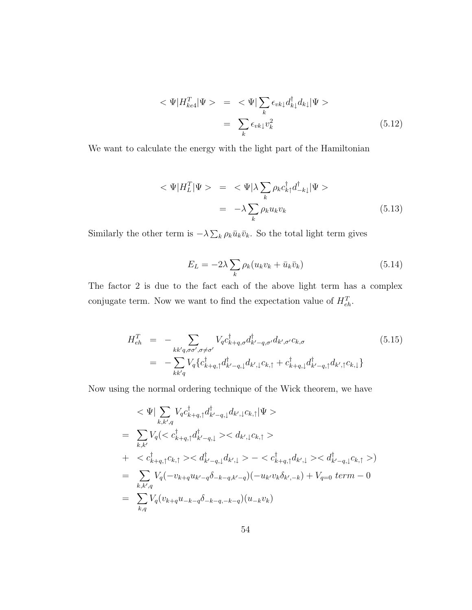$$
\langle \Psi | H_{ke4}^T | \Psi \rangle = \langle \Psi | \sum_k \epsilon_{vk\downarrow} d_{k\downarrow}^\dagger d_{k\downarrow} | \Psi \rangle
$$

$$
= \sum_k \epsilon_{vk\downarrow} v_k^2 \tag{5.12}
$$

We want to calculate the energy with the light part of the Hamiltonian

$$
\langle \Psi | H_L^T | \Psi \rangle = \langle \Psi | \lambda \sum_k \rho_k c_{k\uparrow}^\dagger d_{-k\downarrow}^\dagger | \Psi \rangle
$$

$$
= -\lambda \sum_k \rho_k u_k v_k \tag{5.13}
$$

Similarly the other term is  $-\lambda \sum_{k} \rho_k \bar{u}_k \bar{v}_k$ . So the total light term gives

$$
E_L = -2\lambda \sum_k \rho_k (u_k v_k + \bar{u}_k \bar{v}_k)
$$
\n(5.14)

The factor 2 is due to the fact each of the above light term has a complex conjugate term. Now we want to find the expectation value of  $H_{eh}^T$ .

$$
H_{eh}^T = - \sum_{kk'q, \sigma\sigma', \sigma \neq \sigma'} V_q c_{k+q, \sigma}^\dagger d_{k'-q, \sigma'}^\dagger d_{k', \sigma'} c_{k, \sigma}
$$
(5.15)  

$$
= - \sum_{kk'q} V_q \{c_{k+q, \uparrow}^\dagger d_{k'-q, \downarrow}^\dagger d_{k', \downarrow} c_{k, \uparrow} + c_{k+q, \downarrow}^\dagger d_{k'-q, \uparrow}^\dagger d_{k', \uparrow} c_{k, \downarrow} \}
$$

Now using the normal ordering technique of the Wick theorem, we have

$$
\langle \Psi | \sum_{k,k',q} V_q c_{k+q,\uparrow}^{\dagger} d_{k'-q,\downarrow}^{\dagger} d_{k',\downarrow} c_{k,\uparrow} | \Psi \rangle
$$
\n
$$
= \sum_{k,k'} V_q \langle c_{k+q,\uparrow}^{\dagger} d_{k'-q,\downarrow}^{\dagger} \rangle \langle d_{k',\downarrow} c_{k,\uparrow} \rangle
$$
\n
$$
+ \langle c_{k+q,\uparrow}^{\dagger} c_{k,\uparrow} \rangle \langle d_{k'-q,\downarrow}^{\dagger} d_{k',\downarrow} \rangle - \langle c_{k+q,\uparrow}^{\dagger} d_{k',\downarrow} \rangle \langle d_{k'-q,\downarrow}^{\dagger} c_{k,\uparrow} \rangle)
$$
\n
$$
= \sum_{k,k',q} V_q(-v_{k+q} u_{k'-q} \delta_{-k-q,k'-q})(-u_{k'} v_k \delta_{k',-k}) + V_{q=0} \ term - 0
$$
\n
$$
= \sum_{k,q} V_q(v_{k+q} u_{-k-q} \delta_{-k-q,-k-q})(u_{-k} v_k)
$$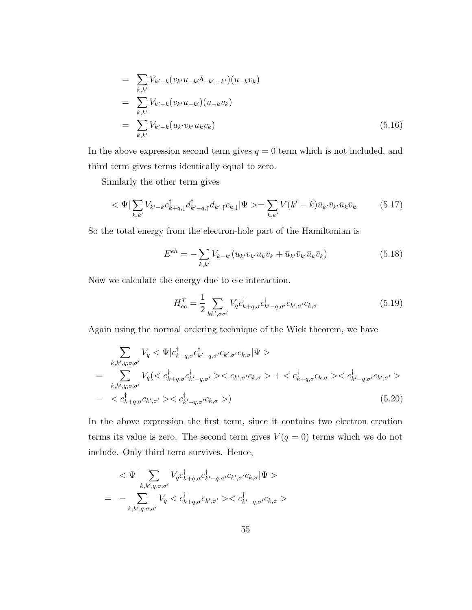$$
= \sum_{k,k'} V_{k'-k} (v_{k'} u_{-k'} \delta_{-k',-k'}) (u_{-k} v_k)
$$
  

$$
= \sum_{k,k'} V_{k'-k} (v_{k'} u_{-k'}) (u_{-k} v_k)
$$
  

$$
= \sum_{k,k'} V_{k'-k} (u_{k'} v_{k'} u_k v_k)
$$
 (5.16)

In the above expression second term gives  $q = 0$  term which is not included, and third term gives terms identically equal to zero.

Similarly the other term gives

$$
\langle \Psi | \sum_{k,k'} V_{k'-k} c_{k+q,\downarrow}^\dagger d_{k'-q,\uparrow}^\dagger d_{k',\uparrow} c_{k,\downarrow} | \Psi \rangle = \sum_{k,k'} V(k'-k) \bar{u}_{k'} \bar{v}_{k'} \bar{u}_k \bar{v}_k \tag{5.17}
$$

So the total energy from the electron-hole part of the Hamiltonian is

$$
E^{eh} = -\sum_{k,k'} V_{k-k'} (u_{k'}v_{k'}u_kv_k + \bar{u}_{k'}\bar{v}_{k'}\bar{u}_k\bar{v}_k)
$$
(5.18)

Now we calculate the energy due to e-e interaction.

$$
H_{ee}^T = \frac{1}{2} \sum_{kk',\sigma\sigma'} V_q c_{k+q,\sigma}^\dagger c_{k'-q,\sigma'}^{\dagger} c_{k',\sigma'} c_{k,\sigma}
$$
(5.19)

Again using the normal ordering technique of the Wick theorem, we have

$$
\sum_{k,k',q,\sigma,\sigma'} V_q < \Psi | c_{k+q,\sigma}^\dagger c_{k'-q,\sigma'}^\dagger c_{k',\sigma'} c_{k,\sigma} | \Psi \rangle
$$
\n
$$
= \sum_{k,k',q,\sigma,\sigma'} V_q < c_{k+q,\sigma}^\dagger c_{k'-q,\sigma'}^\dagger > < c_{k',\sigma'} c_{k,\sigma} > + < c_{k+q,\sigma}^\dagger c_{k,\sigma} > < c_{k'-q,\sigma'}^\dagger c_{k',\sigma'} > \\
- < c_{k+q,\sigma}^\dagger c_{k',\sigma'} > < c_{k'-q,\sigma'}^\dagger c_{k,\sigma} > \tag{5.20}
$$

In the above expression the first term, since it contains two electron creation terms its value is zero. The second term gives  $V(q = 0)$  terms which we do not include. Only third term survives. Hence,

$$
\langle \Psi | \sum_{k,k',q,\sigma,\sigma'} V_q c_{k+q,\sigma}^{\dagger} c_{k'-q,\sigma'}^{\dagger} c_{k',\sigma'} c_{k,\sigma} | \Psi \rangle
$$
  
= - 
$$
- \sum_{k,k',q,\sigma,\sigma'} V_q < c_{k+q,\sigma}^{\dagger} c_{k',\sigma'} >< c_{k'-q,\sigma'}^{\dagger} c_{k,\sigma} \rangle
$$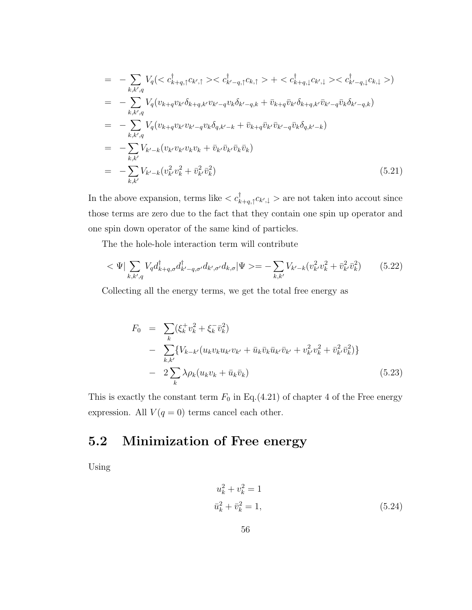$$
= - \sum_{k,k',q} V_q \left( \langle c_{k+q,\uparrow}^{\dagger} c_{k',\uparrow} \rangle \langle c_{k'-q,\uparrow}^{\dagger} c_{k,\uparrow} \rangle + \langle c_{k+q,\downarrow}^{\dagger} c_{k',\downarrow} \rangle \langle c_{k'-q,\downarrow}^{\dagger} c_{k,\downarrow} \rangle \right)
$$
  
\n
$$
= - \sum_{k,k',q} V_q \left( v_{k+q} v_{k'} \delta_{k+q,k'} v_{k'-q} v_k \delta_{k'-q,k} + \bar{v}_{k+q} \bar{v}_{k'} \delta_{k+q,k'} \bar{v}_{k'-q} \bar{v}_k \delta_{k'-q,k} \right)
$$
  
\n
$$
= - \sum_{k,k',q} V_q \left( v_{k+q} v_{k'} v_{k'-q} v_k \delta_{q,k'-k} + \bar{v}_{k+q} \bar{v}_{k'} \bar{v}_{k'-q} \bar{v}_k \delta_{q,k'-k} \right)
$$
  
\n
$$
= - \sum_{k,k'} V_{k'-k} \left( v_{k'} v_{k'} v_{k} v_k + \bar{v}_{k'} \bar{v}_{k} \bar{v}_k \right)
$$
  
\n
$$
= - \sum_{k,k'} V_{k'-k} \left( v_{k'}^2 v_k^2 + \bar{v}_{k'}^2 \bar{v}_k^2 \right)
$$
  
\n
$$
(5.21)
$$

In the above expansion, terms like  $\langle c_k^{\dagger} \rangle$  $\mathcal{L}_{k+q,\uparrow}^{\dagger}c_{k',\downarrow}$  > are not taken into accout since those terms are zero due to the fact that they contain one spin up operator and one spin down operator of the same kind of particles.

The the hole-hole interaction term will contribute

$$
\langle \Psi | \sum_{k,k',q} V_q d_{k+q,\sigma}^\dagger d_{k'-q,\sigma'}^\dagger d_{k',\sigma'} d_{k,\sigma} | \Psi \rangle = - \sum_{k,k'} V_{k'-k} (v_{k'}^2 v_k^2 + \bar{v}_{k'}^2 \bar{v}_k^2) \tag{5.22}
$$

Collecting all the energy terms, we get the total free energy as

$$
F_0 = \sum_{k} (\xi_k^+ v_k^2 + \xi_k^- \bar{v}_k^2)
$$
  
\n
$$
- \sum_{k,k'} \{ V_{k-k'} (u_k v_k u_{k'} v_{k'} + \bar{u}_k \bar{v}_k \bar{u}_{k'} \bar{v}_{k'} + v_{k'}^2 v_k^2 + \bar{v}_{k'}^2 \bar{v}_k^2) \}
$$
  
\n
$$
- 2 \sum_{k} \lambda \rho_k (u_k v_k + \bar{u}_k \bar{v}_k)
$$
 (5.23)

This is exactly the constant term  $F_0$  in Eq.(4.21) of chapter 4 of the Free energy expression. All  $V(q = 0)$  terms cancel each other.

## 5.2 Minimization of Free energy

Using

$$
u_k^2 + v_k^2 = 1
$$
  
\n
$$
\bar{u}_k^2 + \bar{v}_k^2 = 1,
$$
\n(5.24)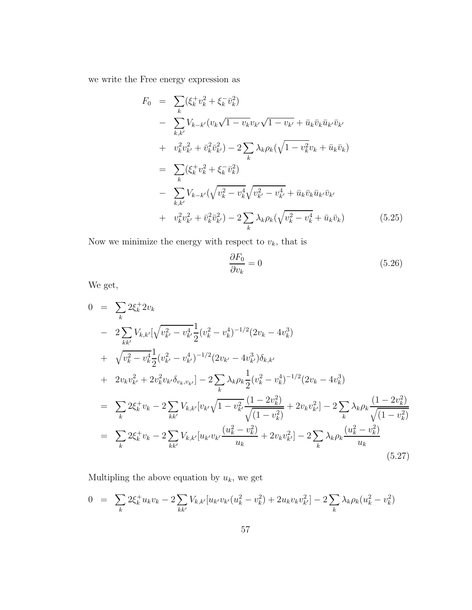we write the Free energy expression as

$$
F_0 = \sum_{k} (\xi_k^+ v_k^2 + \xi_k^- \bar{v}_k^2)
$$
  
\n
$$
- \sum_{k,k'} V_{k-k'} (v_k \sqrt{1 - v_k} v_{k'} \sqrt{1 - v_{k'}} + \bar{u}_k \bar{v}_k \bar{u}_{k'} \bar{v}_{k'}
$$
  
\n
$$
+ v_k^2 v_{k'}^2 + \bar{v}_k^2 \bar{v}_{k'}^2) - 2 \sum_{k} \lambda_k \rho_k (\sqrt{1 - v_k^2} v_k + \bar{u}_k \bar{v}_k)
$$
  
\n
$$
= \sum_{k} (\xi_k^+ v_k^2 + \xi_k^- \bar{v}_k^2)
$$
  
\n
$$
- \sum_{k,k'} V_{k-k'} (\sqrt{v_k^2 - v_k^4} \sqrt{v_{k'}^2 - v_{k'}^4} + \bar{u}_k \bar{v}_k \bar{u}_{k'} \bar{v}_{k'}
$$
  
\n
$$
+ v_k^2 v_{k'}^2 + \bar{v}_k^2 \bar{v}_{k'}^2) - 2 \sum_{k} \lambda_k \rho_k (\sqrt{v_k^2 - v_k^4} + \bar{u}_k \bar{v}_k)
$$
 (5.25)

Now we minimize the energy with respect to  $v_k$ , that is

$$
\frac{\partial F_0}{\partial v_k} = 0 \tag{5.26}
$$

We get,

$$
0 = \sum_{k} 2\xi_{k}^{+} 2v_{k}
$$
  
\n
$$
- 2\sum_{kk'} V_{k,k'} [\sqrt{v_{k'}^{2} - v_{k'}^{4}} \frac{1}{2} (v_{k}^{2} - v_{k}^{4})^{-1/2} (2v_{k} - 4v_{k}^{3})
$$
  
\n
$$
+ \sqrt{v_{k}^{2} - v_{k}^{4}} \frac{1}{2} (v_{k'}^{2} - v_{k'}^{4})^{-1/2} (2v_{k'} - 4v_{k'}^{3}) \delta_{k,k'}
$$
  
\n
$$
+ 2v_{k}v_{k'}^{2} + 2v_{k}^{2}v_{k'}\delta_{v_{k},v_{k'}}] - 2\sum_{k} \lambda_{k}\rho_{k} \frac{1}{2} (v_{k}^{2} - v_{k}^{4})^{-1/2} (2v_{k} - 4v_{k}^{3})
$$
  
\n
$$
= \sum_{k} 2\xi_{k}^{+} v_{k} - 2\sum_{kk'} V_{k,k'} [v_{k'}\sqrt{1 - v_{k'}^{2}} \frac{(1 - 2v_{k}^{2})}{\sqrt{(1 - v_{k}^{2})}} + 2v_{k}v_{k'}^{2}] - 2\sum_{k} \lambda_{k}\rho_{k} \frac{(1 - 2v_{k}^{2})}{\sqrt{(1 - v_{k}^{2})}}
$$
  
\n
$$
= \sum_{k} 2\xi_{k}^{+} v_{k} - 2\sum_{kk'} V_{k,k'} [u_{k'}v_{k'} \frac{(u_{k}^{2} - v_{k}^{2})}{u_{k}} + 2v_{k}v_{k'}^{2}] - 2\sum_{k} \lambda_{k}\rho_{k} \frac{(u_{k}^{2} - v_{k}^{2})}{u_{k}}
$$
  
\n(5.27)

Multipling the above equation by  $u_k$ , we get

$$
0 = \sum_{k} 2\xi_{k}^{+} u_{k} v_{k} - 2 \sum_{kk'} V_{k,k'} [u_{k'} v_{k'} (u_{k}^{2} - v_{k}^{2}) + 2u_{k} v_{k} v_{k'}^{2}] - 2 \sum_{k} \lambda_{k} \rho_{k} (u_{k}^{2} - v_{k}^{2})
$$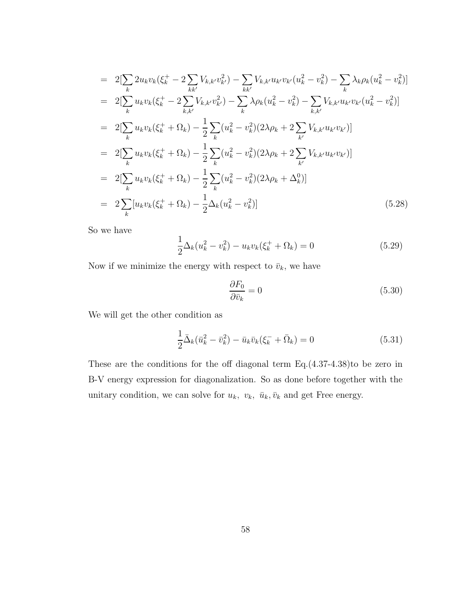$$
= 2[\sum_{k} 2u_{k}v_{k}(\xi_{k}^{+} - 2\sum_{kk'} V_{k,k'}v_{k'}^{2}) - \sum_{kk'} V_{k,k'}u_{k'}v_{k'}(u_{k}^{2} - v_{k}^{2}) - \sum_{k} \lambda_{k}\rho_{k}(u_{k}^{2} - v_{k}^{2})]
$$
  
\n
$$
= 2[\sum_{k} u_{k}v_{k}(\xi_{k}^{+} - 2\sum_{k,k'} V_{k,k'}v_{k'}^{2}) - \sum_{k} \lambda\rho_{k}(u_{k}^{2} - v_{k}^{2}) - \sum_{k,k'} V_{k,k'}u_{k'}v_{k'}(u_{k}^{2} - v_{k}^{2})]
$$
  
\n
$$
= 2[\sum_{k} u_{k}v_{k}(\xi_{k}^{+} + \Omega_{k}) - \frac{1}{2}\sum_{k} (u_{k}^{2} - v_{k}^{2})(2\lambda\rho_{k} + 2\sum_{k'} V_{k,k'}u_{k'}v_{k'})]
$$
  
\n
$$
= 2[\sum_{k} u_{k}v_{k}(\xi_{k}^{+} + \Omega_{k}) - \frac{1}{2}\sum_{k} (u_{k}^{2} - v_{k}^{2})(2\lambda\rho_{k} + 2\sum_{k'} V_{k,k'}u_{k'}v_{k'})]
$$
  
\n
$$
= 2[\sum_{k} u_{k}v_{k}(\xi_{k}^{+} + \Omega_{k}) - \frac{1}{2}\sum_{k} (u_{k}^{2} - v_{k}^{2})(2\lambda\rho_{k} + \Delta_{k}^{0})]
$$
  
\n
$$
= 2\sum_{k} [u_{k}v_{k}(\xi_{k}^{+} + \Omega_{k}) - \frac{1}{2}\Delta_{k}(u_{k}^{2} - v_{k}^{2})]
$$
(5.28)

So we have

$$
\frac{1}{2}\Delta_k(u_k^2 - v_k^2) - u_kv_k(\xi_k^+ + \Omega_k) = 0
$$
\n(5.29)

Now if we minimize the energy with respect to  $\bar{v}_k$ , we have

$$
\frac{\partial F_0}{\partial \bar{v}_k} = 0\tag{5.30}
$$

We will get the other condition as

$$
\frac{1}{2}\bar{\Delta}_k(\bar{u}_k^2 - \bar{v}_k^2) - \bar{u}_k\bar{v}_k(\xi_k^- + \bar{\Omega}_k) = 0
$$
\n(5.31)

These are the conditions for the off diagonal term Eq.(4.37-4.38)to be zero in B-V energy expression for diagonalization. So as done before together with the unitary condition, we can solve for  $u_k$ ,  $v_k$ ,  $\bar{u}_k$ ,  $\bar{v}_k$  and get Free energy.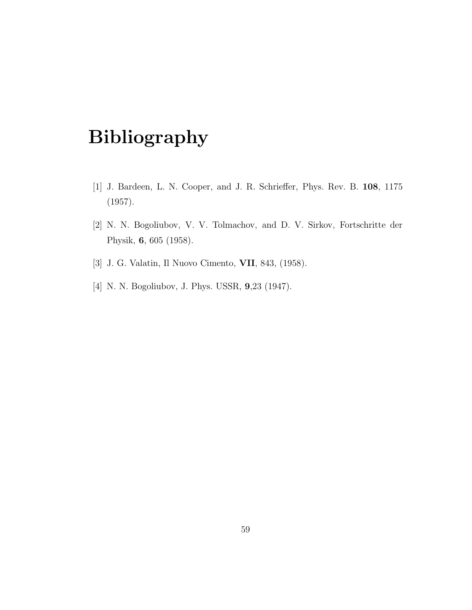### Bibliography

- [1] J. Bardeen, L. N. Cooper, and J. R. Schrieffer, Phys. Rev. B. 108, 1175 (1957).
- [2] N. N. Bogoliubov, V. V. Tolmachov, and D. V. Sirkov, Fortschritte der Physik, 6, 605 (1958).
- [3] J. G. Valatin, Il Nuovo Cimento, VII, 843, (1958).
- [4] N. N. Bogoliubov, J. Phys. USSR, 9,23 (1947).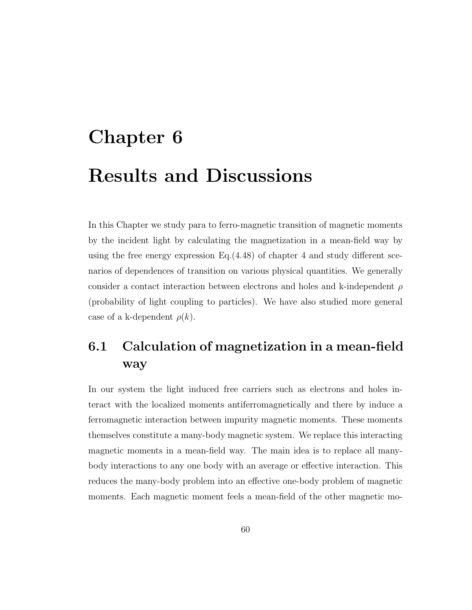# Chapter 6 Results and Discussions

In this Chapter we study para to ferro-magnetic transition of magnetic moments by the incident light by calculating the magnetization in a mean-field way by using the free energy expression Eq. $(4.48)$  of chapter 4 and study different scenarios of dependences of transition on various physical quantities. We generally consider a contact interaction between electrons and holes and k-independent  $\rho$ (probability of light coupling to particles). We have also studied more general case of a k-dependent  $\rho(k)$ .

#### 6.1 Calculation of magnetization in a mean-field way

In our system the light induced free carriers such as electrons and holes interact with the localized moments antiferromagnetically and there by induce a ferromagnetic interaction between impurity magnetic moments. These moments themselves constitute a many-body magnetic system. We replace this interacting magnetic moments in a mean-field way. The main idea is to replace all manybody interactions to any one body with an average or effective interaction. This reduces the many-body problem into an effective one-body problem of magnetic moments. Each magnetic moment feels a mean-field of the other magnetic mo-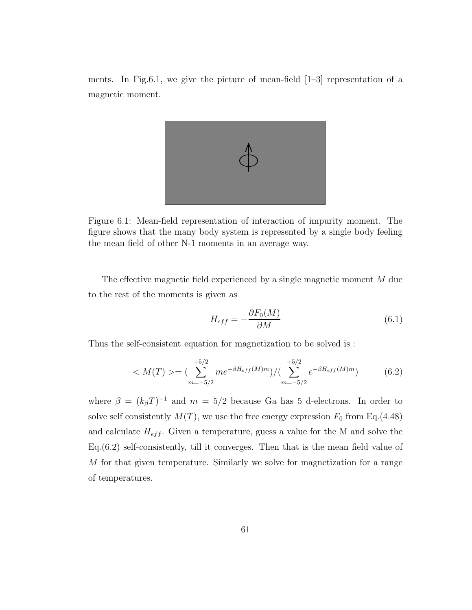ments. In Fig.6.1, we give the picture of mean-field  $[1-3]$  representation of a magnetic moment.



Figure 6.1: Mean-field representation of interaction of impurity moment. The figure shows that the many body system is represented by a single body feeling the mean field of other N-1 moments in an average way.

The effective magnetic field experienced by a single magnetic moment M due to the rest of the moments is given as

$$
H_{eff} = -\frac{\partial F_0(M)}{\partial M} \tag{6.1}
$$

Thus the self-consistent equation for magnetization to be solved is :

$$
\langle M(T) \rangle = \left( \sum_{m=-5/2}^{+5/2} m e^{-\beta H_{eff}(M)m} \right) / \left( \sum_{m=-5/2}^{+5/2} e^{-\beta H_{eff}(M)m} \right) \tag{6.2}
$$

where  $\beta = (k_{\beta}T)^{-1}$  and  $m = 5/2$  because Ga has 5 d-electrons. In order to solve self consistently  $M(T)$ , we use the free energy expression  $F_0$  from Eq.(4.48) and calculate  $H_{eff}$ . Given a temperature, guess a value for the M and solve the Eq.(6.2) self-consistently, till it converges. Then that is the mean field value of M for that given temperature. Similarly we solve for magnetization for a range of temperatures.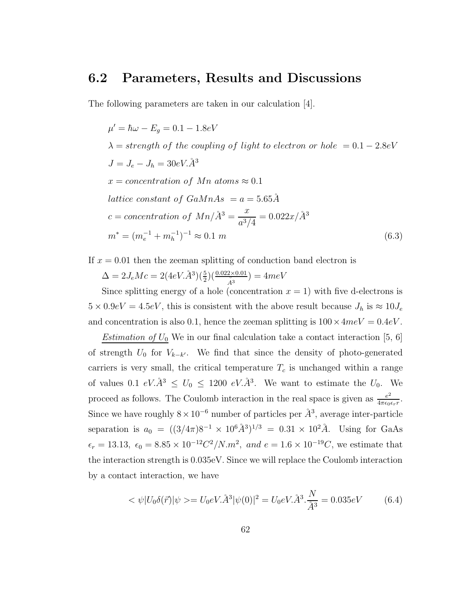#### 6.2 Parameters, Results and Discussions

The following parameters are taken in our calculation [4].

 $\mu' = \hbar \omega - E_g = 0.1 - 1.8eV$  $\lambda = strength of the coupling of light to electron or hole = 0.1 - 2.8eV$  $J = J_e - J_h = 30eV \hat{A}^3$  $x = concentration \ of \ Mn \ atoms \approx 0.1$ lattice constant of  $GaMnAs = a = 5.65\AA$  $c = concentration \ of \ Mn/\AA^3 = \frac{x}{3}$  $a^3/4$  $= 0.022 x/\AA^{3}$  $m^* = (m_e^{-1} + m_h^{-1})^{-1} \approx 0.1 \ m$  (6.3)

If  $x = 0.01$  then the zeeman splitting of conduction band electron is

 $\Delta = 2J_eMc = 2(4eV.\AA^3)(\frac{5}{2})(\frac{0.022 \times 0.01}{\AA^3}) = 4meV$ 

Since splitting energy of a hole (concentration  $x = 1$ ) with five d-electrons is  $5 \times 0.9 \text{eV} = 4.5 \text{eV}$ , this is consistent with the above result because  $J_h$  is  $\approx 10 J_e$ and concentration is also 0.1, hence the zeeman splitting is  $100 \times 4meV = 0.4eV$ .

Estimation of  $U_0$  We in our final calculation take a contact interaction [5, 6] of strength  $U_0$  for  $V_{k-k'}$ . We find that since the density of photo-generated carriers is very small, the critical temperature  $T_c$  is unchanged within a range of values 0.1  $eV \hat{A}^3 \leq U_0 \leq 1200 eV \hat{A}^3$ . We want to estimate the  $U_0$ . We proceed as follows. The Coulomb interaction in the real space is given as  $\frac{e^2}{4\pi\epsilon_0}$  $\frac{e^2}{4\pi\epsilon_0\epsilon_r r}.$ Since we have roughly  $8 \times 10^{-6}$  number of particles per  $\AA^3$ , average inter-particle separation is  $a_0 = ((3/4\pi)8^{-1} \times 10^6 \AA^3)^{1/3} = 0.31 \times 10^2 \AA$ . Using for GaAs  $\epsilon_r = 13.13, \ \epsilon_0 = 8.85 \times 10^{-12} C^2 / N.m^2, \ and \ e = 1.6 \times 10^{-19} C$ , we estimate that the interaction strength is 0.035eV. Since we will replace the Coulomb interaction by a contact interaction, we have

$$
\langle \psi | U_0 \delta(\vec{r}) | \psi \rangle = U_0 eV \mathring{A}^3 |\psi(0)|^2 = U_0 eV \mathring{A}^3 \mathring{A}^3 = 0.035 eV \tag{6.4}
$$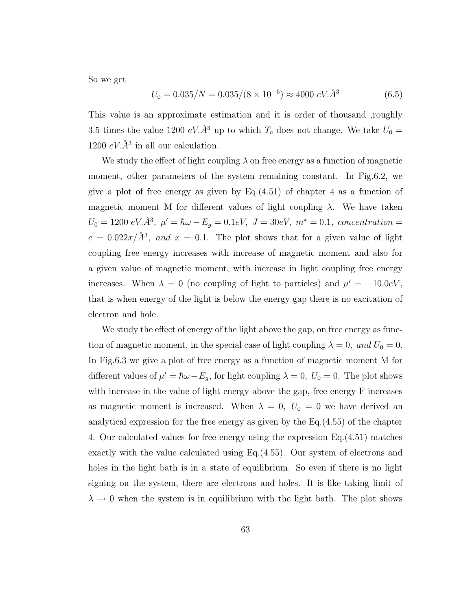So we get

$$
U_0 = 0.035/N = 0.035/(8 \times 10^{-6}) \approx 4000 \ eV.\AA^3 \tag{6.5}
$$

This value is an approximate estimation and it is order of thousand ,roughly 3.5 times the value 1200  $eV \hat{A}^3$  up to which  $T_c$  does not change. We take  $U_0 =$ 1200  $eV \hat{A}^3$  in all our calculation.

We study the effect of light coupling  $\lambda$  on free energy as a function of magnetic moment, other parameters of the system remaining constant. In Fig.6.2, we give a plot of free energy as given by  $Eq.(4.51)$  of chapter 4 as a function of magnetic moment M for different values of light coupling  $\lambda$ . We have taken  $U_0 = 1200 \ eV \AA^3$ ,  $\mu' = \hbar \omega - E_g = 0.1 eV$ ,  $J = 30 eV$ ,  $m^* = 0.1$ , concentration =  $c = 0.022x/\mathring{A}^3$ , and  $x = 0.1$ . The plot shows that for a given value of light coupling free energy increases with increase of magnetic moment and also for a given value of magnetic moment, with increase in light coupling free energy increases. When  $\lambda = 0$  (no coupling of light to particles) and  $\mu' = -10.0eV$ , that is when energy of the light is below the energy gap there is no excitation of electron and hole.

We study the effect of energy of the light above the gap, on free energy as function of magnetic moment, in the special case of light coupling  $\lambda = 0$ , and  $U_0 = 0$ . In Fig.6.3 we give a plot of free energy as a function of magnetic moment M for different values of  $\mu' = \hbar \omega - E_g$ , for light coupling  $\lambda = 0$ ,  $U_0 = 0$ . The plot shows with increase in the value of light energy above the gap, free energy F increases as magnetic moment is increased. When  $\lambda = 0$ ,  $U_0 = 0$  we have derived an analytical expression for the free energy as given by the Eq.(4.55) of the chapter 4. Our calculated values for free energy using the expression Eq.(4.51) matches exactly with the value calculated using Eq.(4.55). Our system of electrons and holes in the light bath is in a state of equilibrium. So even if there is no light signing on the system, there are electrons and holes. It is like taking limit of  $\lambda \to 0$  when the system is in equilibrium with the light bath. The plot shows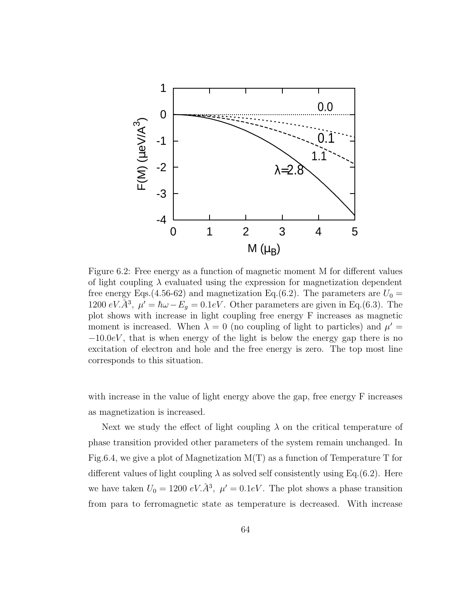

Figure 6.2: Free energy as a function of magnetic moment M for different values of light coupling  $\lambda$  evaluated using the expression for magnetization dependent free energy Eqs.(4.56-62) and magnetization Eq.(6.2). The parameters are  $U_0 =$ 1200 eV. $A^3$ ,  $\mu' = \hbar \omega - E_g = 0.1 eV$ . Other parameters are given in Eq.(6.3). The plot shows with increase in light coupling free energy F increases as magnetic moment is increased. When  $\lambda = 0$  (no coupling of light to particles) and  $\mu' =$  $-10.0eV$ , that is when energy of the light is below the energy gap there is no excitation of electron and hole and the free energy is zero. The top most line corresponds to this situation.

with increase in the value of light energy above the gap, free energy F increases as magnetization is increased.

Next we study the effect of light coupling  $\lambda$  on the critical temperature of phase transition provided other parameters of the system remain unchanged. In Fig.6.4, we give a plot of Magnetization  $M(T)$  as a function of Temperature T for different values of light coupling  $\lambda$  as solved self consistently using Eq.(6.2). Here we have taken  $U_0 = 1200 \ eV \AA^3$ ,  $\mu' = 0.1 eV$ . The plot shows a phase transition from para to ferromagnetic state as temperature is decreased. With increase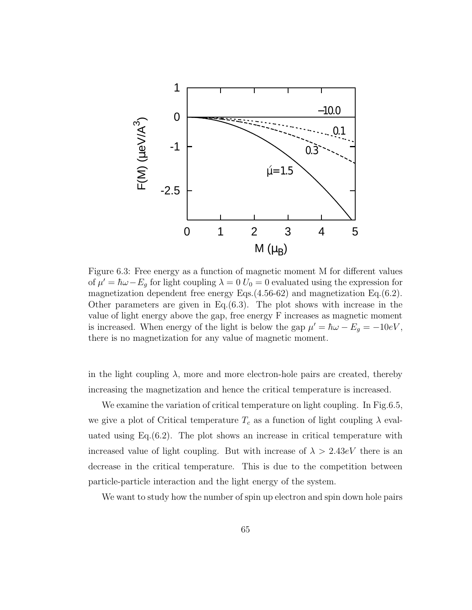

Figure 6.3: Free energy as a function of magnetic moment M for different values of  $\mu' = \hbar \omega - E_g$  for light coupling  $\lambda = 0$   $U_0 = 0$  evaluated using the expression for magnetization dependent free energy Eqs.(4.56-62) and magnetization Eq.(6.2). Other parameters are given in Eq.(6.3). The plot shows with increase in the value of light energy above the gap, free energy F increases as magnetic moment is increased. When energy of the light is below the gap  $\mu' = \hbar \omega - E_g = -10eV$ , there is no magnetization for any value of magnetic moment.

in the light coupling  $\lambda$ , more and more electron-hole pairs are created, thereby increasing the magnetization and hence the critical temperature is increased.

We examine the variation of critical temperature on light coupling. In Fig.6.5, we give a plot of Critical temperature  $T_c$  as a function of light coupling  $\lambda$  evaluated using Eq. $(6.2)$ . The plot shows an increase in critical temperature with increased value of light coupling. But with increase of  $\lambda > 2.43eV$  there is an decrease in the critical temperature. This is due to the competition between particle-particle interaction and the light energy of the system.

We want to study how the number of spin up electron and spin down hole pairs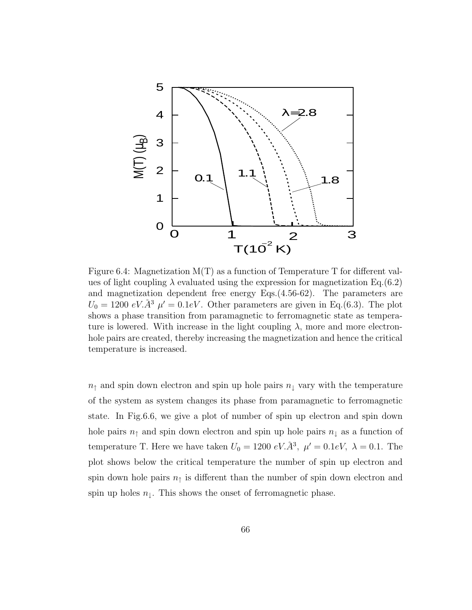

Figure 6.4: Magnetization  $M(T)$  as a function of Temperature T for different values of light coupling  $\lambda$  evaluated using the expression for magnetization Eq.(6.2) and magnetization dependent free energy Eqs.(4.56-62). The parameters are  $U_0 = 1200 \text{ eV} \cdot \AA^3$   $\mu' = 0.1 \text{ eV}$ . Other parameters are given in Eq.(6.3). The plot shows a phase transition from paramagnetic to ferromagnetic state as temperature is lowered. With increase in the light coupling  $\lambda$ , more and more electronhole pairs are created, thereby increasing the magnetization and hence the critical temperature is increased.

 $n_{\uparrow}$  and spin down electron and spin up hole pairs  $n_{\downarrow}$  vary with the temperature of the system as system changes its phase from paramagnetic to ferromagnetic state. In Fig.6.6, we give a plot of number of spin up electron and spin down hole pairs  $n<sub>†</sub>$  and spin down electron and spin up hole pairs  $n<sub>⊥</sub>$  as a function of temperature T. Here we have taken  $U_0 = 1200 \text{ eV} \cdot \text{A}^3$ ,  $\mu' = 0.1 \text{ eV}$ ,  $\lambda = 0.1$ . The plot shows below the critical temperature the number of spin up electron and spin down hole pairs  $n<sub>†</sub>$  is different than the number of spin down electron and spin up holes  $n_{\perp}$ . This shows the onset of ferromagnetic phase.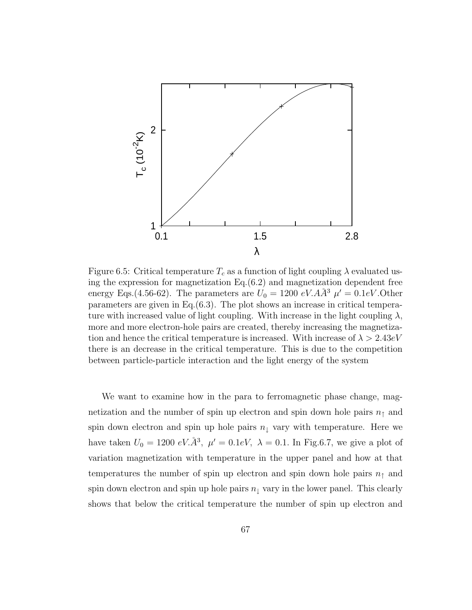

Figure 6.5: Critical temperature  $T_c$  as a function of light coupling  $\lambda$  evaluated using the expression for magnetization Eq.(6.2) and magnetization dependent free energy Eqs.(4.56-62). The parameters are  $U_0 = 1200 \ eV.A\AA^3 \ \mu' = 0.1 eV.Other$ parameters are given in Eq.(6.3). The plot shows an increase in critical temperature with increased value of light coupling. With increase in the light coupling  $\lambda$ , more and more electron-hole pairs are created, thereby increasing the magnetization and hence the critical temperature is increased. With increase of  $\lambda > 2.43 \text{eV}$ there is an decrease in the critical temperature. This is due to the competition between particle-particle interaction and the light energy of the system

We want to examine how in the para to ferromagnetic phase change, magnetization and the number of spin up electron and spin down hole pairs  $n_{\uparrow}$  and spin down electron and spin up hole pairs  $n_{\downarrow}$  vary with temperature. Here we have taken  $U_0 = 1200 \ eV \AA^3$ ,  $\mu' = 0.1 eV$ ,  $\lambda = 0.1$ . In Fig.6.7, we give a plot of variation magnetization with temperature in the upper panel and how at that temperatures the number of spin up electron and spin down hole pairs  $n<sub>†</sub>$  and spin down electron and spin up hole pairs  $n_{\downarrow}$  vary in the lower panel. This clearly shows that below the critical temperature the number of spin up electron and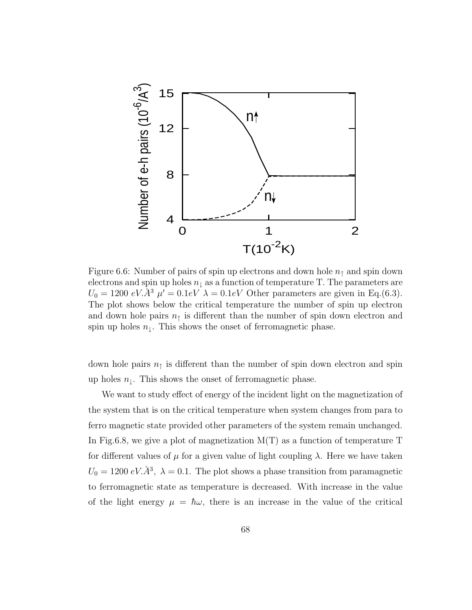

Figure 6.6: Number of pairs of spin up electrons and down hole  $n<sub>†</sub>$  and spin down electrons and spin up holes  $n_1$  as a function of temperature T. The parameters are  $U_0 = 1200 \text{ eV} \cdot \AA^3 \mu' = 0.1 \text{ eV} \lambda = 0.1 \text{ eV}$  Other parameters are given in Eq.(6.3). The plot shows below the critical temperature the number of spin up electron and down hole pairs  $n<sub>†</sub>$  is different than the number of spin down electron and spin up holes  $n_{\perp}$ . This shows the onset of ferromagnetic phase.

down hole pairs  $n_{\uparrow}$  is different than the number of spin down electron and spin up holes  $n_{\perp}$ . This shows the onset of ferromagnetic phase.

We want to study effect of energy of the incident light on the magnetization of the system that is on the critical temperature when system changes from para to ferro magnetic state provided other parameters of the system remain unchanged. In Fig.6.8, we give a plot of magnetization  $M(T)$  as a function of temperature T for different values of  $\mu$  for a given value of light coupling  $\lambda$ . Here we have taken  $U_0 = 1200 \ eV \AA^3$ ,  $\lambda = 0.1$ . The plot shows a phase transition from paramagnetic to ferromagnetic state as temperature is decreased. With increase in the value of the light energy  $\mu = \hbar \omega$ , there is an increase in the value of the critical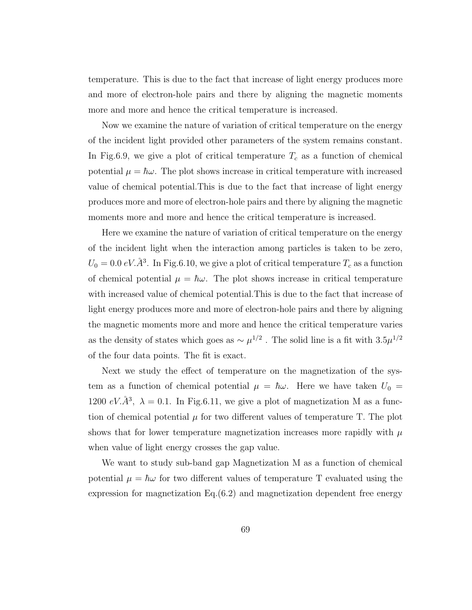temperature. This is due to the fact that increase of light energy produces more and more of electron-hole pairs and there by aligning the magnetic moments more and more and hence the critical temperature is increased.

Now we examine the nature of variation of critical temperature on the energy of the incident light provided other parameters of the system remains constant. In Fig.6.9, we give a plot of critical temperature  $T_c$  as a function of chemical potential  $\mu = \hbar \omega$ . The plot shows increase in critical temperature with increased value of chemical potential.This is due to the fact that increase of light energy produces more and more of electron-hole pairs and there by aligning the magnetic moments more and more and hence the critical temperature is increased.

Here we examine the nature of variation of critical temperature on the energy of the incident light when the interaction among particles is taken to be zero,  $U_0 = 0.0 \, eV \mathring{A}^3$ . In Fig.6.10, we give a plot of critical temperature  $T_c$  as a function of chemical potential  $\mu = \hbar \omega$ . The plot shows increase in critical temperature with increased value of chemical potential.This is due to the fact that increase of light energy produces more and more of electron-hole pairs and there by aligning the magnetic moments more and more and hence the critical temperature varies as the density of states which goes as  $\sim \mu^{1/2}$ . The solid line is a fit with  $3.5\mu^{1/2}$ of the four data points. The fit is exact.

Next we study the effect of temperature on the magnetization of the system as a function of chemical potential  $\mu = \hbar \omega$ . Here we have taken  $U_0 =$ 1200 eV. $A^3$ ,  $\lambda = 0.1$ . In Fig.6.11, we give a plot of magnetization M as a function of chemical potential  $\mu$  for two different values of temperature T. The plot shows that for lower temperature magnetization increases more rapidly with  $\mu$ when value of light energy crosses the gap value.

We want to study sub-band gap Magnetization M as a function of chemical potential  $\mu = \hbar \omega$  for two different values of temperature T evaluated using the expression for magnetization Eq.(6.2) and magnetization dependent free energy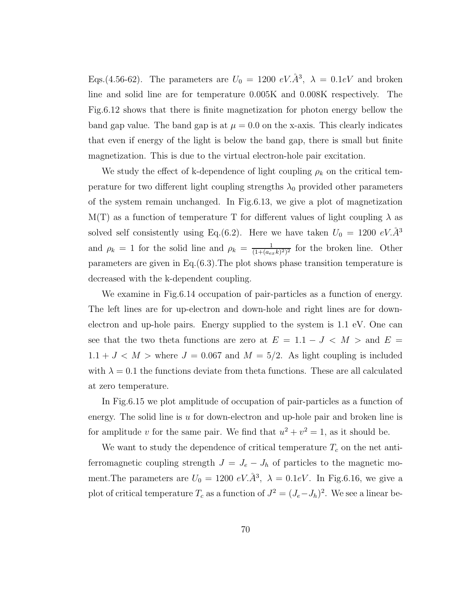Eqs.(4.56-62). The parameters are  $U_0 = 1200 \text{ eV} \cdot \AA^3$ ,  $\lambda = 0.1 \text{ eV}$  and broken line and solid line are for temperature 0.005K and 0.008K respectively. The Fig.6.12 shows that there is finite magnetization for photon energy bellow the band gap value. The band gap is at  $\mu = 0.0$  on the x-axis. This clearly indicates that even if energy of the light is below the band gap, there is small but finite magnetization. This is due to the virtual electron-hole pair excitation.

We study the effect of k-dependence of light coupling  $\rho_k$  on the critical temperature for two different light coupling strengths  $\lambda_0$  provided other parameters of the system remain unchanged. In Fig.6.13, we give a plot of magnetization  $M(T)$  as a function of temperature T for different values of light coupling  $\lambda$  as solved self consistently using Eq.(6.2). Here we have taken  $U_0 = 1200 \text{ eV} \cdot \AA^3$ and  $\rho_k = 1$  for the solid line and  $\rho_k = \frac{1}{(1 + \rho_k)^2}$  $\frac{1}{(1+(a_{ex}k)^2)^2}$  for the broken line. Other parameters are given in Eq.(6.3).The plot shows phase transition temperature is decreased with the k-dependent coupling.

We examine in Fig.6.14 occupation of pair-particles as a function of energy. The left lines are for up-electron and down-hole and right lines are for downelectron and up-hole pairs. Energy supplied to the system is 1.1 eV. One can see that the two theta functions are zero at  $E = 1.1 - J < M$  > and  $E =$  $1.1 + J < M$  > where  $J = 0.067$  and  $M = 5/2$ . As light coupling is included with  $\lambda = 0.1$  the functions deviate from theta functions. These are all calculated at zero temperature.

In Fig.6.15 we plot amplitude of occupation of pair-particles as a function of energy. The solid line is  $u$  for down-electron and up-hole pair and broken line is for amplitude v for the same pair. We find that  $u^2 + v^2 = 1$ , as it should be.

We want to study the dependence of critical temperature  $T_c$  on the net antiferromagnetic coupling strength  $J = J_e - J_h$  of particles to the magnetic moment. The parameters are  $U_0 = 1200 \ eV \AA^3$ ,  $\lambda = 0.1 eV$ . In Fig. 6.16, we give a plot of critical temperature  $T_c$  as a function of  $J^2 = (J_e - J_h)^2$ . We see a linear be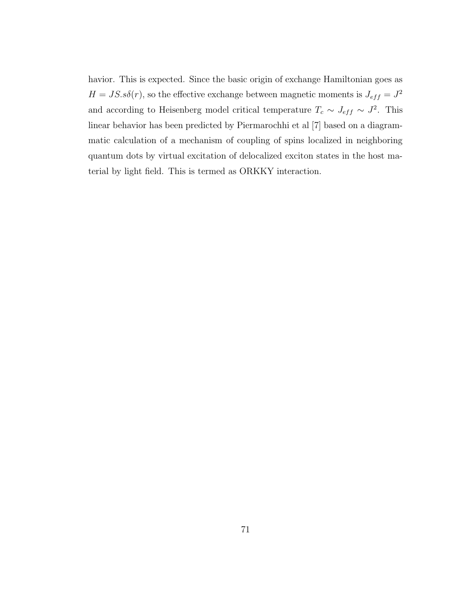havior. This is expected. Since the basic origin of exchange Hamiltonian goes as  $H = JS.s\delta(r)$ , so the effective exchange between magnetic moments is  $J_{eff} = J^2$ and according to Heisenberg model critical temperature  $T_c \sim J_{eff} \sim J^2$ . This linear behavior has been predicted by Piermarochhi et al [7] based on a diagrammatic calculation of a mechanism of coupling of spins localized in neighboring quantum dots by virtual excitation of delocalized exciton states in the host material by light field. This is termed as ORKKY interaction.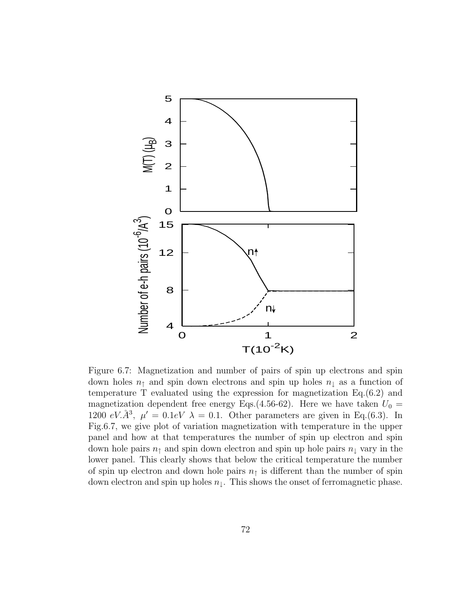

Figure 6.7: Magnetization and number of pairs of spin up electrons and spin down holes  $n<sub>†</sub>$  and spin down electrons and spin up holes  $n<sub>⊥</sub>$  as a function of temperature T evaluated using the expression for magnetization Eq.(6.2) and magnetization dependent free energy Eqs.(4.56-62). Here we have taken  $U_0 =$ 1200 eV. $A^3$ ,  $\mu' = 0.1eV$   $\lambda = 0.1$ . Other parameters are given in Eq.(6.3). In Fig.6.7, we give plot of variation magnetization with temperature in the upper panel and how at that temperatures the number of spin up electron and spin down hole pairs  $n_{\uparrow}$  and spin down electron and spin up hole pairs  $n_{\uparrow}$  vary in the lower panel. This clearly shows that below the critical temperature the number of spin up electron and down hole pairs  $n_{\uparrow}$  is different than the number of spin down electron and spin up holes  $n_{\perp}$ . This shows the onset of ferromagnetic phase.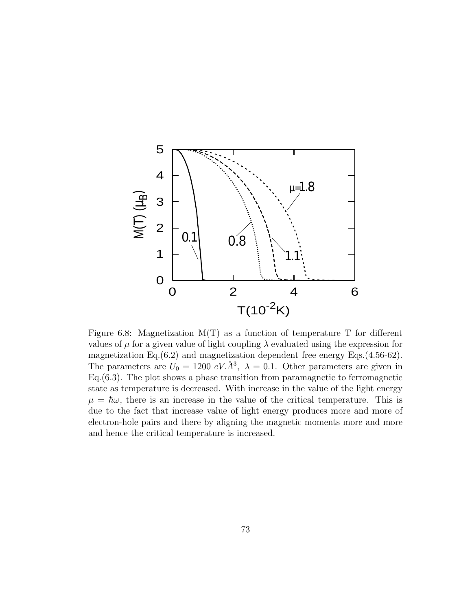

Figure 6.8: Magnetization  $M(T)$  as a function of temperature T for different values of  $\mu$  for a given value of light coupling  $\lambda$  evaluated using the expression for magnetization Eq.(6.2) and magnetization dependent free energy Eqs.(4.56-62). The parameters are  $U_0 = 1200 \text{ eV} \AA^3$ ,  $\lambda = 0.1$ . Other parameters are given in Eq.(6.3). The plot shows a phase transition from paramagnetic to ferromagnetic state as temperature is decreased. With increase in the value of the light energy  $\mu = \hbar \omega$ , there is an increase in the value of the critical temperature. This is due to the fact that increase value of light energy produces more and more of electron-hole pairs and there by aligning the magnetic moments more and more and hence the critical temperature is increased.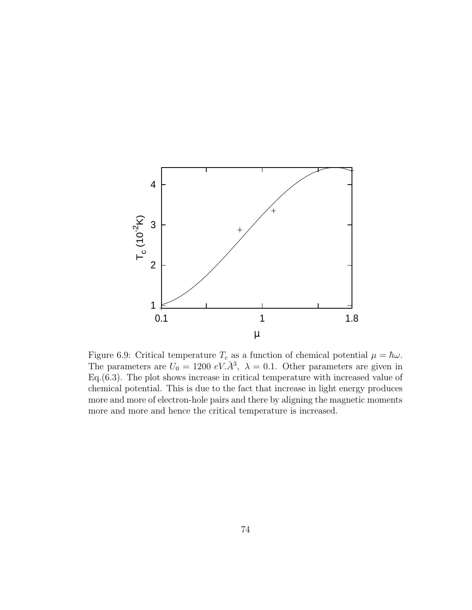

Figure 6.9: Critical temperature  $T_c$  as a function of chemical potential  $\mu = \hbar \omega$ . The parameters are  $U_0 = 1200 \text{ eV} \AA^3$ ,  $\lambda = 0.1$ . Other parameters are given in Eq.(6.3). The plot shows increase in critical temperature with increased value of chemical potential. This is due to the fact that increase in light energy produces more and more of electron-hole pairs and there by aligning the magnetic moments more and more and hence the critical temperature is increased.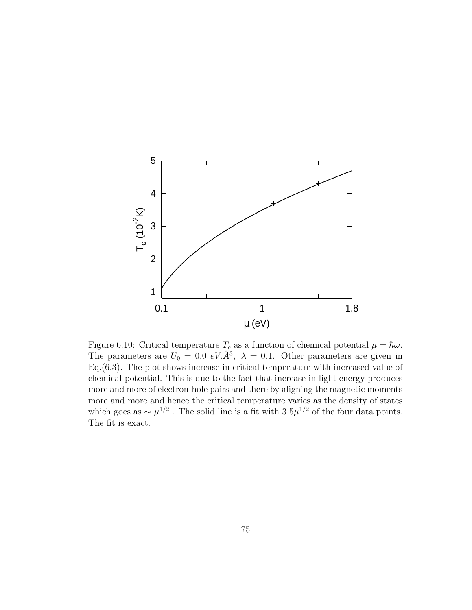

Figure 6.10: Critical temperature  $T_c$  as a function of chemical potential  $\mu = \hbar \omega$ . The parameters are  $U_0 = 0.0 \text{ eV} \cdot \AA^3$ ,  $\lambda = 0.1$ . Other parameters are given in Eq.(6.3). The plot shows increase in critical temperature with increased value of chemical potential. This is due to the fact that increase in light energy produces more and more of electron-hole pairs and there by aligning the magnetic moments more and more and hence the critical temperature varies as the density of states which goes as  $\sim \mu^{1/2}$ . The solid line is a fit with  $3.5\mu^{1/2}$  of the four data points. The fit is exact.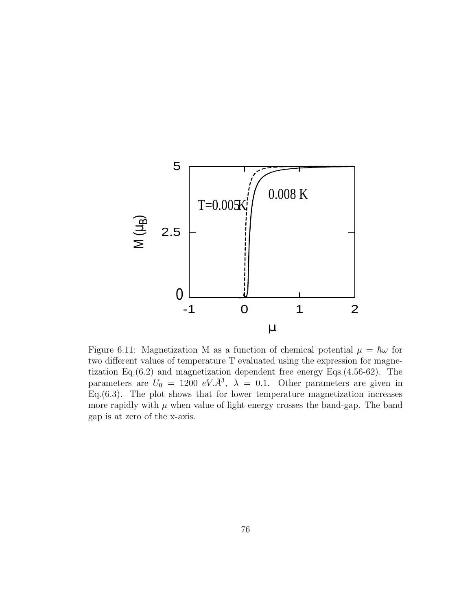

Figure 6.11: Magnetization M as a function of chemical potential  $\mu = \hbar \omega$  for two different values of temperature T evaluated using the expression for magnetization Eq.(6.2) and magnetization dependent free energy Eqs.(4.56-62). The parameters are  $U_0 = 1200 eV \hat{A}^3$ ,  $\lambda = 0.1$ . Other parameters are given in Eq.(6.3). The plot shows that for lower temperature magnetization increases more rapidly with  $\mu$  when value of light energy crosses the band-gap. The band gap is at zero of the x-axis.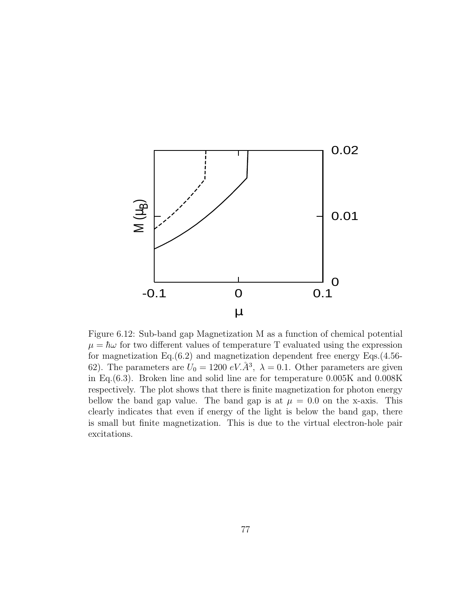

Figure 6.12: Sub-band gap Magnetization M as a function of chemical potential  $\mu = \hbar \omega$  for two different values of temperature T evaluated using the expression for magnetization Eq.(6.2) and magnetization dependent free energy Eqs.(4.56- 62). The parameters are  $U_0 = 1200 \text{ eV} \cdot \AA^3$ ,  $\lambda = 0.1$ . Other parameters are given in Eq.(6.3). Broken line and solid line are for temperature 0.005K and 0.008K respectively. The plot shows that there is finite magnetization for photon energy bellow the band gap value. The band gap is at  $\mu = 0.0$  on the x-axis. This clearly indicates that even if energy of the light is below the band gap, there is small but finite magnetization. This is due to the virtual electron-hole pair excitations.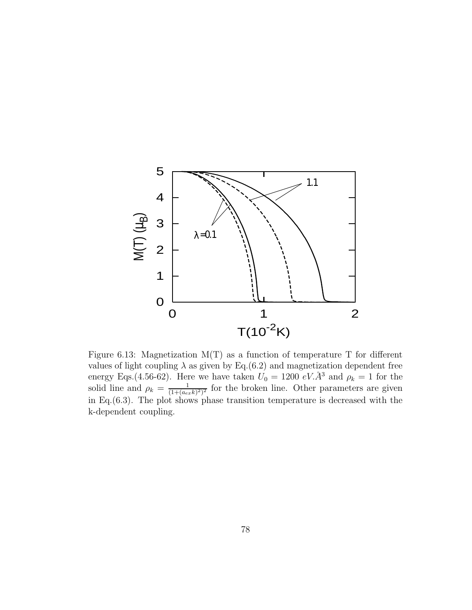

Figure 6.13: Magnetization  $M(T)$  as a function of temperature T for different values of light coupling  $\lambda$  as given by Eq.(6.2) and magnetization dependent free energy Eqs.(4.56-62). Here we have taken  $U_0 = 1200 \text{ eV} \cdot \AA^3$  and  $\rho_k = 1$  for the solid line and  $\rho_k = \frac{1}{(1 + (a_{\alpha_k}))}$  $\frac{1}{(1+(a_{ex}k)^2)^2}$  for the broken line. Other parameters are given in Eq.(6.3). The plot shows phase transition temperature is decreased with the k-dependent coupling.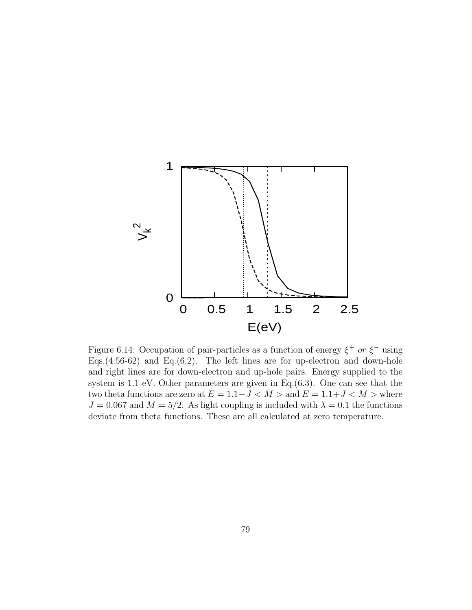

Figure 6.14: Occupation of pair-particles as a function of energy  $\xi^+$  or  $\xi^-$  using Eqs. $(4.56-62)$  and Eq. $(6.2)$ . The left lines are for up-electron and down-hole and right lines are for down-electron and up-hole pairs. Energy supplied to the system is 1.1 eV. Other parameters are given in Eq.(6.3). One can see that the two theta functions are zero at  $E = 1.1 - J < M >$  and  $E = 1.1 + J < M >$  where  $J = 0.067$  and  $M = 5/2$ . As light coupling is included with  $\lambda = 0.1$  the functions deviate from theta functions. These are all calculated at zero temperature.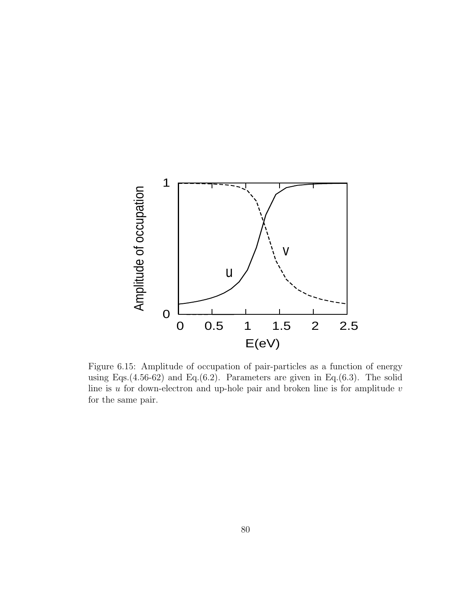

Figure 6.15: Amplitude of occupation of pair-particles as a function of energy using Eqs. $(4.56-62)$  and Eq. $(6.2)$ . Parameters are given in Eq. $(6.3)$ . The solid line is  $u$  for down-electron and up-hole pair and broken line is for amplitude  $v$ for the same pair.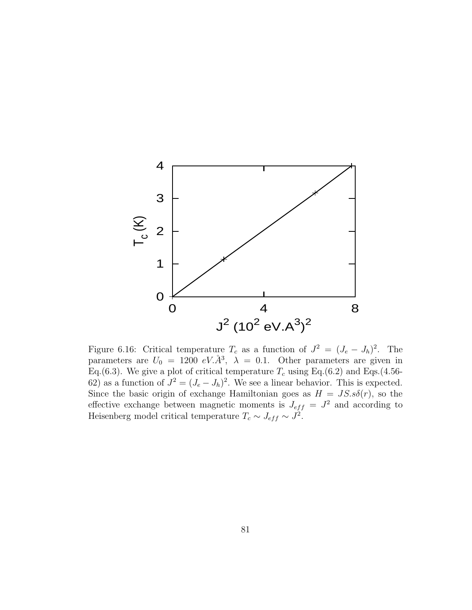

Figure 6.16: Critical temperature  $T_c$  as a function of  $J^2 = (J_e - J_h)^2$ . The parameters are  $U_0 = 1200 eV \hat{A}^3$ ,  $\lambda = 0.1$ . Other parameters are given in Eq.(6.3). We give a plot of critical temperature  $T_c$  using Eq.(6.2) and Eqs.(4.56-62) as a function of  $J^2 = (J_e - J_h)^2$ . We see a linear behavior. This is expected. Since the basic origin of exchange Hamiltonian goes as  $H = JS. s\delta(r)$ , so the effective exchange between magnetic moments is  $J_{eff} = J^2$  and according to Heisenberg model critical temperature  $T_c \sim J_{eff} \sim J^2$ .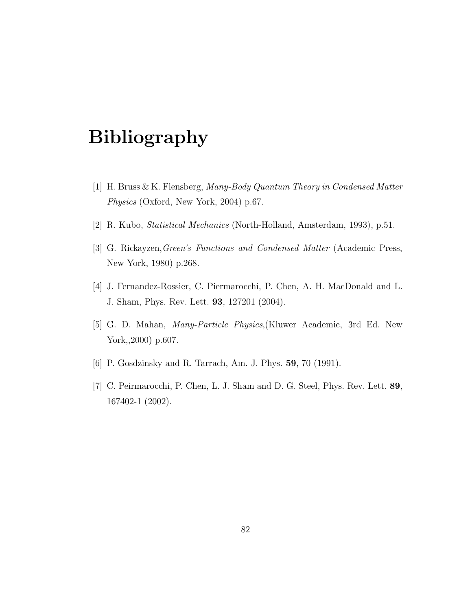### Bibliography

- [1] H. Bruss & K. Flensberg, Many-Body Quantum Theory in Condensed Matter Physics (Oxford, New York, 2004) p.67.
- [2] R. Kubo, Statistical Mechanics (North-Holland, Amsterdam, 1993), p.51.
- [3] G. Rickayzen,Green's Functions and Condensed Matter (Academic Press, New York, 1980) p.268.
- [4] J. Fernandez-Rossier, C. Piermarocchi, P. Chen, A. H. MacDonald and L. J. Sham, Phys. Rev. Lett. 93, 127201 (2004).
- [5] G. D. Mahan, Many-Particle Physics,(Kluwer Academic, 3rd Ed. New York,,2000) p.607.
- [6] P. Gosdzinsky and R. Tarrach, Am. J. Phys. 59, 70 (1991).
- [7] C. Peirmarocchi, P. Chen, L. J. Sham and D. G. Steel, Phys. Rev. Lett. 89, 167402-1 (2002).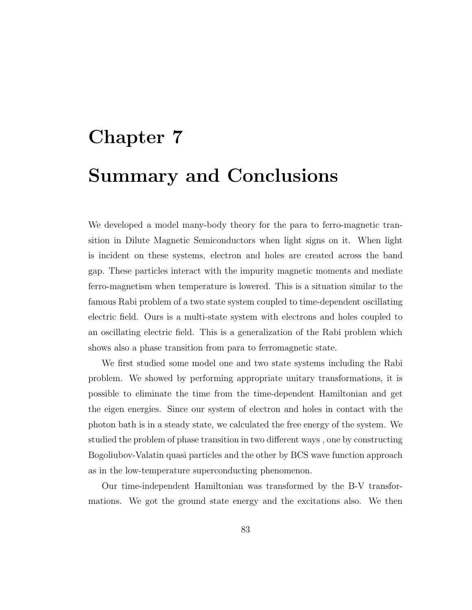# Chapter 7 Summary and Conclusions

We developed a model many-body theory for the para to ferro-magnetic transition in Dilute Magnetic Semiconductors when light signs on it. When light is incident on these systems, electron and holes are created across the band gap. These particles interact with the impurity magnetic moments and mediate ferro-magnetism when temperature is lowered. This is a situation similar to the famous Rabi problem of a two state system coupled to time-dependent oscillating electric field. Ours is a multi-state system with electrons and holes coupled to an oscillating electric field. This is a generalization of the Rabi problem which shows also a phase transition from para to ferromagnetic state.

We first studied some model one and two state systems including the Rabi problem. We showed by performing appropriate unitary transformations, it is possible to eliminate the time from the time-dependent Hamiltonian and get the eigen energies. Since our system of electron and holes in contact with the photon bath is in a steady state, we calculated the free energy of the system. We studied the problem of phase transition in two different ways , one by constructing Bogoliubov-Valatin quasi particles and the other by BCS wave function approach as in the low-temperature superconducting phenomenon.

Our time-independent Hamiltonian was transformed by the B-V transformations. We got the ground state energy and the excitations also. We then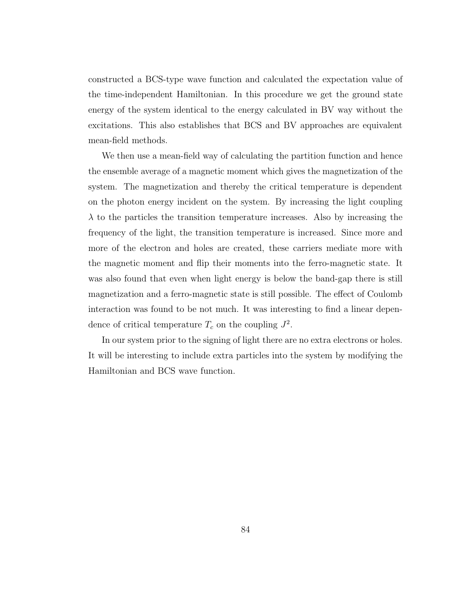constructed a BCS-type wave function and calculated the expectation value of the time-independent Hamiltonian. In this procedure we get the ground state energy of the system identical to the energy calculated in BV way without the excitations. This also establishes that BCS and BV approaches are equivalent mean-field methods.

We then use a mean-field way of calculating the partition function and hence the ensemble average of a magnetic moment which gives the magnetization of the system. The magnetization and thereby the critical temperature is dependent on the photon energy incident on the system. By increasing the light coupling  $\lambda$  to the particles the transition temperature increases. Also by increasing the frequency of the light, the transition temperature is increased. Since more and more of the electron and holes are created, these carriers mediate more with the magnetic moment and flip their moments into the ferro-magnetic state. It was also found that even when light energy is below the band-gap there is still magnetization and a ferro-magnetic state is still possible. The effect of Coulomb interaction was found to be not much. It was interesting to find a linear dependence of critical temperature  $T_c$  on the coupling  $J^2$ .

In our system prior to the signing of light there are no extra electrons or holes. It will be interesting to include extra particles into the system by modifying the Hamiltonian and BCS wave function.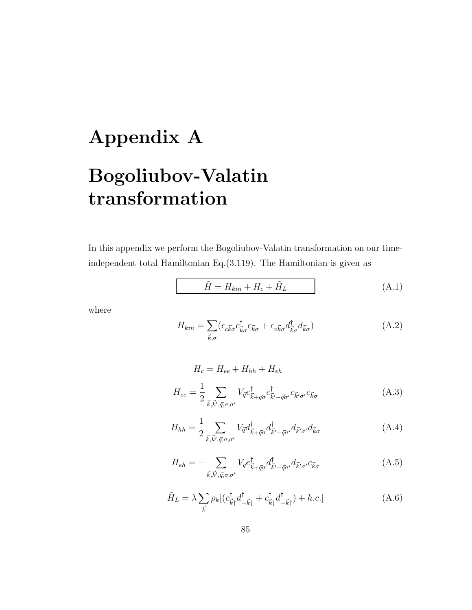## Appendix A

## Bogoliubov-Valatin transformation

In this appendix we perform the Bogoliubov-Valatin transformation on our timeindependent total Hamiltonian Eq.(3.119). The Hamiltonian is given as

$$
\tilde{H} = H_{kin} + H_c + \tilde{H}_L \tag{A.1}
$$

where

$$
H_{kin} = \sum_{\vec{k},\sigma} (\epsilon_{c\vec{k}\sigma} c^{\dagger}_{\vec{k}\sigma} c_{\vec{k}\sigma} + \epsilon_{v\vec{k}\sigma} d^{\dagger}_{\vec{k}\sigma} d_{\vec{k}\sigma})
$$
(A.2)

$$
H_c = H_{ee} + H_{hh} + H_{eh}
$$
  

$$
H_{ee} = \frac{1}{2} \sum_{\vec{k}, \vec{k}', \vec{q}, \sigma, \sigma'} V_{\vec{q}} c_{\vec{k} + \vec{q}\sigma}^{\dagger} c_{\vec{k}' - \vec{q}\sigma'}^{\dagger} c_{\vec{k}'\sigma'}^{\dagger} c_{\vec{k}\sigma} \tag{A.3}
$$

$$
H_{hh} = \frac{1}{2} \sum_{\vec{k}, \vec{k}', \vec{q}, \sigma, \sigma'} V_{\vec{q}} d_{\vec{k} + \vec{q}\sigma}^{\dagger} d_{\vec{k}' - \vec{q}\sigma'}^{\dagger} d_{\vec{k}'\sigma'} d_{\vec{k}\sigma} \tag{A.4}
$$

$$
H_{eh} = -\sum_{\vec{k}, \vec{k}', \vec{q}, \sigma, \sigma'} V_{\vec{q}} c^{\dagger}_{\vec{k} + \vec{q}\sigma} d^{\dagger}_{\vec{k}' - \vec{q}\sigma'} d_{\vec{k}'\sigma'} c_{\vec{k}\sigma}
$$
(A.5)

$$
\tilde{H}_L = \lambda \sum_{\vec{k}} \rho_k \left[ (c_{\vec{k}\uparrow}^\dagger d_{-\vec{k}\downarrow}^\dagger + c_{\vec{k}\downarrow}^\dagger d_{-\vec{k}\uparrow}^\dagger) + h.c. \right] \tag{A.6}
$$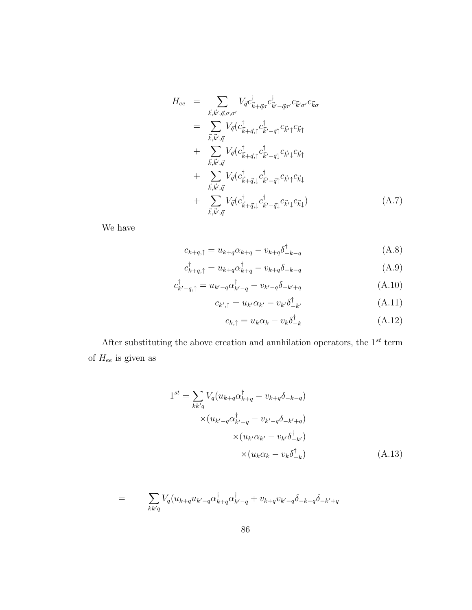$$
H_{ee} = \sum_{\vec{k}, \vec{k}', \vec{q}, \sigma, \sigma'} V_{\vec{q}} c_{\vec{k}+\vec{q}\sigma}^{\dagger} c_{\vec{k}'-\vec{q}\sigma'}^{\dagger} c_{\vec{k}'\sigma'} c_{\vec{k}\sigma} \n= \sum_{\vec{k}, \vec{k}', \vec{q}} V_{\vec{q}} (c_{\vec{k}+\vec{q}, \uparrow}^{\dagger} c_{\vec{k}'-\vec{q}\uparrow}^{\dagger} c_{\vec{k}'\uparrow} c_{\vec{k}\uparrow} \n+ \sum_{\vec{k}, \vec{k}', \vec{q}} V_{\vec{q}} (c_{\vec{k}+\vec{q}, \uparrow}^{\dagger} c_{\vec{k}'-\vec{q}\downarrow}^{\dagger} c_{\vec{k}'\downarrow} c_{\vec{k}\uparrow} \n+ \sum_{\vec{k}, \vec{k}', \vec{q}} V_{\vec{q}} (c_{\vec{k}+\vec{q}, \downarrow}^{\dagger} c_{\vec{k}'-\vec{q}\uparrow}^{\dagger} c_{\vec{k}'\uparrow} c_{\vec{k}\downarrow} \n+ \sum_{\vec{k}, \vec{k}', \vec{q}} V_{\vec{q}} (c_{\vec{k}+\vec{q}, \downarrow}^{\dagger} c_{\vec{k}'-\vec{q}\downarrow}^{\dagger} c_{\vec{k}'\downarrow} c_{\vec{k}\downarrow})
$$
\n(A.7)

We have

$$
c_{k+q,\uparrow} = u_{k+q} \alpha_{k+q} - v_{k+q} \delta_{-k-q}^{\dagger}
$$
\n(A.8)

$$
c_{k+q,\uparrow}^{\dagger} = u_{k+q} \alpha_{k+q}^{\dagger} - v_{k+q} \delta_{-k-q}
$$
\n(A.9)

$$
c_{k'-q,\uparrow}^{\dagger} = u_{k'-q} \alpha_{k'-q}^{\dagger} - v_{k'-q} \delta_{-k'+q} \tag{A.10}
$$

$$
c_{k',\uparrow} = u_{k'} \alpha_{k'} - v_{k'} \delta_{-k'}^{\dagger} \tag{A.11}
$$

$$
c_{k,\uparrow} = u_k \alpha_k - v_k \delta_{-k}^{\dagger} \tag{A.12}
$$

After substituting the above creation and annhilation operators, the  $1^{st}$  term of  $\mathcal{H}_{ee}$  is given as

$$
1^{st} = \sum_{kk'q} V_q (u_{k+q} \alpha_{k+q}^\dagger - v_{k+q} \delta_{-k-q})
$$
  
 
$$
\times (u_{k'-q} \alpha_{k'-q}^\dagger - v_{k'-q} \delta_{-k'+q})
$$
  
 
$$
\times (u_{k'} \alpha_{k'} - v_{k'} \delta_{-k'}^\dagger)
$$
  
 
$$
\times (u_k \alpha_k - v_k \delta_{-k}^\dagger)
$$
 (A.13)

$$
= \sum_{kk'q} V_q(u_{k+q}u_{k'-q}\alpha^{\dagger}_{k+q}\alpha^{\dagger}_{k'-q} + v_{k+q}v_{k'-q}\delta_{-k-q}\delta_{-k'+q}
$$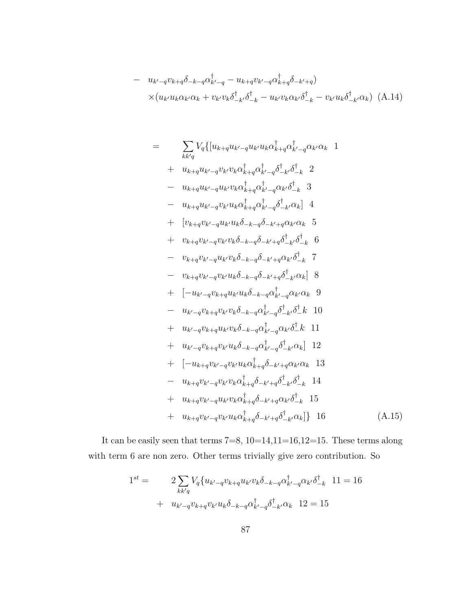$$
- u_{k'-q}v_{k+q}\delta_{-k-q}\alpha^{\dagger}_{k'-q} - u_{k+q}v_{k'-q}\alpha^{\dagger}_{k+q}\delta_{-k'+q})
$$
  
 
$$
\times (u_{k'}u_k\alpha_{k'}\alpha_k + v_{k'}v_k\delta^{\dagger}_{-k'}\delta^{\dagger}_{-k} - u_{k'}v_k\alpha_{k'}\delta^{\dagger}_{-k} - v_{k'}u_k\delta^{\dagger}_{-k'}\alpha_k) (A.14)
$$

$$
= \sum_{kk'q} V_q\{[u_{k+q}u_{k'-q}u_{k'}u_{k}\alpha^{\dagger}_{k+q}\alpha^{\dagger}_{k'-q}\alpha_{k'}\alpha_{k} 1 + u_{k+q}u_{k'-q}v_{k'}v_{k}\alpha^{\dagger}_{k+q}\alpha^{\dagger}_{k'-q}\alpha^{\dagger}_{k'}\alpha^{\dagger}_{k'-q}\alpha^{\dagger}_{k'}\alpha^{\dagger}_{k} 2 - u_{k+q}u_{k'-q}u_{k'}v_{k}\alpha^{\dagger}_{k+q}\alpha^{\dagger}_{k'-q}\alpha_{k'}\delta^{\dagger}_{-k} 3 - u_{k+q}u_{k'-q}v_{k'}u_{k}\alpha^{\dagger}_{k+q}\alpha^{\dagger}_{k'-q}\delta^{\dagger}_{-k'}\alpha_{k} 1 4 + [v_{k+q}v_{k'-q}u_{k'}u_{k}\delta_{-k-q}\delta_{-k'+q}\alpha^{\dagger}_{k'}\alpha_{k} 5 + v_{k+q}v_{k'-q}u_{k'}v_{k}\delta_{-k-q}\delta_{-k'+q}\delta^{\dagger}_{-k'}\delta^{\dagger}_{-k} 6 - v_{k+q}v_{k'-q}v_{k'}v_{k}\delta_{-k-q}\delta_{-k'+q}\alpha^{\dagger}_{k'}\delta^{\dagger}_{-k} 7 - v_{k+q}v_{k'-q}u_{k'}v_{k}\delta_{-k-q}\delta_{-k'+q}\alpha^{\dagger}_{k'}\alpha_{k} 8 + [-u_{k'-q}v_{k+q}u_{k'}u_{k}\delta_{-k-q}\delta^{\dagger}_{k'-q}\alpha^{\dagger}_{k'}\alpha_{k} 9 - u_{k'-q}v_{k+q}u_{k'}u_{k}\delta_{-k-q}\alpha^{\dagger}_{k'-q}\alpha^{\dagger}_{k'}\alpha_{k} 9 - u_{k'-q}v_{k+q}v_{k'}v_{k}\delta_{-k-q}\alpha^{\dagger}_{k'-q}\delta^{\dagger}_{-k'}\alpha_{k} 11 + u_{k'-q}v_{k+q}u_{k'}v_{k}\delta_{-k-q}\alpha^{\dagger}_{k'-q}\alpha^{\dagger}_{k'}\alpha_{k} 1 1 + u_{k'-q}v_{k+q}v_{k'}u_{k}\delta_{-k-q}\alpha^{\dagger}_{k'-q}\alpha^{\dagger}_{k'}\alpha_{k} 1 1 <
$$

It can be easily seen that terms 7=8, 10=14,11=16,12=15. These terms along with term 6 are non zero. Other terms trivially give zero contribution. So

$$
1^{st} = 2 \sum_{kk'q} V_q \{ u_{k'-q} v_{k+q} u_{k'} v_k \delta_{-k-q} \alpha_{k'-q}^{\dagger} \alpha_{k'} \delta_{-k}^{\dagger} \quad 11 = 16
$$
  
+  $u_{k'-q} v_{k+q} v_{k'} u_k \delta_{-k-q} \alpha_{k'-q}^{\dagger} \delta_{-k'}^{\dagger} \alpha_k \quad 12 = 15$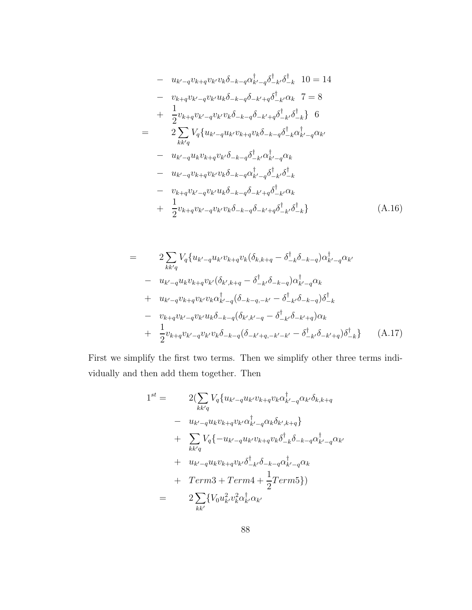$$
- u_{k'-q}v_{k+q}v_{k'}v_{k}\delta_{-k-q}\alpha_{k'-q}^{\dagger}\delta_{-k'}^{\dagger}\delta_{-k}^{\dagger} \quad 10 = 14
$$
  
\n
$$
- v_{k+q}v_{k'-q}v_{k'}u_{k}\delta_{-k-q}\delta_{-k'+q}\delta_{-k'}^{\dagger}\alpha_{k} \quad 7 = 8
$$
  
\n
$$
+ \frac{1}{2}v_{k+q}v_{k'-q}v_{k'}v_{k}\delta_{-k-q}\delta_{-k'+q}\delta_{-k'}^{\dagger}\delta_{-k}^{\dagger} \quad 6
$$
  
\n
$$
= 2 \sum_{kk'q} V_{q}\{u_{k'-q}u_{k'}v_{k+q}v_{k}\delta_{-k-q}\delta_{-k}^{\dagger}\alpha_{k'-q}^{\dagger}\alpha_{k'}\alpha_{k'-q}\alpha_{k'}\}
$$
  
\n
$$
- u_{k'-q}u_{k}v_{k+q}v_{k'}\delta_{-k-q}\delta_{-k'}^{\dagger}\alpha_{k'-q}^{\dagger}\alpha_{k}
$$
  
\n
$$
- v_{k+q}v_{k'-q}v_{k'}u_{k}\delta_{-k-q}\alpha_{k'+q}^{\dagger}\delta_{-k'}^{\dagger}\alpha_{k}
$$
  
\n
$$
+ \frac{1}{2}v_{k+q}v_{k'-q}v_{k'}v_{k}\delta_{-k-q}\delta_{-k'+q}\delta_{-k'}^{\dagger}\delta_{-k'}^{\dagger}\delta_{-k}^{\dagger} \quad (A.16)
$$

$$
= 2 \sum_{kk'q} V_q \{ u_{k'-q} u_{k'} v_{k+q} v_k (\delta_{k,k+q} - \delta_{-k}^{\dagger} \delta_{-k-q}) \alpha_{k'-q}^{\dagger} \alpha_{k'} - u_{k'-q} u_k v_{k+q} v_{k'} (\delta_{k',k+q} - \delta_{-k'}^{\dagger} \delta_{-k-q}) \alpha_{k'-q}^{\dagger} \alpha_k + u_{k'-q} v_{k+q} v_{k'} v_k \alpha_{k'-q}^{\dagger} (\delta_{-k-q,-k'} - \delta_{-k'}^{\dagger} \delta_{-k-q}) \delta_{-k}^{\dagger} - v_{k+q} v_{k'-q} v_{k'} u_k \delta_{-k-q} (\delta_{k',k'-q} - \delta_{-k'}^{\dagger} \delta_{-k'+q}) \alpha_k + \frac{1}{2} v_{k+q} v_{k'-q} v_{k'} v_k \delta_{-k-q} (\delta_{-k'+q,-k'-k'} - \delta_{-k'}^{\dagger} \delta_{-k'+q}) \delta_{-k}^{\dagger} \}
$$
(A.17)

First we simplify the first two terms. Then we simplify other three terms individually and then add them together. Then

$$
1^{st} = 2(\sum_{kk'q} V_q \{u_{k'-q}u_{k'}v_{k+q}v_k\alpha_{k'-q}^{\dagger}\alpha_{k'}\delta_{k,k+q}\n- u_{k'-q}u_{k}v_{k+q}v_{k'}\alpha_{k'-q}^{\dagger}\alpha_{k}\delta_{k',k+q}\n+ \sum_{kk'q} V_q \{-u_{k'-q}u_{k'}v_{k+q}v_k\delta^{\dagger}_{-k}\delta_{-k-q}\alpha^{\dagger}_{k'-q}\alpha_{k'}\n+ u_{k'-q}u_{k}v_{k+q}v_{k'}\delta^{\dagger}_{-k'}\delta_{-k-q}\alpha^{\dagger}_{k'-q}\alpha_{k}\n+ Term3 + Term4 + \frac{1}{2}Term5\})\n= 2\sum_{kk'} \{V_0u_{k'}^2v_{k}^2\alpha^{\dagger}_{k'}\alpha_{k'}
$$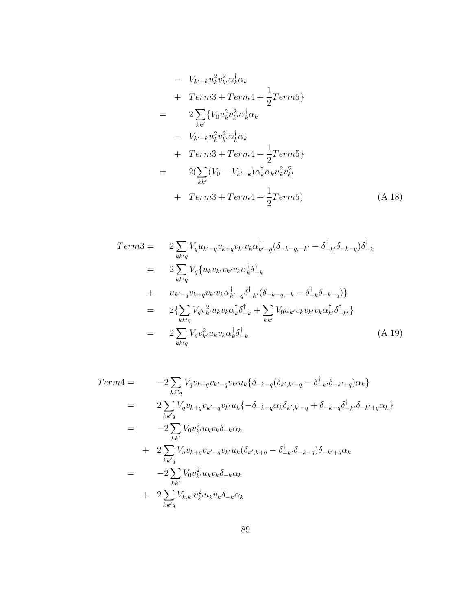- 
$$
V_{k'-k}u_k^2v_{k'}^2\alpha_k^{\dagger}\alpha_k
$$
  
\n+  $Term3 + Term4 + \frac{1}{2}Term5$ }  
\n=  $2\sum_{kk'}\{V_0u_k^2v_{k'}^2\alpha_k^{\dagger}\alpha_k$   
\n-  $V_{k'-k}u_k^2v_{k'}^2\alpha_k^{\dagger}\alpha_k$   
\n+  $Term3 + Term4 + \frac{1}{2}Term5$ }  
\n=  $2(\sum_{kk'}(V_0 - V_{k'-k})\alpha_k^{\dagger}\alpha_ku_k^2v_{k'}^2$   
\n+  $Term3 + Term4 + \frac{1}{2}Term5)$  (A.18)

$$
Term3 = 2 \sum_{kk'q} V_{q} u_{k'-q} v_{k+q} v_{k'} v_{k} \alpha_{k'-q}^{\dagger} (\delta_{-k-q,-k'} - \delta_{-k'}^{\dagger} \delta_{-k-q}) \delta_{-k}^{\dagger}
$$
  
\n
$$
= 2 \sum_{kk'q} V_{q} \{ u_{k} v_{k'} v_{k'} v_{k} \alpha_{k}^{\dagger} \delta_{-k}^{\dagger}
$$
  
\n
$$
+ u_{k'-q} v_{k+q} v_{k'} v_{k} \alpha_{k'-q}^{\dagger} \delta_{-k'}^{\dagger} (\delta_{-k-q,-k} - \delta_{-k}^{\dagger} \delta_{-k-q}) \}
$$
  
\n
$$
= 2 \{ \sum_{kk'q} V_{q} v_{k'}^{2} u_{k} v_{k} \alpha_{k}^{\dagger} \delta_{-k}^{\dagger} + \sum_{kk'} V_{0} u_{k'} v_{k} v_{k'} v_{k} \alpha_{k'}^{\dagger} \delta_{-k'}^{\dagger} \}
$$
  
\n
$$
= 2 \sum_{kk'q} V_{q} v_{k'}^{2} u_{k} v_{k} \alpha_{k}^{\dagger} \delta_{-k}^{\dagger}
$$
  
\n(A.19)

$$
Term4 = -2 \sum_{kk'q} V_q v_{k+q} v_{k'-q} v_{k'} u_k \{ \delta_{-k-q} (\delta_{k',k'-q} - \delta_{-k'}^{\dagger} \delta_{-k'+q}) \alpha_k \}
$$
  
\n
$$
= 2 \sum_{kk'q} V_q v_{k+q} v_{k'-q} v_{k'} u_k \{ -\delta_{-k-q} \alpha_k \delta_{k',k'-q} + \delta_{-k-q} \delta_{-k'}^{\dagger} \delta_{-k'+q} \alpha_k \}
$$
  
\n
$$
= -2 \sum_{kk'} V_0 v_{k'}^2 u_k v_k \delta_{-k} \alpha_k
$$
  
\n
$$
+ 2 \sum_{kk'q} V_q v_{k+q} v_{k'-q} v_{k'} u_k (\delta_{k',k+q} - \delta_{-k'}^{\dagger} \delta_{-k-q}) \delta_{-k'+q} \alpha_k
$$
  
\n
$$
= -2 \sum_{kk'} V_0 v_{k'}^2 u_k v_k \delta_{-k} \alpha_k
$$
  
\n
$$
+ 2 \sum_{kk'q} V_{k,k'} v_{k'}^2 u_k v_k \delta_{-k} \alpha_k
$$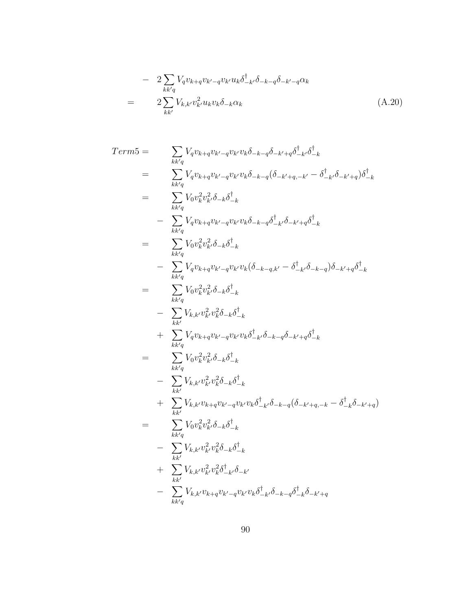$$
- 2 \sum_{kk'q} V_q v_{k+q} v_{k'-q} v_{k'} u_k \delta_{-k'}^{\dagger} \delta_{-k-q} \delta_{-k'-q} \alpha_k
$$
  

$$
= 2 \sum_{kk'} V_{k,k'} v_{k'}^2 u_{k} v_{k} \delta_{-k} \alpha_k
$$
 (A.20)

$$
Term5 = \sum_{kk'q} V_q v_{k+q} v_{k'} - q v_{k'} v_k \delta_{-k-q} \delta_{-k'+q} \delta_{-k'}^{\dagger} \delta_{-k'}^{\dagger} \delta_{-k}^{\dagger}
$$
\n
$$
= \sum_{kk'q} V_q v_{k+q} v_{k'-q} v_{k'} v_k \delta_{-k-q} (\delta_{-k'+q,-k'} - \delta_{-k'}^{\dagger} \delta_{-k'+q}) \delta_{-k}^{\dagger}
$$
\n
$$
= \sum_{kk'q} V_0 v_k^2 v_{k'}^2 \delta_{-k} \delta_{-k}^{\dagger}
$$
\n
$$
- \sum_{kk'q} V_q v_{k+q} v_{k'-q} v_{k'} v_k \delta_{-k-q} \delta_{-k'}^{\dagger} \delta_{-k'+q} \delta_{-k}^{\dagger}
$$
\n
$$
- \sum_{kk'q} V_0 v_k^2 v_{k'}^2 \delta_{-k} \delta_{-k}^{\dagger}
$$
\n
$$
- \sum_{kk'q} V_q v_{k+q} v_{k'-q} v_{k'} v_k (\delta_{-k-q,k'} - \delta_{-k'}^{\dagger} \delta_{-k-q}) \delta_{-k'+q} \delta_{-k}^{\dagger}
$$
\n
$$
= \sum_{kk'q} V_0 v_k^2 v_{k'}^2 \delta_{-k} \delta_{-k}^{\dagger}
$$
\n
$$
+ \sum_{kk'q} V_q v_{k+q} v_{k'-q} v_{k'} v_k \delta_{-k'}^{\dagger} \delta_{-k-q} \delta_{-k'+q} \delta_{-k}^{\dagger}
$$
\n
$$
+ \sum_{kk'q} V_q v_{k+q} v_{k'-q} v_{k'} v_k \delta_{-k'}^{\dagger} \delta_{-k-q} \delta_{-k'+q} \delta_{-k'-q}^{\dagger}
$$
\n
$$
+ \sum_{kk'} V_{k,k'} v_{k'}^2 v_k^2 \delta_{-k} \delta_{-k}^{\dagger}
$$
\n
$$
+ \sum_{kk'} V_{k,k'} v_{k+q}^2 v_{k'} \delta_{-k}^{\dagger}
$$
\n
$$
+ \sum_{kk'} V_k v_k v_k^2 v_k^2 \delta_{-k} \delta_{-k'}^{\dagger}
$$
\n
$$
- \sum_{kk
$$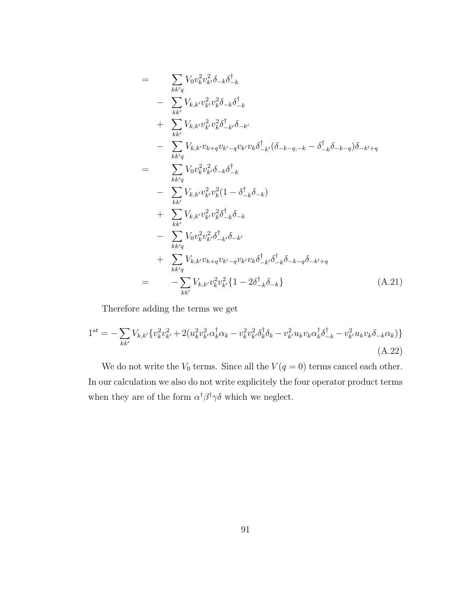$$
= \sum_{kk'q} V_0 v_k^2 v_{k'}^2 \delta_{-k} \delta_{-k}^{\dagger} \n- \sum_{kk'} V_{k,k'} v_{k'}^2 v_k^2 \delta_{-k} \delta_{-k}^{\dagger} \n+ \sum_{kk'} V_{k,k'} v_{k'}^2 v_k^2 \delta_{-k'}^{\dagger} \delta_{-k'} \n- \sum_{kk'q} V_{k,k'} v_{k+q} v_{k'-q} v_{k'} v_k \delta_{-k'}^{\dagger} (\delta_{-k-q,-k} - \delta_{-k}^{\dagger} \delta_{-k-q}) \delta_{-k'+q} \n= \sum_{kk'q} V_0 v_k^2 v_{k'}^2 \delta_{-k} \delta_{-k}^{\dagger} \n- \sum_{kk'} V_{k,k'} v_{k'}^2 v_k^2 (1 - \delta_{-k}^{\dagger} \delta_{-k}) \n+ \sum_{kk'} V_{k,k'} v_{k'}^2 v_k^2 \delta_{-k}^{\dagger} \delta_{-k} \n- \sum_{kk'q} V_0 v_k^2 v_{k'}^2 \delta_{-k'}^{\dagger} \delta_{-k'} \n+ \sum_{kk'q} V_{k,k'} v_{k+q} v_{k'-q} v_{k'} v_k \delta_{-k'}^{\dagger} \delta_{-k} \delta_{-k-q} \delta_{-k'+q} \n= - \sum_{kk'q} V_{k,k'} v_{k}^2 v_{k'}^2 \{1 - 2\delta_{-k}^{\dagger} \delta_{-k}\} \qquad (A.21)
$$

Therefore adding the terms we get

$$
1^{st} = -\sum_{kk'} V_{k,k'} \{v_k^2 v_{k'}^2 + 2(u_k^2 v_{k'}^2 \alpha_k^{\dagger} \alpha_k - v_k^2 v_{k'}^2 \delta_k^{\dagger} \delta_k - v_{k'}^2 u_k v_k \alpha_k^{\dagger} \delta_{-k}^{\dagger} - v_{k'}^2 u_k v_k \delta_{-k} \alpha_k)\}
$$
(A.22)

We do not write the  $V_0$  terms. Since all the  $V(q = 0)$  terms cancel each other. In our calculation we also do not write explicitely the four operator product terms when they are of the form  $\alpha^{\dagger} \beta^{\dagger} \gamma \delta$  which we neglect.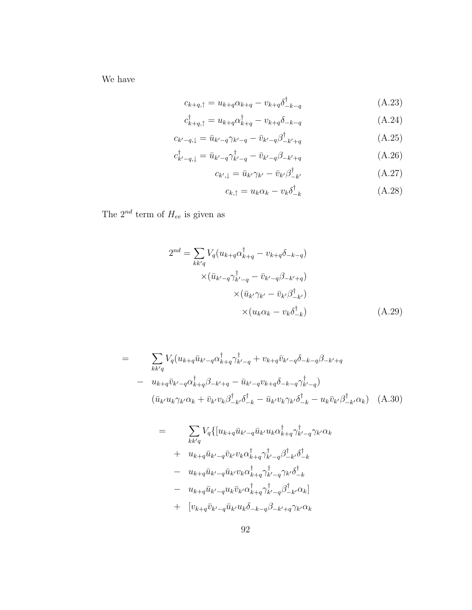We have

$$
c_{k+q,\uparrow} = u_{k+q} \alpha_{k+q} - v_{k+q} \delta_{-k-q}^{\dagger}
$$
\n(A.23)

$$
c_{k+q,\uparrow}^{\dagger} = u_{k+q} \alpha_{k+q}^{\dagger} - v_{k+q} \delta_{-k-q}
$$
\n(A.24)

$$
c_{k'-q,\downarrow} = \bar{u}_{k'-q} \gamma_{k'-q} - \bar{v}_{k'-q} \beta_{-k'+q}^{\dagger} \tag{A.25}
$$

$$
c_{k'-q,\downarrow}^{\dagger} = \bar{u}_{k'-q} \gamma_{k'-q}^{\dagger} - \bar{v}_{k'-q} \beta_{-k'+q} \tag{A.26}
$$

$$
c_{k',\downarrow} = \bar{u}_{k'} \gamma_{k'} - \bar{v}_{k'} \beta_{-k'}^{\dagger} \tag{A.27}
$$

$$
c_{k,\uparrow} = u_k \alpha_k - v_k \delta_{-k}^{\dagger} \tag{A.28}
$$

The  $2^{nd}$  term of  $H_{ee}$  is given as

$$
2^{nd} = \sum_{kk'q} V_q (u_{k+q} \alpha_{k+q}^\dagger - v_{k+q} \delta_{-k-q})
$$
  
 
$$
\times (\bar{u}_{k'-q} \gamma_{k'-q}^\dagger - \bar{v}_{k'-q} \beta_{-k'+q})
$$
  
 
$$
\times (\bar{u}_{k'} \gamma_{k'} - \bar{v}_{k'} \beta_{-k'}^\dagger)
$$
  
 
$$
\times (u_k \alpha_k - v_k \delta_{-k}^\dagger)
$$
 (A.29)

$$
= \sum_{kk'q} V_q(u_{k+q}\bar{u}_{k'-q}\alpha^{\dagger}_{k+q}\gamma^{\dagger}_{k'-q} + v_{k+q}\bar{v}_{k'-q}\delta_{-k-q}\beta_{-k'+q}
$$
  

$$
- u_{k+q}\bar{v}_{k'-q}\alpha^{\dagger}_{k+q}\beta_{-k'+q} - \bar{u}_{k'-q}v_{k+q}\delta_{-k-q}\gamma^{\dagger}_{k'-q})
$$
  

$$
(\bar{u}_{k'}u_k\gamma_{k'}\alpha_k + \bar{v}_{k'}v_k\beta^{\dagger}_{-k'}\delta^{\dagger}_{-k} - \bar{u}_{k'}v_k\gamma_{k'}\delta^{\dagger}_{-k} - u_k\bar{v}_{k'}\beta^{\dagger}_{-k'}\alpha_k) \quad (A.30)
$$

$$
= \sum_{kk'q} V_q \{ [u_{k+q}\bar{u}_{k'-q}\bar{u}_{k'}u_k \alpha^{\dagger}_{k+q} \gamma^{\dagger}_{k'-q} \gamma_{k'} \alpha_k
$$
  
+  $u_{k+q}\bar{u}_{k'-q}\bar{v}_{k'}v_k \alpha^{\dagger}_{k+q} \gamma^{\dagger}_{k'-q} \beta^{\dagger}_{-k'} \delta^{\dagger}_{-k}$   
-  $u_{k+q}\bar{u}_{k'-q}\bar{u}_{k'}v_k \alpha^{\dagger}_{k+q} \gamma^{\dagger}_{k'-q} \gamma_{k'} \delta^{\dagger}_{-k}$   
-  $u_{k+q}\bar{u}_{k'-q}u_k \bar{v}_{k'} \alpha^{\dagger}_{k+q} \gamma^{\dagger}_{k'-q} \beta^{\dagger}_{-k'} \alpha_k ]$   
+  $[v_{k+q}\bar{v}_{k'-q}\bar{u}_{k'}u_k \delta_{-k-q} \beta_{-k'+q} \gamma_{k'} \alpha_k]$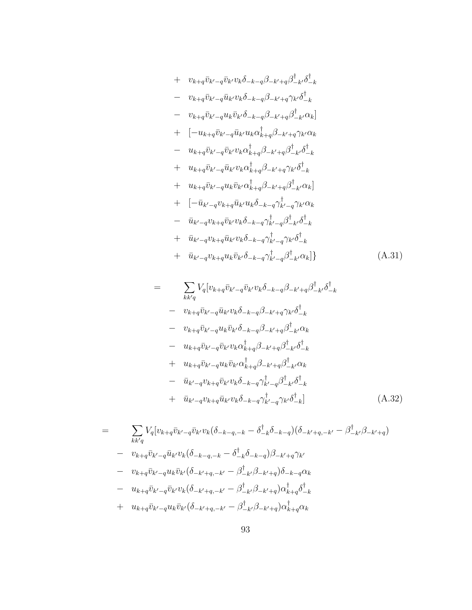+ 
$$
v_{k+q}\bar{v}_{k'-q}\bar{v}_{k'}v_{k}\delta_{-k-q}\beta_{-k'+q}\beta_{-k'}^{\dagger}\delta_{-k}^{\dagger}
$$
  
\n-  $v_{k+q}\bar{v}_{k'-q}\bar{u}_{k'}v_{k}\delta_{-k-q}\beta_{-k'+q}\gamma_{k'}\delta_{-k}^{\dagger}$   
\n-  $v_{k+q}\bar{v}_{k'-q}u_{k}\bar{v}_{k'}\delta_{-k-q}\beta_{-k'+q}\beta_{-k'}^{\dagger}\alpha_{k}$   
\n+  $[-u_{k+q}\bar{v}_{k'-q}\bar{u}_{k'}u_{k}\alpha_{k+q}^{\dagger}\beta_{-k'+q}\gamma_{k'}\alpha_{k}$   
\n-  $u_{k+q}\bar{v}_{k'-q}\bar{v}_{k'}v_{k}\alpha_{k+q}^{\dagger}\beta_{-k'+q}\beta_{-k'}^{\dagger}\delta_{-k}^{\dagger}$   
\n+  $u_{k+q}\bar{v}_{k'-q}\bar{u}_{k'}v_{k}\alpha_{k+q}^{\dagger}\beta_{-k'+q}\gamma_{k'}\delta_{-k}^{\dagger}$   
\n+  $u_{k+q}\bar{v}_{k'-q}u_{k}\bar{v}_{k'}\alpha_{k+q}^{\dagger}\beta_{-k'+q}\beta_{-k'}^{\dagger}\alpha_{k}$   
\n+  $[-\bar{u}_{k'-q}v_{k+q}\bar{u}_{k'}u_{k}\delta_{-k-q}\gamma_{k'-q}^{\dagger}\gamma_{k'}\alpha_{k}$   
\n-  $\bar{u}_{k'-q}v_{k+q}\bar{v}_{k'}v_{k}\delta_{-k-q}\gamma_{k'-q}^{\dagger}\beta_{-k'}^{\dagger}\delta_{-k}^{\dagger}$   
\n+  $\bar{u}_{k'-q}v_{k+q}\bar{u}_{k'}v_{k}\delta_{-k-q}\gamma_{k'-q}^{\dagger}\gamma_{k'}\delta_{-k}^{\dagger}$   
\n+  $\bar{u}_{k'-q}v_{k+q}\bar{u}_{k'}v_{k}\delta_{-k-q}\gamma_{k'-q}^{\dagger}\gamma_{k'}\alpha_{k}$  (A.31)

$$
= \sum_{kk'q} V_q[v_{k+q}\bar{v}_{k'-q}\bar{v}_{k'}v_k\delta_{-k-q}\beta_{-k'+q}\beta_{-k'}^{\dagger}\delta_{-k}^{\dagger}\n\n- v_{k+q}\bar{v}_{k'-q}\bar{u}_{k'}v_k\delta_{-k-q}\beta_{-k'+q}\gamma_{k'}\delta_{-k}^{\dagger}\n\n- v_{k+q}\bar{v}_{k'-q}u_k\bar{v}_{k'}\delta_{-k-q}\beta_{-k'+q}\beta_{-k'}^{\dagger}\alpha_k\n\n- u_{k+q}\bar{v}_{k'-q}\bar{v}_{k'}v_k\alpha_{k+q}^{\dagger}\beta_{-k'+q}\beta_{-k'}^{\dagger}\delta_{-k}^{\dagger}\n\n+ u_{k+q}\bar{v}_{k'-q}u_k\bar{v}_{k'}\alpha_{k+q}^{\dagger}\beta_{-k'+q}\beta_{-k'}^{\dagger}\alpha_k\n\n- \bar{u}_{k'-q}v_{k+q}\bar{v}_{k'}v_k\delta_{-k-q}\gamma_{k'-q}^{\dagger}\beta_{-k'}^{\dagger}\delta_{-k}^{\dagger}\n\n+ \bar{u}_{k'-q}v_{k+q}\bar{u}_{k'}v_k\delta_{-k-q}\gamma_{k'-q}^{\dagger}\gamma_{k'}\delta_{-k}^{\dagger} ] \n(A.32)
$$

$$
= \sum_{kk'q} V_q[v_{k+q}\bar{v}_{k'-q}\bar{v}_{k'}v_k(\delta_{-k-q,-k} - \delta_{-k}^{\dagger}\delta_{-k-q})(\delta_{-k'+q,-k'} - \beta_{-k'}^{\dagger}\beta_{-k'+q})
$$
  
\n
$$
- v_{k+q}\bar{v}_{k'-q}\bar{u}_{k'}v_k(\delta_{-k-q,-k} - \delta_{-k}^{\dagger}\delta_{-k-q})\beta_{-k'+q}\gamma_{k'}
$$
  
\n
$$
- v_{k+q}\bar{v}_{k'-q}u_k\bar{v}_{k'}(\delta_{-k'+q,-k'} - \beta_{-k'}^{\dagger}\beta_{-k'+q})\delta_{-k-q}\alpha_k
$$
  
\n
$$
- u_{k+q}\bar{v}_{k'-q}\bar{v}_{k'}v_k(\delta_{-k'+q,-k'} - \beta_{-k'}^{\dagger}\beta_{-k'+q})\alpha_{k+q}^{\dagger}\delta_{-k}^{\dagger}
$$
  
\n
$$
+ u_{k+q}\bar{v}_{k'-q}u_k\bar{v}_{k'}(\delta_{-k'+q,-k'} - \beta_{-k'}^{\dagger}\beta_{-k'+q})\alpha_{k+q}^{\dagger}\alpha_k
$$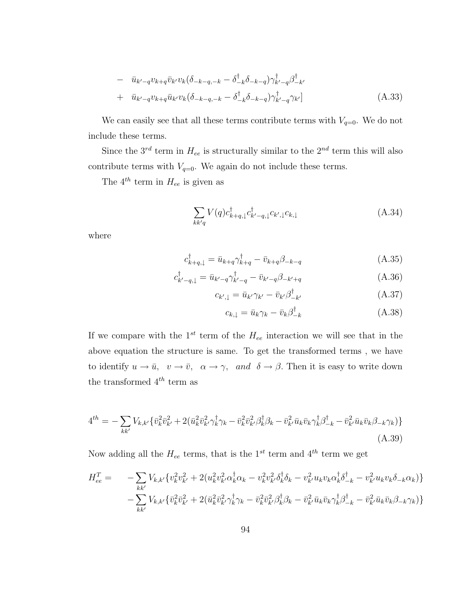$$
- \bar{u}_{k'-q} v_{k+q} \bar{v}_{k'} v_k (\delta_{-k-q,-k} - \delta_{-k}^{\dagger} \delta_{-k-q}) \gamma_{k'-q}^{\dagger} \beta_{-k'}^{\dagger} + \bar{u}_{k'-q} v_{k+q} \bar{u}_{k'} v_k (\delta_{-k-q,-k} - \delta_{-k}^{\dagger} \delta_{-k-q}) \gamma_{k'-q}^{\dagger} \gamma_{k'}]
$$
(A.33)

We can easily see that all these terms contribute terms with  $V_{q=0}$ . We do not include these terms.

Since the  $3^{rd}$  term in  $H_{ee}$  is structurally similar to the  $2^{nd}$  term this will also contribute terms with  $V_{q=0}$ . We again do not include these terms.

The  $4^{th}$  term in  $H_{ee}$  is given as

$$
\sum_{kk'q} V(q)c_{k+q,\downarrow}^{\dagger} c_{k'-q,\downarrow}^{\dagger} c_{k',\downarrow} c_{k,\downarrow}
$$
\n(A.34)

where

$$
c_{k+q,\downarrow}^{\dagger} = \bar{u}_{k+q} \gamma_{k+q}^{\dagger} - \bar{v}_{k+q} \beta_{-k-q}
$$
\n(A.35)

$$
c_{k'-q,\downarrow}^{\dagger} = \bar{u}_{k'-q} \gamma_{k'-q}^{\dagger} - \bar{v}_{k'-q} \beta_{-k'+q} \tag{A.36}
$$

$$
c_{k',\downarrow} = \bar{u}_{k'} \gamma_{k'} - \bar{v}_{k'} \beta_{-k'}^{\dagger} \tag{A.37}
$$

$$
c_{k,\downarrow} = \bar{u}_k \gamma_k - \bar{v}_k \beta_{-k}^{\dagger} \tag{A.38}
$$

If we compare with the  $1^{st}$  term of the  $H_{ee}$  interaction we will see that in the above equation the structure is same. To get the transformed terms , we have to identify  $u \to \bar{u}$ ,  $v \to \bar{v}$ ,  $\alpha \to \gamma$ , and  $\delta \to \beta$ . Then it is easy to write down the transformed  $4^{th}$  term as

$$
4^{th} = -\sum_{kk'} V_{k,k'} \{ \bar{v}_k^2 \bar{v}_{k'}^2 + 2(\bar{u}_k^2 \bar{v}_{k'}^2 \gamma_k^{\dagger} \gamma_k - \bar{v}_k^2 \bar{v}_{k'}^2 \beta_k^{\dagger} \beta_k - \bar{v}_{k'}^2 \bar{u}_k \bar{v}_k \gamma_k^{\dagger} \beta_{-k}^{\dagger} - \bar{v}_{k'}^2 \bar{u}_k \bar{v}_k \beta_{-k} \gamma_k) \}
$$
\n(A.39)

Now adding all the  $H_{ee}$  terms, that is the 1<sup>st</sup> term and 4<sup>th</sup> term we get

$$
H_{ee}^{T} = -\sum_{kk'} V_{k,k'} \{v_{k'}^{2}v_{k'}^{2} + 2(u_{k}^{2}v_{k'}^{2}\alpha_{k}^{\dagger}\alpha_{k} - v_{k}^{2}v_{k'}^{2}\delta_{k}^{\dagger}\delta_{k} - v_{k'}^{2}u_{k}v_{k}\alpha_{k}^{\dagger}\delta_{-k}^{\dagger} - v_{k'}^{2}u_{k}v_{k}\delta_{-k}\alpha_{k})\}-\sum_{kk'} V_{k,k'} \{\bar{v}_{k}^{2}\bar{v}_{k'}^{2} + 2(\bar{u}_{k}^{2}\bar{v}_{k'}^{2}\gamma_{k}^{\dagger}\gamma_{k} - \bar{v}_{k}^{2}\bar{v}_{k'}^{2}\beta_{k}^{\dagger}\beta_{k} - \bar{v}_{k'}^{2}\bar{u}_{k}\bar{v}_{k}\gamma_{k}^{\dagger}\beta_{-k}^{\dagger} - \bar{v}_{k'}^{2}\bar{u}_{k}\bar{v}_{k}\beta_{-k}\gamma_{k})\}
$$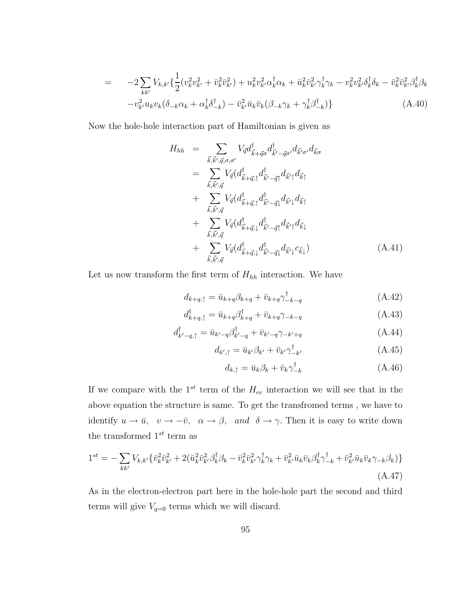$$
= -2 \sum_{kk'} V_{k,k'} \{ \frac{1}{2} (v_k^2 v_{k'}^2 + \bar{v}_k^2 \bar{v}_{k'}^2) + u_k^2 v_{k'}^2 \alpha_k^{\dagger} \alpha_k + \bar{u}_k^2 \bar{v}_{k'}^2 \gamma_k^{\dagger} \gamma_k - v_k^2 v_{k'}^2 \delta_k^{\dagger} \delta_k - \bar{v}_k^2 \bar{v}_{k'}^2 \beta_k^{\dagger} \beta_k - v_{k'}^2 u_k v_k (\delta_{-k} \alpha_k + \alpha_k^{\dagger} \delta_{-k}^{\dagger}) - \bar{v}_{k'}^2 \bar{u}_k \bar{v}_k (\beta_{-k} \gamma_k + \gamma_k^{\dagger} \beta_{-k}^{\dagger}) \} \tag{A.40}
$$

Now the hole-hole interaction part of Hamiltonian is given as

$$
H_{hh} = \sum_{\vec{k}, \vec{k}', \vec{q}, \sigma, \sigma'} V_{\vec{q}} d_{\vec{k}+\vec{q}\sigma}^{\dagger} d_{\vec{k}'-\vec{q}\sigma'} d_{\vec{k}'\sigma'} d_{\vec{k}\sigma}
$$
  
\n
$$
= \sum_{\vec{k}, \vec{k}', \vec{q}} V_{\vec{q}} (d_{\vec{k}+\vec{q},\uparrow}^{\dagger} d_{\vec{k}'-\vec{q}\uparrow}^{\dagger} d_{\vec{k}'\uparrow} d_{\vec{k}\uparrow}
$$
  
\n
$$
+ \sum_{\vec{k}, \vec{k}', \vec{q}} V_{\vec{q}} (d_{\vec{k}+\vec{q},\uparrow}^{\dagger} d_{\vec{k}'-\vec{q}\downarrow}^{\dagger} d_{\vec{k}'\downarrow} d_{\vec{k}\uparrow}
$$
  
\n
$$
+ \sum_{\vec{k}, \vec{k}', \vec{q}} V_{\vec{q}} (d_{\vec{k}+\vec{q},\downarrow}^{\dagger} d_{\vec{k}'-\vec{q}\uparrow}^{\dagger} d_{\vec{k}'\uparrow} d_{\vec{k}\downarrow}
$$
  
\n
$$
+ \sum_{\vec{k}, \vec{k}', \vec{q}} V_{\vec{q}} (d_{\vec{k}+\vec{q},\downarrow}^{\dagger} d_{\vec{k}'-\vec{q}\downarrow}^{\dagger} d_{\vec{k}'\downarrow} c_{\vec{k}\downarrow})
$$
(A.41)

Let us now transform the first term of  $H_{hh}$  interaction. We have

$$
d_{k+q,\uparrow} = \bar{u}_{k+q}\beta_{k+q} + \bar{v}_{k+q}\gamma_{-k-q}^{\dagger}
$$
\n(A.42)

$$
d_{k+q,\uparrow}^{\dagger} = \bar{u}_{k+q} \beta_{k+q}^{\dagger} + \bar{v}_{k+q} \gamma_{-k-q}
$$
\n(A.43)

$$
d_{k'-q,\uparrow}^{\dagger} = \bar{u}_{k'-q} \beta_{k'-q}^{\dagger} + \bar{v}_{k'-q} \gamma_{-k'+q} \tag{A.44}
$$

$$
d_{k',\uparrow} = \bar{u}_{k'}\beta_{k'} + \bar{v}_{k'}\gamma^{\dagger}_{-k'} \tag{A.45}
$$

$$
d_{k,\uparrow} = \bar{u}_k \beta_k + \bar{v}_k \gamma_{-k}^{\dagger} \tag{A.46}
$$

If we compare with the  $1^{st}$  term of the  $H_{ee}$  interaction we will see that in the above equation the structure is same. To get the transfromed terms , we have to identify  $u \to \bar{u}$ ,  $v \to -\bar{v}$ ,  $\alpha \to \beta$ , and  $\delta \to \gamma$ . Then it is easy to write down the transformed  $1^{st}$  term as

$$
1^{st} = -\sum_{kk'} V_{k,k'} \{ \bar{v}_k^2 \bar{v}_{k'}^2 + 2(\bar{u}_k^2 \bar{v}_{k'}^2 \beta_k^{\dagger} \beta_k - \bar{v}_k^2 \bar{v}_{k'}^2 \gamma_k^{\dagger} \gamma_k + \bar{v}_{k'}^2 \bar{u}_k \bar{v}_k \beta_k^{\dagger} \gamma_{-k}^{\dagger} + \bar{v}_{k'}^2 \bar{u}_k \bar{v}_k \gamma_{-k} \beta_k) \}
$$
\n(A.47)

As in the electron-electron part here in the hole-hole part the second and third terms will give  $V_{q=0}$  terms which we will discard.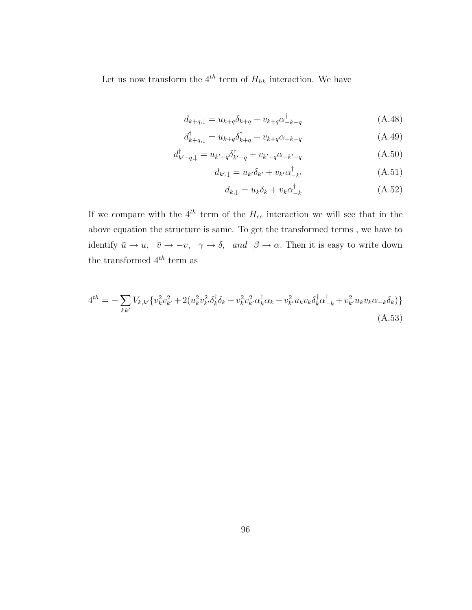Let us now transform the  $4^{th}$  term of  $H_{hh}$  interaction. We have

$$
d_{k+q,\downarrow} = u_{k+q} \delta_{k+q} + v_{k+q} \alpha_{-k-q}^{\dagger}
$$
 (A.48)

$$
d_{k+q, \downarrow}^{\dagger} = u_{k+q} \delta_{k+q}^{\dagger} + v_{k+q} \alpha_{-k-q}
$$
 (A.49)

$$
d_{k'-q,\downarrow}^{\dagger} = u_{k'-q} \delta_{k'-q}^{\dagger} + v_{k'-q} \alpha_{-k'+q} \tag{A.50}
$$

$$
d_{k',\downarrow} = u_{k'}\delta_{k'} + v_{k'}\alpha_{-k'}^{\dagger} \tag{A.51}
$$

$$
d_{k,\downarrow} = u_k \delta_k + v_k \alpha_{-k}^{\dagger} \tag{A.52}
$$

If we compare with the  $4^{th}$  term of the  $H_{ee}$  interaction we will see that in the above equation the structure is same. To get the transformed terms , we have to identify  $\bar{u} \to u$ ,  $\bar{v} \to -v$ ,  $\gamma \to \delta$ , and  $\beta \to \alpha$ . Then it is easy to write down the transformed  $4^{th}$  term as

$$
4^{th} = -\sum_{kk'} V_{k,k'} \{v_k^2 v_{k'}^2 + 2(u_k^2 v_{k'}^2 \delta_k^{\dagger} \delta_k - v_k^2 v_{k'}^2 \alpha_k^{\dagger} \alpha_k + v_{k'}^2 u_k v_k \delta_k^{\dagger} \alpha_{-k}^{\dagger} + v_{k'}^2 u_k v_k \alpha_{-k} \delta_k)\}
$$
\n(A.53)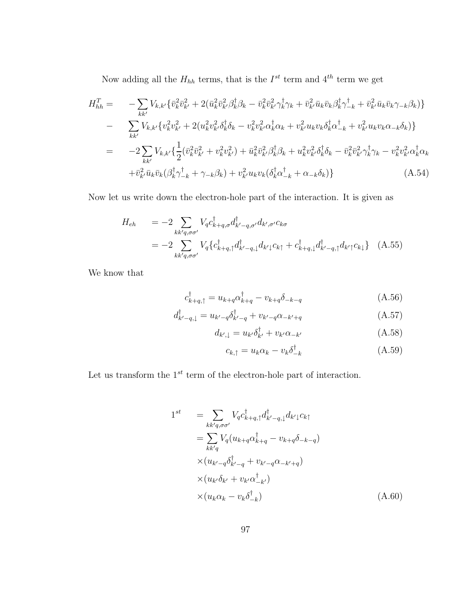Now adding all the  $H_{hh}$  terms, that is the  $I^{st}$  term and  $4^{th}$  term we get

$$
H_{hh}^{T} = -\sum_{kk'} V_{k,k'} \{ \bar{v}_{k}^{2} \bar{v}_{k'}^{2} + 2(\bar{u}_{k}^{2} \bar{v}_{k'}^{2} \beta_{k}^{\dagger} \beta_{k} - \bar{v}_{k}^{2} \bar{v}_{k'}^{2} \gamma_{k}^{\dagger} \gamma_{k} + \bar{v}_{k'}^{2} \bar{u}_{k} \bar{v}_{k} \beta_{k}^{\dagger} \gamma_{-k}^{\dagger} + \bar{v}_{k'}^{2} \bar{u}_{k} \bar{v}_{k} \gamma_{-k} \beta_{k}) \}
$$
\n
$$
- \sum_{kk'} V_{k,k'} \{ v_{k}^{2} v_{k'}^{2} + 2(u_{k}^{2} v_{k'}^{2} \delta_{k}^{\dagger} \delta_{k} - v_{k}^{2} v_{k'}^{2} \alpha_{k}^{\dagger} \alpha_{k} + v_{k'}^{2} u_{k} v_{k} \delta_{k}^{\dagger} \alpha_{-k}^{\dagger} + v_{k'}^{2} u_{k} v_{k} \alpha_{-k} \delta_{k}) \}
$$
\n
$$
= -2 \sum_{kk'} V_{k,k'} \{ \frac{1}{2} (\bar{v}_{k}^{2} \bar{v}_{k'}^{2} + v_{k}^{2} v_{k'}^{2}) + \bar{u}_{k}^{2} \bar{v}_{k'}^{2} \beta_{k}^{\dagger} \beta_{k} + u_{k}^{2} v_{k'}^{2} \delta_{k}^{\dagger} \delta_{k} - \bar{v}_{k}^{2} \bar{v}_{k'}^{2} \gamma_{k}^{\dagger} \gamma_{k} - v_{k}^{2} v_{k'}^{2} \alpha_{k}^{\dagger} \alpha_{k} + \bar{v}_{k'}^{2} \bar{u}_{k} \bar{v}_{k} (\beta_{k}^{\dagger} \gamma_{-k}^{\dagger} + \gamma_{-k} \beta_{k}) + v_{k'}^{2} u_{k} v_{k} (\delta_{k}^{\dagger} \alpha_{-k}^{\dagger} + \alpha_{-k} \delta_{k}) \}
$$
\n(A.54)

Now let us write down the electron-hole part of the interaction. It is given as

$$
H_{eh} = -2 \sum_{kk'q,\sigma\sigma'} V_q c_{k+q,\sigma}^{\dagger} d_{k'-q,\sigma'}^{\dagger} d_{k',\sigma'} c_{k\sigma}
$$
  
= 
$$
-2 \sum_{kk'q,\sigma\sigma'} V_q \{c_{k+q,\uparrow}^{\dagger} d_{k'-q,\downarrow}^{\dagger} d_{k'\downarrow} c_{k\uparrow} + c_{k+q,\downarrow}^{\dagger} d_{k'-q,\uparrow}^{\dagger} d_{k'\uparrow} c_{k\downarrow} \} (A.55)
$$

We know that

$$
c_{k+q,\uparrow}^{\dagger} = u_{k+q} \alpha_{k+q}^{\dagger} - v_{k+q} \delta_{-k-q}
$$
\n(A.56)

$$
d_{k'-q,\downarrow}^{\dagger} = u_{k'-q} \delta_{k'-q}^{\dagger} + v_{k'-q} \alpha_{-k'+q} \tag{A.57}
$$

$$
d_{k',\downarrow} = u_{k'} \delta_{k'}^{\dagger} + v_{k'} \alpha_{-k'}
$$
\n(A.58)

$$
c_{k,\uparrow} = u_k \alpha_k - v_k \delta_{-k}^{\dagger} \tag{A.59}
$$

Let us transform the  $1^{st}$  term of the electron-hole part of interaction.

$$
1^{st} = \sum_{kk'q,\sigma\sigma'} V_q c_{k+q,\uparrow}^{\dagger} d_{k'-q,\downarrow}^{\dagger} d_{k'\downarrow} c_{k\uparrow}
$$
  
\n
$$
= \sum_{kk'q} V_q (u_{k+q} \alpha_{k+q}^{\dagger} - v_{k+q} \delta_{-k-q})
$$
  
\n
$$
\times (u_{k'-q} \delta_{k'-q}^{\dagger} + v_{k'-q} \alpha_{-k'+q})
$$
  
\n
$$
\times (u_{k'} \delta_{k'} + v_{k'} \alpha_{-k'}^{\dagger})
$$
  
\n
$$
\times (u_k \alpha_k - v_k \delta_{-k}^{\dagger})
$$
  
\n
$$
(A.60)
$$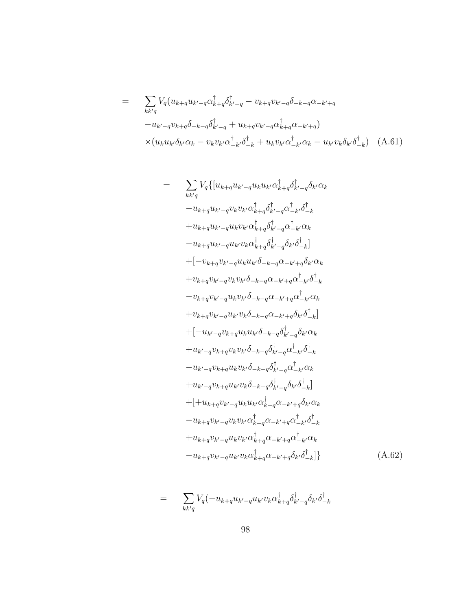$$
= \sum_{kk'q} V_q(u_{k+q}u_{k'-q}\alpha_{k+q}^{\dagger}\delta_{k'-q}^{\dagger} - v_{k+q}v_{k'-q}\delta_{-k-q}\alpha_{-k'+q} -u_{k'-q}v_{k+q}\delta_{-k-q}\delta_{k'-q}^{\dagger} + u_{k+q}v_{k'-q}\alpha_{k+q}^{\dagger}\alpha_{-k'+q}) \times (u_ku_{k'}\delta_{k'}\alpha_k - v_kv_{k'}\alpha_{-k'}^{\dagger}\delta_{-k}^{\dagger} + u_kv_{k'}\alpha_{-k'}^{\dagger}\alpha_k - u_{k'}v_k\delta_{k'}\delta_{-k}^{\dagger}) \quad (A.61)
$$

$$
= \sum_{kk'q} V_q\{[u_{k+q}u_{k'-q}u_{k}u_{k'}\alpha^{\dagger}_{k+q}\delta^{\dagger}_{k'-q}\delta^{\dagger}_{k'}\alpha_{k}^{k}\}\right.\n-u_{k+q}u_{k'-q}v_{k}v_{k'}\alpha^{\dagger}_{k+q}\delta^{\dagger}_{k'-q}\alpha^{\dagger}_{-k'}\delta^{\dagger}_{-k}\n+u_{k+q}u_{k'-q}u_{k}v_{k'}\alpha^{\dagger}_{k+q}\delta^{\dagger}_{k'-q}\alpha^{\dagger}_{-k'}\alpha_{k}\n- u_{k+q}u_{k'-q}u_{k'}v_{k}\alpha^{\dagger}_{k+q}\delta^{\dagger}_{k'-q}\delta^{\dagger}_{k'}\alpha_{k}\n+[-v_{k+q}v_{k'-q}u_{k'}u_{k'}\delta_{-k-q}\alpha_{-k'+q}\delta_{k'}\alpha^{\dagger}_{k}\n+[-v_{k+q}v_{k'-q}u_{k}u_{k'}\delta_{-k-q}\alpha_{-k'+q}\delta^{\dagger}_{k'}\alpha_{k}\n+v_{k+q}v_{k'-q}u_{k}v_{k'}\delta_{-k-q}\alpha_{-k'+q}\alpha^{\dagger}_{-k'}\delta^{\dagger}_{-k}\n- v_{k+q}v_{k'-q}u_{k'}v_{k}\delta_{-k-q}\alpha_{-k'+q}\delta^{\dagger}_{k'}\alpha_{k}\n+[-u_{k'-q}v_{k+q}u_{k'}\alpha_{k}\alpha_{k-q}\alpha_{-k'+q}\delta^{\dagger}_{k'}\alpha_{k}\n+[-u_{k'-q}v_{k+q}u_{k'}\alpha_{k}\alpha_{k-q}\alpha_{-k'+q}\delta^{\dagger}_{k'}\alpha_{k}\n+u_{k'-q}v_{k+q}u_{k'}\alpha_{k'}\alpha_{k-q}\delta^{\dagger}_{k'-q}\alpha^{\dagger}_{k'}\alpha_{k}\n+u_{k'-q}v_{k+q}u_{k'}v_{k}\delta_{-k-q}\delta^{\dagger}_{k'-q}\alpha^{\dagger}_{-k'}\alpha_{k}\n+u_{k'-q}v_{k+q}u_{k'}v_{k}\delta_{-k-q}\delta^{\dagger}_{k'-q}\alpha^{\dagger}_{-k'}\alpha_{k}\n+[-u_{k+q}v_{k'-q}u_{k}v_{k}\alpha_{k-q}\alpha_{k'+q}\alpha_{-k'+q}\delta_{k'}\alpha_{k}\n+u_{
$$

$$
= \sum_{kk'q} V_q(-u_{k+q}u_{k'-q}u_{k'}v_k\alpha_{k+q}^\dagger \delta_{k'-q}^\dagger \delta_{k'}\delta_{-k}^\dagger
$$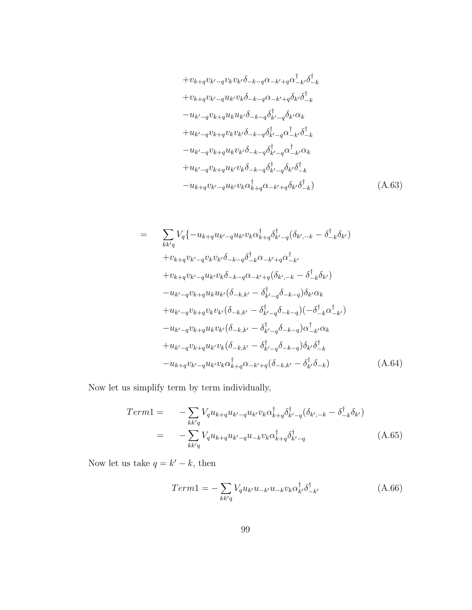$$
+v_{k+q}v_{k'-q}v_kv_{k'}\delta_{-k-q}\alpha_{-k'+q}\alpha_{-k'}^{\dagger}\delta_{-k}^{\dagger}
$$
  
\n
$$
+v_{k+q}v_{k'-q}u_{k'}v_{k}\delta_{-k-q}\alpha_{-k'+q}\delta_{k'}\delta_{-k}^{\dagger}
$$
  
\n
$$
-u_{k'-q}v_{k+q}u_{k}u_{k'}\delta_{-k-q}\delta_{k'-q}^{\dagger}\delta_{k'}\alpha_{k}
$$
  
\n
$$
+u_{k'-q}v_{k+q}v_{k}v_{k'}\delta_{-k-q}\delta_{k'-q}^{\dagger}\alpha_{-k'}^{\dagger}\delta_{-k}^{\dagger}
$$
  
\n
$$
-u_{k'-q}v_{k+q}u_{k}v_{k'}\delta_{-k-q}\delta_{k'-q}^{\dagger}\alpha_{-k'}^{\dagger}\alpha_{k}
$$
  
\n
$$
+u_{k'-q}v_{k+q}u_{k'}v_{k}\delta_{-k-q}\delta_{k'-q}^{\dagger}\delta_{k'}\delta_{-k}^{\dagger}
$$
  
\n
$$
-u_{k+q}v_{k'-q}u_{k'}v_{k}\alpha_{k+q}^{\dagger}\alpha_{-k'+q}\delta_{k'}\delta_{-k}^{\dagger})
$$
 (A.63)

$$
= \sum_{kk'q} V_q \{-u_{k+q}u_{k'-q}u_{k'}v_k\alpha_{k+q}^{\dagger}\delta_{k'-q}^{\dagger}(\delta_{k',-k} - \delta_{-k}^{\dagger}\delta_{k'})
$$
  
\n
$$
+v_{k+q}v_{k'-q}v_{k}v_{k'}\delta_{-k-q}\delta_{-k}^{\dagger}\alpha_{-k'+q}\alpha_{-k'}^{\dagger}
$$
  
\n
$$
+v_{k+q}v_{k'-q}u_{k'}v_k\delta_{-k-q}\alpha_{-k'+q}(\delta_{k',-k} - \delta_{-k}^{\dagger}\delta_{k'})
$$
  
\n
$$
-u_{k'-q}v_{k+q}u_{k}u_{k'}(\delta_{-k,k'} - \delta_{k'-q}^{\dagger}\delta_{-k-q})\delta_{k'}\alpha_{k}
$$
  
\n
$$
+u_{k'-q}v_{k+q}v_{k}v_{k'}(\delta_{-k,k'} - \delta_{k'-q}^{\dagger}\delta_{-k-q})(-\delta_{-k}^{\dagger}\alpha_{-k'}^{\dagger})
$$
  
\n
$$
-u_{k'-q}v_{k+q}u_{k}v_{k'}(\delta_{-k,k'} - \delta_{k'-q}^{\dagger}\delta_{-k-q})\alpha_{-k'}^{\dagger}\alpha_{k}
$$
  
\n
$$
+u_{k'-q}v_{k+q}u_{k'}v_{k}(\delta_{-k,k'} - \delta_{k'-q}^{\dagger}\delta_{-k-q})\delta_{k'}\delta_{-k}^{\dagger}
$$
  
\n
$$
-u_{k+q}v_{k'-q}u_{k'}v_{k}\alpha_{k+q}^{\dagger}\alpha_{-k'+q}(\delta_{-k,k'} - \delta_{k'}^{\dagger}\delta_{-k})
$$
  
\n(A.64)

Now let us simplify term by term individually,

$$
Term1 = -\sum_{kk'q} V_{q} u_{k+q} u_{k'-q} u_{k'} v_{k} \alpha_{k+q}^{\dagger} \delta_{k'-q}^{\dagger} (\delta_{k',-k} - \delta_{-k}^{\dagger} \delta_{k'})
$$
  
= 
$$
-\sum_{kk'q} V_{q} u_{k+q} u_{k'-q} u_{-k} v_{k} \alpha_{k+q}^{\dagger} \delta_{k'-q}^{\dagger}
$$
(A.65)

Now let us take  $q = k' - k$ , then

$$
Term1 = -\sum_{kk'q} V_q u_{k'} u_{-k'} u_{-k} v_k \alpha_{k'}^{\dagger} \delta_{-k'}^{\dagger}
$$
 (A.66)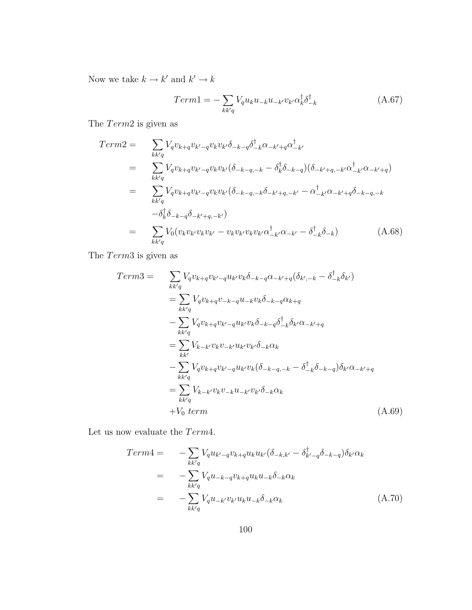Now we take  $k \to k'$  and  $k' \to k$ 

$$
Term1 = -\sum_{kk'q} V_q u_k u_{-k} u_{-k'} v_{k'} \alpha_k^{\dagger} \delta_{-k}^{\dagger}
$$
 (A.67)

The Term2 is given as

$$
Term2 = \sum_{kk'q} V_{q}v_{k+q}v_{k'-q}v_{k}v_{k'}\delta_{-k-q}\delta_{-k}^{\dagger}\alpha_{-k'+q}\alpha_{-k'}^{\dagger}
$$
  
\n
$$
= \sum_{kk'q} V_{q}v_{k+q}v_{k'-q}v_{k}v_{k'}(\delta_{-k-q,-k} - \delta_{k}^{\dagger}\delta_{-k-q})(\delta_{-k'+q,-k'}\alpha_{-k'}^{\dagger}\alpha_{-k'+q})
$$
  
\n
$$
= \sum_{kk'q} V_{q}v_{k+q}v_{k'-q}v_{k}v_{k'}(\delta_{-k-q,-k}\delta_{-k'+q,-k'} - \alpha_{-k'}^{\dagger}\alpha_{-k'+q}\delta_{-k-q,-k}
$$
  
\n
$$
- \delta_{k}^{\dagger}\delta_{-k-q}\delta_{-k'+q,-k'})
$$
  
\n
$$
= \sum_{kk'q} V_{0}(v_{k}v_{k'}v_{k'} - v_{k}v_{k'}v_{k}v_{k'}\alpha_{-k'}^{\dagger}\alpha_{-k'} - \delta_{-k}^{\dagger}\delta_{-k})
$$
 (A.68)

The Term3 is given as

$$
Term3 = \sum_{kk'q} V_q v_{k+q} v_{k'-q} u_{k'} v_k \delta_{-k-q} \alpha_{-k'+q} (\delta_{k',-k} - \delta_{-k}^{\dagger} \delta_{k'})
$$
  
\n
$$
= \sum_{kk'q} V_q v_{k+q} v_{-k-q} u_{-k} v_k \delta_{-k-q} \alpha_{k+q}
$$
  
\n
$$
- \sum_{kk'q} V_q v_{k+q} v_{k'-q} u_{k'} v_k \delta_{-k-q} \delta_{-k}^{\dagger} \delta_{k'} \alpha_{-k'+q}
$$
  
\n
$$
= \sum_{kk'} V_{k-k'} v_k v_{-k'} u_{k'} v_k \delta_{-k} \alpha_k
$$
  
\n
$$
- \sum_{kk'q} V_q v_{k+q} v_{k'-q} u_{k'} v_k (\delta_{-k-q,-k} - \delta_{-k}^{\dagger} \delta_{-k-q}) \delta_{k'} \alpha_{-k'+q}
$$
  
\n
$$
= \sum_{kk'q} V_{k-k'} v_k v_{-k} u_{-k'} v_{k'} \delta_{-k} \alpha_k
$$
  
\n
$$
+ V_0 \text{ term} \qquad (A.69)
$$

Let us now evaluate the  $Term4$ .

$$
Term4 = -\sum_{kk'q} V_q u_{k'-q} v_{k+q} u_k u_{k'} (\delta_{-k,k'} - \delta_{k'-q}^{\dagger} \delta_{-k-q}) \delta_{k'} \alpha_k
$$
  

$$
= -\sum_{kk'q} V_q u_{-k-q} v_{k+q} u_k u_{-k} \delta_{-k} \alpha_k
$$
  

$$
= -\sum_{kk'q} V_q u_{-k'} v_{k'} u_k u_{-k} \delta_{-k} \alpha_k
$$
(A.70)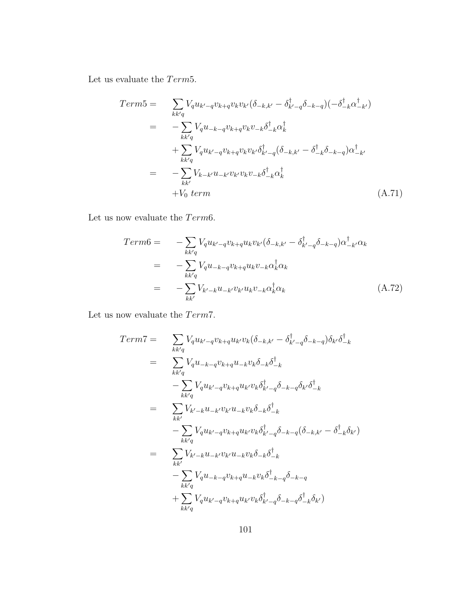Let us evaluate the  $Term 5.$ 

$$
Term5 = \sum_{kk'q} V_{q} u_{k'-q} v_{k+q} v_{k} v_{k'} (\delta_{-k,k'} - \delta_{k'-q}^{\dagger} \delta_{-k-q}) (-\delta_{-k}^{\dagger} \alpha_{-k'}^{\dagger})
$$
  
\n
$$
= -\sum_{kk'q} V_{q} u_{-k-q} v_{k+q} v_{k} v_{-k} \delta_{-k}^{\dagger} \alpha_{k}^{\dagger}
$$
  
\n
$$
+ \sum_{kk'q} V_{q} u_{k'-q} v_{k+q} v_{k} v_{k'} \delta_{k'-q}^{\dagger} (\delta_{-k,k'} - \delta_{-k}^{\dagger} \delta_{-k-q}) \alpha_{-k'}^{\dagger}
$$
  
\n
$$
= -\sum_{kk'} V_{k-k'} u_{-k'} v_{k'} v_{k} v_{-k} \delta_{-k}^{\dagger} \alpha_{k}^{\dagger}
$$
  
\n
$$
+ V_{0} \text{ term} \qquad (A.71)
$$

Let us now evaluate the  $Term6$ .

$$
Term6 = -\sum_{kk'q} V_q u_{k'-q} v_{k+q} u_k v_{k'} (\delta_{-k,k'} - \delta_{k'-q}^{\dagger} \delta_{-k-q}) \alpha_{-k'}^{\dagger} \alpha_k
$$
  

$$
= -\sum_{kk'q} V_q u_{-k-q} v_{k+q} u_k v_{-k} \alpha_k^{\dagger} \alpha_k
$$
  

$$
= -\sum_{kk'} V_{k'-k} u_{-k'} v_{k'} u_k v_{-k} \alpha_k^{\dagger} \alpha_k
$$
(A.72)

Let us now evaluate the  $Term 7.$ 

$$
Term7 = \sum_{kk'q} V_q u_{k'-q} v_{k+q} u_{k'} v_k (\delta_{-k,k'} - \delta_{k'-q}^{\dagger} \delta_{-k-q}) \delta_{k'} \delta_{-k}^{\dagger}
$$
  
\n
$$
= \sum_{kk'q} V_q u_{-k-q} v_{k+q} u_{-k} v_k \delta_{-k} \delta_{-k}^{\dagger}
$$
  
\n
$$
- \sum_{kk'q} V_q u_{k'-q} v_{k+q} u_{k'} v_k \delta_{k'-q}^{\dagger} \delta_{-k-q} \delta_{k'} \delta_{-k}^{\dagger}
$$
  
\n
$$
= \sum_{kk'} V_{k'-k} u_{-k'} v_{k'} u_{-k} v_k \delta_{-k} \delta_{-k}^{\dagger}
$$
  
\n
$$
- \sum_{kk'q} V_q u_{k'-q} v_{k+q} u_{k'} v_k \delta_{k'-q}^{\dagger} \delta_{-k-q} (\delta_{-k,k'} - \delta_{-k}^{\dagger} \delta_{k'})
$$
  
\n
$$
= \sum_{kk'} V_{k'-k} u_{-k'} v_{k'} u_{-k} v_k \delta_{-k} \delta_{-k}^{\dagger}
$$
  
\n
$$
- \sum_{kk'q} V_q u_{-k-q} v_{k+q} u_{-k} v_k \delta_{k'-q}^{\dagger} \delta_{-k-q}
$$
  
\n
$$
+ \sum_{kk'q} V_q u_{k'-q} v_{k+q} u_{k'} v_k \delta_{k'-q}^{\dagger} \delta_{-k-q} \delta_{-k}^{\dagger} \delta_{k'})
$$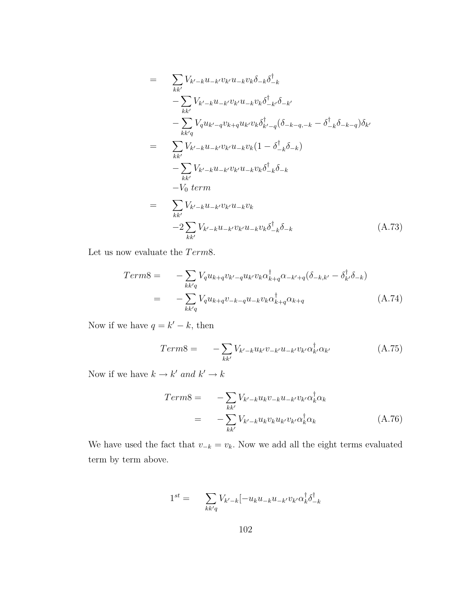$$
= \sum_{kk'} V_{k'-k} u_{-k'} v_{k'} u_{-k} v_k \delta_{-k} \delta_{-k}^{\dagger} \n- \sum_{kk'} V_{k'-k} u_{-k'} v_{k'} u_{-k} v_k \delta_{-k'}^{\dagger} \delta_{-k'} \n- \sum_{kk'q} V_q u_{k'-q} v_{k+q} u_{k'} v_k \delta_{k'-q}^{\dagger} (\delta_{-k-q,-k} - \delta_{-k}^{\dagger} \delta_{-k-q}) \delta_{k'} \n= \sum_{kk'} V_{k'-k} u_{-k'} v_{k'} u_{-k} v_k (1 - \delta_{-k}^{\dagger} \delta_{-k}) \n- \sum_{kk'} V_{k'-k} u_{-k'} v_{k'} u_{-k} v_k \delta_{-k}^{\dagger} \delta_{-k} \n- V_0 \text{ term} \n= \sum_{kk'} V_{k'-k} u_{-k'} v_{k'} u_{-k} v_k
$$
\n
$$
- 2 \sum_{kk'} V_{k'-k} u_{-k'} v_{k'} u_{-k} v_k \delta_{-k}^{\dagger} \delta_{-k}
$$
\n(A.73)

Let us now evaluate the  $Term8.$ 

$$
Term8 = -\sum_{kk'q} V_{q} u_{k+q} v_{k'-q} u_{k'} v_{k} \alpha_{k+q}^{\dagger} \alpha_{-k'+q} (\delta_{-k,k'} - \delta_{k'}^{\dagger} \delta_{-k})
$$
  

$$
= -\sum_{kk'q} V_{q} u_{k+q} v_{-k-q} u_{-k} v_{k} \alpha_{k+q}^{\dagger} \alpha_{k+q}
$$
(A.74)

Now if we have  $q = k' - k$ , then

$$
Term8 = -\sum_{kk'} V_{k'-k} u_{k'} v_{-k'} u_{-k'} v_{k'} \alpha_{k'}^{\dagger} \alpha_{k'} \tag{A.75}
$$

Now if we have  $k \to k'$  and  $k' \to k$ 

$$
Term8 = -\sum_{kk'} V_{k'-k} u_k v_{-k} u_{-k'} v_{k'} \alpha_k^{\dagger} \alpha_k
$$
  

$$
= -\sum_{kk'} V_{k'-k} u_k v_k u_{k'} v_{k'} \alpha_k^{\dagger} \alpha_k
$$
(A.76)

We have used the fact that  $v_{-k} = v_k$ . Now we add all the eight terms evaluated term by term above.

$$
1^{st} = \sum_{kk'q} V_{k'-k}[-u_k u_{-k} u_{-k'} v_{k'} \alpha_k^{\dagger} \delta_{-k}^{\dagger}
$$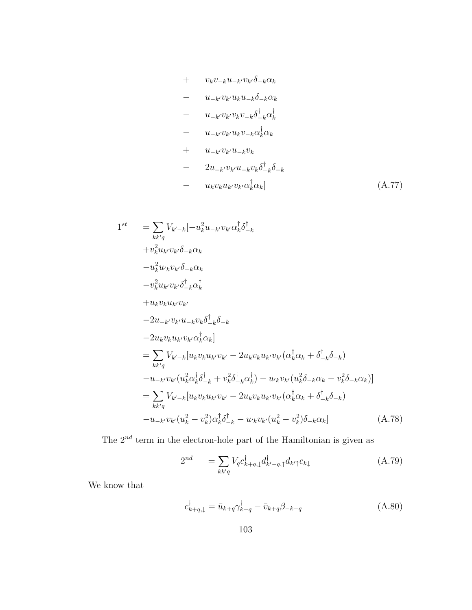+ 
$$
v_k v_{-k} u_{-k'} v_{k'} \delta_{-k} \alpha_k
$$
  
\n-  $u_{-k'} v_{k'} u_k u_{-k} \delta_{-k} \alpha_k$   
\n-  $u_{-k'} v_{k'} v_k v_{-k} \delta_{-k}^{\dagger} \alpha_k^{\dagger}$   
\n-  $u_{-k'} v_{k'} u_k v_{-k} \alpha_k^{\dagger} \alpha_k$   
\n+  $u_{-k'} v_{k'} u_{-k} v_k$   
\n-  $2u_{-k'} v_{k'} u_{-k} v_k \delta_{-k}^{\dagger} \delta_{-k}$   
\n-  $u_k v_k u_{k'} v_{k'} \alpha_k^{\dagger} \alpha_k$  (A.77)

$$
1^{st} = \sum_{kk'q} V_{k'-k}[-u_{k}^{2}u_{-k'}v_{k'}\alpha_{k}^{\dagger}\delta_{-k}^{\dagger}+v_{k}^{2}u_{k'}v_{k'}\delta_{-k}\alpha_{k}-u_{k}^{2}u_{k}v_{k'}\delta_{-k}\alpha_{k}-u_{k}^{2}u_{k'}v_{k'}\delta_{-k}\alpha_{k}-v_{k}^{2}u_{k'}v_{k'}\delta_{-k}^{\dagger}\alpha_{k}+u_{k}v_{k}u_{k'}v_{k'}-2u_{-k'}v_{k'}u_{-k}v_{k}\delta_{-k}^{\dagger}\delta_{-k}-2u_{k}v_{k}u_{k'}v_{k'}\alpha_{k}^{\dagger}\alpha_{k}]= \sum_{kk'q} V_{k'-k}[u_{k}v_{k}u_{k'}v_{k'}-2u_{k}v_{k}u_{k'}v_{k'}(\alpha_{k}^{\dagger}\alpha_{k}+\delta_{-k}^{\dagger}\delta_{-k})-u_{-k'}v_{k'}(u_{k}^{2}\alpha_{k}^{\dagger}\delta_{-k}^{\dagger}+v_{k}^{2}\delta_{-k}^{\dagger}\alpha_{k}^{\dagger})-u_{k}v_{k'}(u_{k}^{2}\delta_{-k}\alpha_{k}-v_{k}^{2}\delta_{-k}\alpha_{k})]= \sum_{kk'q} V_{k'-k}[u_{k}v_{k}u_{k'}v_{k'}-2u_{k}v_{k}u_{k'}v_{k'}(\alpha_{k}^{\dagger}\alpha_{k}+\delta_{-k}^{\dagger}\delta_{-k})-u_{-k'}v_{k'}(u_{k}^{2}-v_{k}^{2})\alpha_{k}^{\dagger}\delta_{-k}^{\dagger}-u_{k}v_{k'}(u_{k}^{2}-v_{k}^{2})\delta_{-k}\alpha_{k}]
$$
(A.78)

The  $2^{nd}$  term in the electron-hole part of the Hamiltonian is given as

$$
2^{nd} = \sum_{kk'q} V_q c_{k+q,1}^\dagger d_{k'-q,1}^\dagger d_{k' \uparrow} c_{k \downarrow}
$$
 (A.79)

We know that

$$
c_{k+q,\downarrow}^{\dagger} = \bar{u}_{k+q} \gamma_{k+q}^{\dagger} - \bar{v}_{k+q} \beta_{-k-q}
$$
\n(A.80)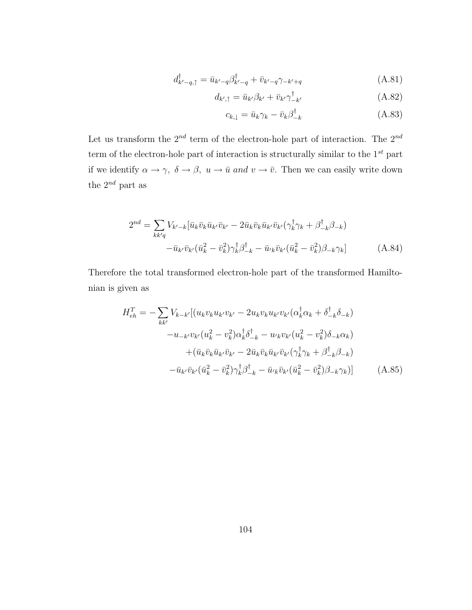$$
d_{k'-q,\uparrow}^{\dagger} = \bar{u}_{k'-q} \beta_{k'-q}^{\dagger} + \bar{v}_{k'-q} \gamma_{-k'+q} \tag{A.81}
$$

$$
d_{k',\uparrow} = \bar{u}_{k'}\beta_{k'} + \bar{v}_{k'}\gamma^{\dagger}_{-k'} \tag{A.82}
$$

$$
c_{k,\downarrow} = \bar{u}_k \gamma_k - \bar{v}_k \beta_{-k}^{\dagger} \tag{A.83}
$$

Let us transform the  $2^{nd}$  term of the electron-hole part of interaction. The  $2^{nd}$ term of the electron-hole part of interaction is structurally similar to the  $1^{st}$  part if we identify  $\alpha \to \gamma$ ,  $\delta \to \beta$ ,  $u \to \bar{u}$  and  $v \to \bar{v}$ . Then we can easily write down the  $2^{nd}$  part as

$$
2^{nd} = \sum_{kk'q} V_{k'-k} [\bar{u}_k \bar{v}_k \bar{u}_{k'} \bar{v}_{k'} - 2 \bar{u}_k \bar{v}_k \bar{u}_{k'} \bar{v}_{k'} (\gamma_k^{\dagger} \gamma_k + \beta_{-k}^{\dagger} \beta_{-k})
$$

$$
- \bar{u}_{k'} \bar{v}_{k'} (\bar{u}_k^2 - \bar{v}_k^2) \gamma_k^{\dagger} \beta_{-k}^{\dagger} - \bar{u}_k \bar{v}_{k'} (\bar{u}_k^2 - \bar{v}_k^2) \beta_{-k} \gamma_k]
$$
(A.84)

Therefore the total transformed electron-hole part of the transformed Hamiltonian is given as

$$
H_{eh}^{T} = -\sum_{kk'} V_{k-k'} [(u_{k}v_{k}u_{k'}v_{k'} - 2u_{k}v_{k}u_{k'}v_{k'}(\alpha_{k}^{\dagger}\alpha_{k} + \delta_{-k}^{\dagger}\delta_{-k})
$$
  

$$
-u_{-k'}v_{k'}(u_{k}^{2} - v_{k}^{2})\alpha_{k}^{\dagger}\delta_{-k}^{\dagger} - u_{k}v_{k'}(u_{k}^{2} - v_{k}^{2})\delta_{-k}\alpha_{k})
$$
  

$$
+ (\bar{u}_{k}\bar{v}_{k}\bar{u}_{k'}\bar{v}_{k'} - 2\bar{u}_{k}\bar{v}_{k}\bar{u}_{k'}\bar{v}_{k'}(\gamma_{k}^{\dagger}\gamma_{k} + \beta_{-k}^{\dagger}\beta_{-k})
$$
  

$$
- \bar{u}_{k'}\bar{v}_{k'}(\bar{u}_{k}^{2} - \bar{v}_{k}^{2})\gamma_{k}^{\dagger}\beta_{-k}^{\dagger} - \bar{u}_{k}\bar{v}_{k'}(\bar{u}_{k}^{2} - \bar{v}_{k}^{2})\beta_{-k}\gamma_{k})]
$$
(A.85)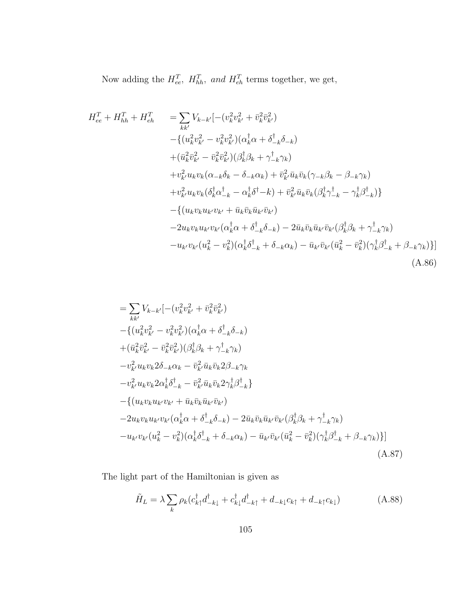Now adding the  $H_{ee}^T$ ,  $H_{hh}^T$ , and  $H_{eh}^T$  terms together, we get,

$$
H_{ee}^{T} + H_{hh}^{T} + H_{eh}^{T} = \sum_{kk'} V_{k-k'}[-(v_{k}^{2}v_{k'}^{2} + \bar{v}_{k}^{2}\bar{v}_{k'}^{2})
$$
  
\n
$$
- \{(u_{k}^{2}v_{k'}^{2} - v_{k}^{2}v_{k'}^{2})(\alpha_{k}^{\dagger}\alpha + \delta_{-k}^{\dagger}\delta_{-k})
$$
  
\n
$$
+ (\bar{u}_{k}^{2}\bar{v}_{k'}^{2} - \bar{v}_{k}^{2}\bar{v}_{k'}^{2})(\beta_{k}^{\dagger}\beta_{k} + \gamma_{-k}^{\dagger}\gamma_{k})
$$
  
\n
$$
+ v_{k'}^{2}u_{k}v_{k}(\alpha_{-k}\delta_{k} - \delta_{-k}\alpha_{k}) + \bar{v}_{k'}^{2}\bar{u}_{k}\bar{v}_{k}(\gamma_{-k}\beta_{k} - \beta_{-k}\gamma_{k})
$$
  
\n
$$
+ v_{k'}^{2}u_{k}v_{k}(\delta_{k}^{\dagger}\alpha_{-k}^{\dagger} - \alpha_{k}^{\dagger}\delta_{-k}) + \bar{v}_{k'}^{2}\bar{u}_{k}\bar{v}_{k}(\beta_{k}^{\dagger}\gamma_{-k}^{\dagger} - \gamma_{k}^{\dagger}\beta_{-k}^{\dagger})\}
$$
  
\n
$$
- \{(u_{k}v_{k}u_{k'}v_{k'} + \bar{u}_{k}\bar{v}_{k}\bar{u}_{k'}\bar{v}_{k'})
$$
  
\n
$$
-2u_{k}v_{k}u_{k'}v_{k'}(\alpha_{k}^{\dagger}\alpha + \delta_{-k}^{\dagger}\delta_{-k}) - 2\bar{u}_{k}\bar{v}_{k}\bar{u}_{k'}\bar{v}_{k'}(\beta_{k}^{\dagger}\beta_{k} + \gamma_{-k}^{\dagger}\gamma_{k})
$$
  
\n
$$
-u_{k'}v_{k'}(u_{k}^{2} - v_{k}^{2})(\alpha_{k}^{\dagger}\delta_{-k}^{\dagger} + \delta_{-k}\alpha_{k}) - \bar{u}_{k'}\bar{v}_{k'}(\bar{u}_{k}^{2} - \bar{v}_{k}^{2})(\gamma_{k}^{\dagger}\beta_{-k}^{\dagger} + \beta_{-k}\gamma_{k})\}
$$

$$
= \sum_{kk'} V_{k-k'}[-(v_{k}^{2}v_{k'}^{2} + \bar{v}_{k}^{2}\bar{v}_{k'}^{2}) - \{(u_{k}^{2}v_{k'}^{2} - v_{k}^{2}v_{k'}^{2})(\alpha_{k}^{\dagger}\alpha + \delta_{-k}^{\dagger}\delta_{-k}) + (\bar{u}_{k}^{2}\bar{v}_{k'}^{2} - \bar{v}_{k}^{2}\bar{v}_{k'}^{2})(\beta_{k}^{\dagger}\beta_{k} + \gamma_{-k}^{\dagger}\gamma_{k}) - v_{k'}^{2}u_{k}v_{k}2\delta_{-k}\alpha_{k} - \bar{v}_{k'}^{2}\bar{u}_{k}\bar{v}_{k}2\beta_{-k}\gamma_{k} - v_{k'}^{2}u_{k}v_{k}2\alpha_{k}^{\dagger}\delta_{-k}^{\dagger} - \bar{v}_{k'}^{2}\bar{u}_{k}\bar{v}_{k}2\gamma_{k}^{\dagger}\beta_{-k}^{\dagger} - \{(u_{k}v_{k}u_{k'}v_{k'} + \bar{u}_{k}\bar{v}_{k}\bar{u}_{k'}\bar{v}_{k'}) - 2u_{k}v_{k}u_{k'}v_{k'}(\alpha_{k}^{\dagger}\alpha + \delta_{-k}^{\dagger}\delta_{-k}) - 2\bar{u}_{k}\bar{v}_{k}\bar{u}_{k'}\bar{v}_{k'}(\beta_{k}^{\dagger}\beta_{k} + \gamma_{-k}^{\dagger}\gamma_{k}) - u_{k'}v_{k'}(u_{k}^{2} - v_{k}^{2})(\alpha_{k}^{\dagger}\delta_{-k}^{\dagger} + \delta_{-k}\alpha_{k}) - \bar{u}_{k'}\bar{v}_{k'}(\bar{u}_{k}^{2} - \bar{v}_{k}^{2})(\gamma_{k}^{\dagger}\beta_{-k}^{\dagger} + \beta_{-k}\gamma_{k})\}\n(A.87)
$$

The light part of the Hamiltonian is given as

$$
\tilde{H}_L = \lambda \sum_k \rho_k (c_{k\uparrow}^\dagger d_{-k\downarrow}^\dagger + c_{k\downarrow}^\dagger d_{-k\uparrow}^\dagger + d_{-k\downarrow} c_{k\uparrow} + d_{-k\uparrow} c_{k\downarrow})
$$
\n(A.88)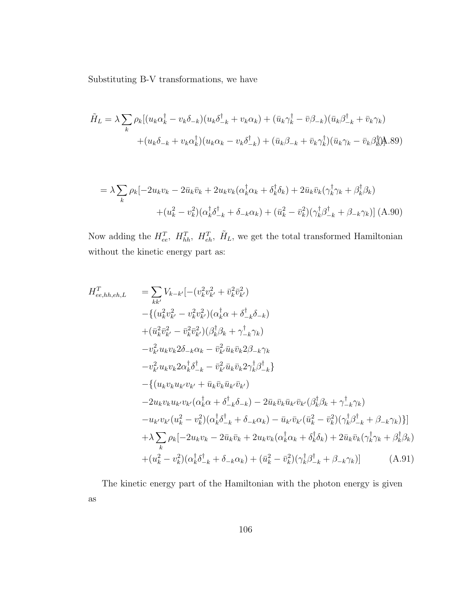Substituting B-V transformations, we have

$$
\tilde{H}_L = \lambda \sum_k \rho_k [(u_k \alpha_k^{\dagger} - v_k \delta_{-k})(u_k \delta_{-k}^{\dagger} + v_k \alpha_k) + (\bar{u}_k \gamma_k^{\dagger} - \bar{v} \beta_{-k})(\bar{u}_k \beta_{-k}^{\dagger} + \bar{v}_k \gamma_k) \n+ (u_k \delta_{-k} + v_k \alpha_k^{\dagger})(u_k \alpha_k - v_k \delta_{-k}^{\dagger}) + (\bar{u}_k \beta_{-k} + \bar{v}_k \gamma_k^{\dagger})(\bar{u}_k \gamma_k - \bar{v}_k \beta_k^{\dagger}) \mathbf{A}.
$$
89)

$$
= \lambda \sum_{k} \rho_k \left[ -2u_k v_k - 2\bar{u}_k \bar{v}_k + 2u_k v_k (\alpha_k^{\dagger} \alpha_k + \delta_k^{\dagger} \delta_k) + 2\bar{u}_k \bar{v}_k (\gamma_k^{\dagger} \gamma_k + \beta_k^{\dagger} \beta_k) \right. \\ \left. + (u_k^2 - v_k^2)(\alpha_k^{\dagger} \delta_{-k}^{\dagger} + \delta_{-k} \alpha_k) + (\bar{u}_k^2 - \bar{v}_k^2)(\gamma_k^{\dagger} \beta_{-k}^{\dagger} + \beta_{-k} \gamma_k) \right] (A.90)
$$

Now adding the  $H_{ee}^T$ ,  $H_{hh}^T$ ,  $H_{eh}^T$ ,  $\tilde{H}_L$ , we get the total transformed Hamiltonian without the kinetic energy part as:

$$
H_{ee,hh,eh,L}^{T} = \sum_{kk'} V_{k-k'}[-(v_{k}^{2}v_{k'}^{2} + \bar{v}_{k}^{2}\bar{v}_{k'}^{2})
$$
  
\n
$$
-\{(u_{k}^{2}v_{k'}^{2} - v_{k}^{2}v_{k'}^{2})(\alpha_{k}^{\dagger}\alpha + \delta_{-k}^{\dagger}\delta_{-k})
$$
  
\n
$$
+(\bar{u}_{k}^{2}\bar{v}_{k'}^{2} - \bar{v}_{k}^{2}\bar{v}_{k'}^{2})(\beta_{k}^{\dagger}\beta_{k} + \gamma_{-k}^{\dagger}\gamma_{k})
$$
  
\n
$$
-v_{k'}^{2}u_{k}v_{k}2\delta_{-k}\alpha_{k} - \bar{v}_{k'}^{2}\bar{u}_{k}\bar{v}_{k}2\beta_{-k}\gamma_{k}
$$
  
\n
$$
-v_{k'}^{2}u_{k}v_{k}2\alpha_{k}^{\dagger}\delta_{-k}^{\dagger} - \bar{v}_{k'}^{2}\bar{u}_{k}\bar{v}_{k}2\gamma_{k}^{\dagger}\beta_{-k}^{\dagger}\}
$$
  
\n
$$
-\{(u_{k}v_{k}u_{k'}v_{k'} + \bar{u}_{k}\bar{v}_{k}\bar{u}_{k'}\bar{v}_{k'})
$$
  
\n
$$
-2u_{k}v_{k}u_{k'}v_{k'}(\alpha_{k}^{\dagger}\alpha + \delta_{-k}^{\dagger}\delta_{-k}) - 2\bar{u}_{k}\bar{v}_{k}\bar{u}_{k'}\bar{v}_{k'}(\beta_{k}^{\dagger}\beta_{k} + \gamma_{-k}^{\dagger}\gamma_{k})
$$
  
\n
$$
-u_{k'}v_{k'}(u_{k}^{2} - v_{k}^{2})(\alpha_{k}^{\dagger}\delta_{-k}^{\dagger} + \delta_{-k}\alpha_{k}) - \bar{u}_{k'}\bar{v}_{k'}(\bar{u}_{k}^{2} - \bar{v}_{k}^{2})(\gamma_{k}^{\dagger}\beta_{-k}^{\dagger} + \beta_{-k}\gamma_{k})\}
$$
  
\n
$$
+ \lambda \sum_{k} \rho_{k}[-2u_{k}v_{k} - 2\bar{u}_{k}\bar{v}_{k} + 2u_{k}v_{k}(\alpha_{k}^{\dagger}\alpha
$$

The kinetic energy part of the Hamiltonian with the photon energy is given as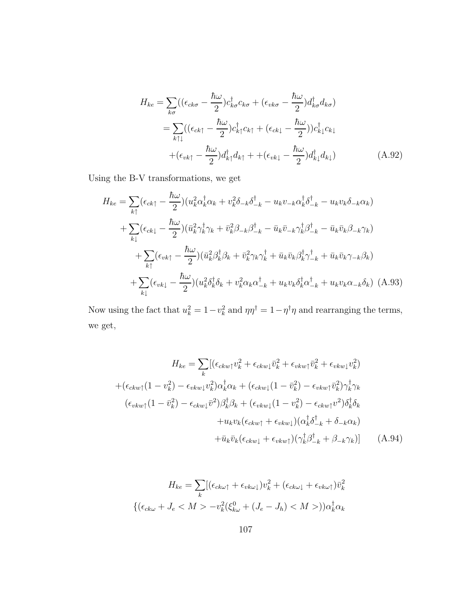$$
H_{ke} = \sum_{k\sigma} ((\epsilon_{ck\sigma} - \frac{\hbar\omega}{2})c_{k\sigma}^{\dagger} c_{k\sigma} + (\epsilon_{vk\sigma} - \frac{\hbar\omega}{2})d_{k\sigma}^{\dagger} d_{k\sigma})
$$
  

$$
= \sum_{k\uparrow\downarrow} ((\epsilon_{ck\uparrow} - \frac{\hbar\omega}{2})c_{k\uparrow}^{\dagger} c_{k\uparrow} + (\epsilon_{ck\downarrow} - \frac{\hbar\omega}{2}))c_{k\downarrow}^{\dagger} c_{k\downarrow}
$$
  

$$
+ (\epsilon_{vk\uparrow} - \frac{\hbar\omega}{2})d_{k\uparrow}^{\dagger} d_{k\uparrow} + + (\epsilon_{vk\downarrow} - \frac{\hbar\omega}{2})d_{k\downarrow}^{\dagger} d_{k\downarrow})
$$
(A.92)

Using the B-V transformations, we get

$$
H_{ke} = \sum_{k\uparrow} (\epsilon_{ck\uparrow} - \frac{\hbar\omega}{2}) (u_k^2 \alpha_k^{\dagger} \alpha_k + v_k^2 \delta_{-k} \delta_{-k}^{\dagger} - u_k v_{-k} \alpha_k^{\dagger} \delta_{-k}^{\dagger} - u_k v_k \delta_{-k} \alpha_k)
$$
  
+ 
$$
\sum_{k\downarrow} (\epsilon_{ck\downarrow} - \frac{\hbar\omega}{2}) (\bar{u}_k^2 \gamma_k^{\dagger} \gamma_k + \bar{v}_k^2 \beta_{-k} \beta_{-k}^{\dagger} - \bar{u}_k \bar{v}_{-k} \gamma_k^{\dagger} \beta_{-k}^{\dagger} - \bar{u}_k \bar{v}_k \beta_{-k} \gamma_k)
$$
  
+ 
$$
\sum_{k\uparrow} (\epsilon_{vk\uparrow} - \frac{\hbar\omega}{2}) (\bar{u}_k^2 \beta_k^{\dagger} \beta_k + \bar{v}_k^2 \gamma_k \gamma_k^{\dagger} + \bar{u}_k \bar{v}_k \beta_k^{\dagger} \gamma_{-k}^{\dagger} + \bar{u}_k \bar{v}_k \gamma_{-k} \beta_k)
$$
  
+ 
$$
\sum_{k\downarrow} (\epsilon_{vk\downarrow} - \frac{\hbar\omega}{2}) (u_k^2 \delta_k^{\dagger} \delta_k + v_k^2 \alpha_k \alpha_{-k}^{\dagger} + u_k v_k \delta_k^{\dagger} \alpha_{-k}^{\dagger} + u_k v_k \alpha_{-k} \delta_k) \quad (A.93)
$$

Now using the fact that  $u_k^2 = 1 - v_k^2$  and  $\eta \eta^{\dagger} = 1 - \eta^{\dagger} \eta$  and rearranging the terms, we get,

$$
H_{ke} = \sum_{k} [(\epsilon_{ckw\uparrow}v_{k}^{2} + \epsilon_{ckw\downarrow}\bar{v}_{k}^{2} + \epsilon_{vkw\uparrow}\bar{v}_{k}^{2} + \epsilon_{vkw\downarrow}v_{k}^{2})
$$

$$
+(\epsilon_{ckw\uparrow}(1 - v_{k}^{2}) - \epsilon_{vkw\downarrow}v_{k}^{2})\alpha_{k}^{\dagger}\alpha_{k} + (\epsilon_{ckw\downarrow}(1 - \bar{v}_{k}^{2}) - \epsilon_{vkw\uparrow}\bar{v}_{k}^{2})\gamma_{k}^{\dagger}\gamma_{k}
$$

$$
(\epsilon_{vkw\uparrow}(1 - \bar{v}_{k}^{2}) - \epsilon_{ckw\downarrow}\bar{v}^{2})\beta_{k}^{\dagger}\beta_{k} + (\epsilon_{vkw\downarrow}(1 - v_{k}^{2}) - \epsilon_{ckw\uparrow}v^{2})\delta_{k}^{\dagger}\delta_{k}
$$

$$
+ u_{k}v_{k}(\epsilon_{ckw\uparrow} + \epsilon_{vkw\downarrow})(\alpha_{k}^{\dagger}\delta_{-k}^{\dagger} + \delta_{-k}\alpha_{k})
$$

$$
+ \bar{u}_{k}\bar{v}_{k}(\epsilon_{ckw\downarrow} + \epsilon_{vkw\uparrow})(\gamma_{k}^{\dagger}\beta_{-k}^{\dagger} + \beta_{-k}\gamma_{k})] \qquad (A.94)
$$

$$
H_{ke} = \sum_{k} [(\epsilon_{ck\omega\uparrow} + \epsilon_{vk\omega\downarrow})v_k^2 + (\epsilon_{ck\omega\downarrow} + \epsilon_{vk\omega\uparrow})\bar{v}_k^2
$$

$$
\{(\epsilon_{ck\omega} + J_e < M > -v_k^2(\xi_{kw}^0 + (J_e - J_h) < M >))\alpha_k^\dagger \alpha_k\}
$$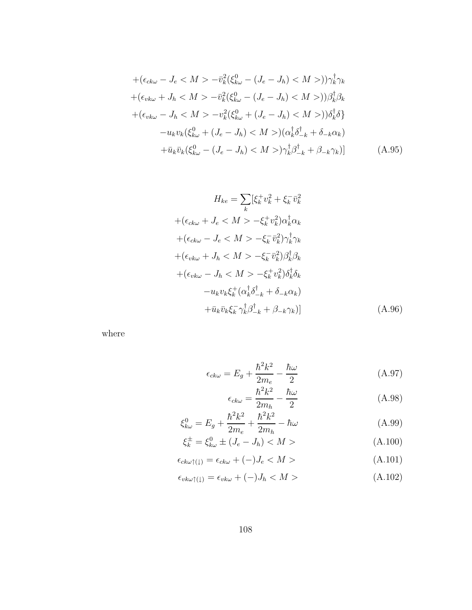$$
+(\epsilon_{ck\omega} - J_e < M > -\bar{v}_k^2 (\xi_{k\omega}^0 - (J_e - J_h) < M >)) \gamma_k^{\dagger} \gamma_k
$$
\n
$$
+(\epsilon_{vk\omega} + J_h < M > -\bar{v}_k^2 (\xi_{k\omega}^0 - (J_e - J_h) < M >)) \beta_k^{\dagger} \beta_k
$$
\n
$$
+(\epsilon_{vk\omega} - J_h < M > -v_k^2 (\xi_{k\omega}^0 + (J_e - J_h) < M >)) \delta_k^{\dagger} \delta \}
$$
\n
$$
-u_k v_k (\xi_{k\omega}^0 + (J_e - J_h) < M >)(\alpha_k^{\dagger} \delta_{-k}^{\dagger} + \delta_{-k} \alpha_k)
$$
\n
$$
+\bar{u}_k \bar{v}_k (\xi_{k\omega}^0 - (J_e - J_h) < M >) \gamma_k^{\dagger} \beta_{-k}^{\dagger} + \beta_{-k} \gamma_k)] \tag{A.95}
$$

$$
H_{ke} = \sum_{k} \left[ \xi_{k}^{+} v_{k}^{2} + \xi_{k}^{-} \bar{v}_{k}^{2} \right]
$$

$$
+ (\epsilon_{ck\omega} + J_{e} < M > -\xi_{k}^{+} v_{k}^{2}) \alpha_{k}^{\dagger} \alpha_{k}
$$

$$
+ (\epsilon_{ck\omega} - J_{e} < M > -\xi_{k}^{-} \bar{v}_{k}^{2}) \gamma_{k}^{\dagger} \gamma_{k}
$$

$$
+ (\epsilon_{vk\omega} + J_{h} < M > -\xi_{k}^{-} \bar{v}_{k}^{2}) \beta_{k}^{\dagger} \beta_{k}
$$

$$
+ (\epsilon_{vk\omega} - J_{h} < M > -\xi_{k}^{+} v_{k}^{2}) \delta_{k}^{\dagger} \delta_{k}
$$

$$
-u_{k} v_{k} \xi_{k}^{+} (\alpha_{k}^{\dagger} \delta_{-k}^{\dagger} + \delta_{-k} \alpha_{k})
$$

$$
+ \bar{u}_{k} \bar{v}_{k} \xi_{k}^{-} \gamma_{k}^{\dagger} \beta_{-k}^{\dagger} + \beta_{-k} \gamma_{k}) ] \tag{A.96}
$$

where

$$
\epsilon_{ck\omega} = E_g + \frac{\hbar^2 k^2}{2m_e} - \frac{\hbar \omega}{2}
$$
\n(A.97)

$$
\epsilon_{ck\omega} = \frac{\hbar^2 k^2}{2m_h} - \frac{\hbar \omega}{2} \tag{A.98}
$$

$$
\xi_{k\omega}^{0} = E_g + \frac{\hbar^2 k^2}{2m_e} + \frac{\hbar^2 k^2}{2m_h} - \hbar\omega
$$
 (A.99)

$$
\xi_k^{\pm} = \xi_{k\omega}^0 \pm (J_e - J_h) < M > \tag{A.100}
$$

$$
\epsilon_{ck\omega\uparrow(\downarrow)} = \epsilon_{ck\omega} + (-)J_e < M > \tag{A.101}
$$

$$
\epsilon_{vk\omega\uparrow(\downarrow)} = \epsilon_{vk\omega} + (-)J_h < M > \tag{A.102}
$$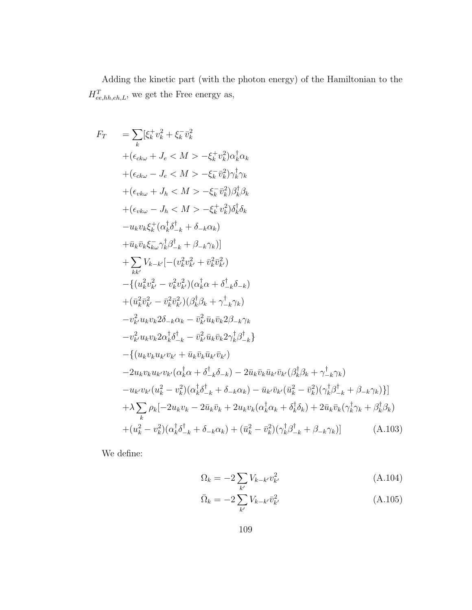Adding the kinetic part (with the photon energy) of the Hamiltonian to the  $H_{ee, hh, eh,L}^{T}$ , we get the Free energy as,

$$
F_{T} = \sum_{k} [\xi_{k}^{+} v_{k}^{2} + \xi_{k}^{-} \bar{v}_{k}^{2} + (\epsilon_{ck\omega} + J_{e} < M > -\xi_{k}^{+} v_{k}^{2}) \alpha_{k}^{\dagger} \alpha_{k} + (\epsilon_{ck\omega} - J_{e} < M > -\xi_{k}^{-} \bar{v}_{k}^{2}) \gamma_{k}^{\dagger} \gamma_{k} + (\epsilon_{vk\omega} + J_{h} < M > -\xi_{k}^{-} \bar{v}_{k}^{2}) \beta_{k}^{\dagger} \beta_{k} + (\epsilon_{vk\omega} - J_{h} < M > -\xi_{k}^{+} v_{k}^{2}) \delta_{k}^{\dagger} \delta_{k} - u_{k} v_{k} \xi_{k}^{\dagger} (\alpha_{k}^{\dagger} \delta_{-k}^{\dagger} + \delta_{-k} \alpha_{k}) + \bar{u}_{k} \bar{v}_{k} \xi_{k\omega}^{\dagger} \gamma_{k}^{\dagger} \beta_{-k}^{\dagger} + \beta_{-k} \gamma_{k})] + \sum_{kk'} V_{k-k'} [-(v_{k}^{2} v_{k'}^{2} + \bar{v}_{k}^{2} \bar{v}_{k'}^{2}) - \{ (u_{k}^{2} v_{k'}^{2} - v_{k}^{2} v_{k'}^{2}) (\alpha_{k}^{\dagger} \alpha + \delta_{-k}^{\dagger} \delta_{-k}) + (\bar{u}_{k}^{2} \bar{v}_{k'}^{2} - \bar{v}_{k}^{2} \bar{v}_{k'}^{2}) (\alpha_{k}^{\dagger} \alpha + \delta_{-k}^{\dagger} \delta_{-k}) + (u_{k}^{2} v_{k'}^{2} - \bar{v}_{k}^{2} \bar{v}_{k'}^{2}) (\beta_{k}^{\dagger} \beta_{k} + \gamma_{-k}^{\dagger} \gamma_{k}) - v_{k'}^{2} u_{k} v_{k} 2 \delta_{-k} \alpha_{k} - \bar{v}_{k'}^{2} \bar{u}_{k} \bar{v}_{k} 2 \beta_{-k} \gamma_{k} - v_{k'}^{2} u_{k} v_{k} 2 \delta_{-k} \alpha_{k} - \bar{v}_{k'}^{2} \bar{u}_{k} \bar{v}_{k} 2 \beta_{-k} \gamma_{k} <
$$

We define:

$$
\Omega_k = -2 \sum_{k'} V_{k-k'} v_{k'}^2 \tag{A.104}
$$

$$
\bar{\Omega}_k = -2 \sum_{k'}^{\infty} V_{k-k'} \bar{v}_{k'}^2
$$
\n(A.105)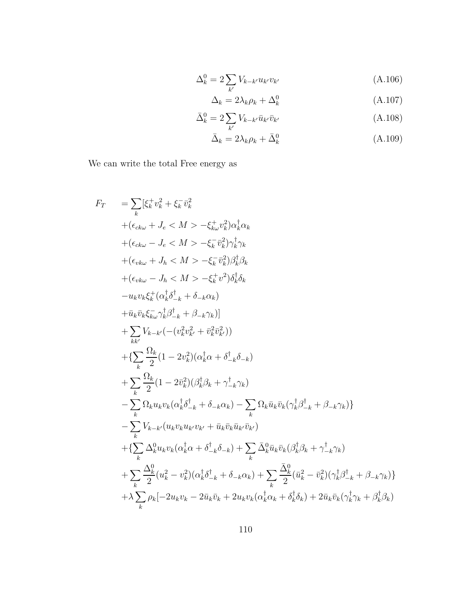$$
\Delta_k^0 = 2 \sum_{k'} V_{k-k'} u_{k'} v_{k'} \tag{A.106}
$$

$$
\Delta_k = 2\lambda_k \rho_k + \Delta_k^0 \tag{A.107}
$$

$$
\bar{\Delta}_k^0 = 2 \sum_{k'} V_{k-k'} \bar{u}_{k'} \bar{v}_{k'} \tag{A.108}
$$

$$
\bar{\Delta}_k = 2\lambda_k \rho_k + \bar{\Delta}_k^0 \tag{A.109}
$$

We can write the total Free energy as

$$
F_T = \sum_{k} [\xi_k^+ v_k^2 + \xi_k^- \bar{v}_k^2 + \xi_k^- \bar{v}_k^2] \Delta_k^{\dagger} \Delta_k
$$
  
+  $(\epsilon_{ck\omega} - J_e < M > -\xi_k^+ \bar{v}_k^2) \Delta_k^{\dagger} \Delta_k$   
+  $(\epsilon_{ck\omega} - J_e < M > -\xi_k^- \bar{v}_k^2) \beta_k^{\dagger} \beta_k$   
+  $(\epsilon_{vk\omega} - J_h < M > -\xi_k^+ \bar{v}_k^2) \beta_k^{\dagger} \beta_k$   
+  $(\epsilon_{vk\omega} - J_h < M > -\xi_k^+ \bar{v}_k^2) \delta_k^{\dagger} \delta_k$   
-  $u_k v_k \xi_k^{\dagger} (\alpha_k^{\dagger} \delta_{-k}^{\dagger} + \delta_{-k} \alpha_k)$   
+  $\bar{u}_k \bar{v}_k \xi_{k\omega} \gamma_k^{\dagger} \beta_{-k}^{\dagger} + \beta_{-k} \gamma_k)$ ]  
+  $\sum_{kk'} V_{k-k'} (-(v_k^2 v_{k'}^2 + \bar{v}_k^2 \bar{v}_{k'}^2))$   
+  $\{\sum_k \frac{\Omega_k}{2} (1 - 2v_k^2) (\alpha_k^{\dagger} \alpha + \delta_{-k}^{\dagger} \delta_{-k})$   
+  $\sum_k \frac{\Omega_k}{2} (1 - 2\bar{v}_k^2) (\beta_k^{\dagger} \beta_k + \gamma_{-k}^{\dagger} \gamma_k)$   
-  $\sum_k \Omega_k u_k v_k (\alpha_k^{\dagger} \delta_{-k}^{\dagger} + \delta_{-k} \alpha_k) - \sum_k \Omega_k \bar{u}_k \bar{v}_k (\gamma_k^{\dagger} \beta_{-k}^{\dagger} + \beta_{-k} \gamma_k)$   
-  $\sum_k V_{k-k'} (u_k v_k u_{k'} v_{k'} + \bar{u}_k \bar{v}_k \bar{u}_{k'} \bar{v}_{k'})$   
+  $\{\sum_k \Delta_k^0 u_k v_k (\alpha_k^{\dagger} \alpha + \delta_{-k}^{\dagger} \delta_{-k}) + \sum_k \bar{\Delta}_k^0 \bar{u}_k \bar{v}_k (\beta_k^{\dagger} \beta_k + \gamma_{-k}^{\dagger} \gamma_k$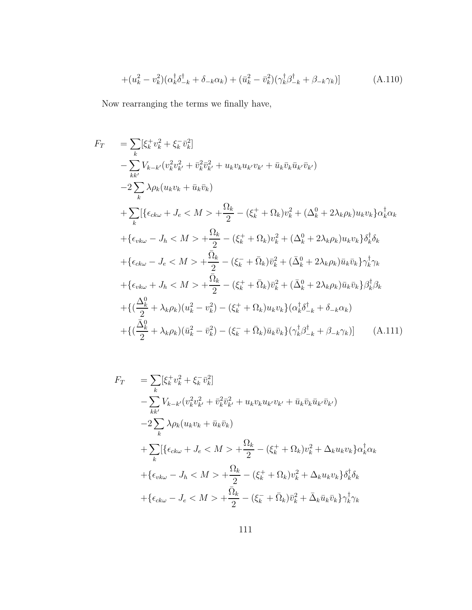$$
+(u_k^2 - v_k^2)(\alpha_k^{\dagger} \delta_{-k}^{\dagger} + \delta_{-k} \alpha_k) + (\bar{u}_k^2 - \bar{v}_k^2)(\gamma_k^{\dagger} \beta_{-k}^{\dagger} + \beta_{-k} \gamma_k)] \tag{A.110}
$$

Now rearranging the terms we finally have,

$$
F_{T} = \sum_{k} [\xi_{k}^{+} v_{k}^{2} + \xi_{k}^{-} \bar{v}_{k}^{2}]
$$
  
\n
$$
- \sum_{kk'} V_{k-k'} (v_{k}^{2} v_{k'}^{2} + \bar{v}_{k}^{2} \bar{v}_{k'}^{2} + u_{k} v_{k} u_{k'} v_{k'} + \bar{u}_{k} \bar{v}_{k} \bar{u}_{k'} \bar{v}_{k'})
$$
  
\n
$$
- 2 \sum_{k} \lambda \rho_{k} (u_{k} v_{k} + \bar{u}_{k} \bar{v}_{k})
$$
  
\n
$$
+ \sum_{k} [ \{ \epsilon_{ck\omega} + J_{e} < M > + \frac{\Omega_{k}}{2} - (\xi_{k}^{+} + \Omega_{k}) v_{k}^{2} + (\Delta_{k}^{0} + 2 \lambda_{k} \rho_{k}) u_{k} v_{k} \} \alpha_{k}^{\dagger} \alpha_{k}
$$
  
\n
$$
+ \{ \epsilon_{vk\omega} - J_{h} < M > + \frac{\Omega_{k}}{2} - (\xi_{k}^{+} + \Omega_{k}) v_{k}^{2} + (\Delta_{k}^{0} + 2 \lambda_{k} \rho_{k}) u_{k} v_{k} \} \delta_{k}^{\dagger} \delta_{k}
$$
  
\n
$$
+ \{ \epsilon_{ck\omega} - J_{e} < M > + \frac{\bar{\Omega}_{k}}{2} - (\xi_{k}^{-} + \bar{\Omega}_{k}) \bar{v}_{k}^{2} + (\bar{\Delta}_{k}^{0} + 2 \lambda_{k} \rho_{k}) \bar{u}_{k} \bar{v}_{k} \} \gamma_{k}^{\dagger} \gamma_{k}
$$
  
\n
$$
+ \{ \epsilon_{vk\omega} + J_{h} < M > + \frac{\bar{\Omega}_{k}}{2} - (\xi_{k}^{+} + \bar{\Omega}_{k}) \bar{v}_{k}^{2} + (\bar{\Delta}_{k}^{0} + 2 \lambda_{k} \rho_{k}) \bar{u}_{k} \bar{v}_{k} \} \beta_{k}^{\dagger} \beta_{k}
$$
  
\n
$$
+ \{ (\frac{\Delta_{k}^{0}}{2} + \lambda_{k} \rho_{k}) (u_{k}^{2} - v_{k}^{2}) - (\xi_{k}^{+} + \Omega_{k}) u_{k} v_{k} \} (\alpha_{k}^{\dagger
$$

$$
F_T = \sum_{k} \left[ \xi_k^+ v_k^2 + \xi_k^- \bar{v}_k^2 \right]
$$
  
\n
$$
- \sum_{kk'} V_{k-k'} (v_k^2 v_{k'}^2 + \bar{v}_k^2 \bar{v}_{k'}^2 + u_k v_k u_{k'} v_{k'} + \bar{u}_k \bar{v}_k \bar{u}_{k'} \bar{v}_{k'})
$$
  
\n
$$
- 2 \sum_{k} \lambda \rho_k (u_k v_k + \bar{u}_k \bar{v}_k)
$$
  
\n
$$
+ \sum_{k} \left[ \{ \epsilon_{ck\omega} + J_e < M > + \frac{\Omega_k}{2} - (\xi_k^+ + \Omega_k) v_k^2 + \Delta_k u_k v_k \} \alpha_k^\dagger \alpha_k \right]
$$
  
\n
$$
+ \{ \epsilon_{vk\omega} - J_h < M > + \frac{\Omega_k}{2} - (\xi_k^+ + \Omega_k) v_k^2 + \Delta_k u_k v_k \} \delta_k^\dagger \delta_k
$$
  
\n
$$
+ \{ \epsilon_{ck\omega} - J_e < M > + \frac{\bar{\Omega}_k}{2} - (\xi_k^- + \bar{\Omega}_k) \bar{v}_k^2 + \bar{\Delta}_k \bar{u}_k \bar{v}_k \} \gamma_k^\dagger \gamma_k
$$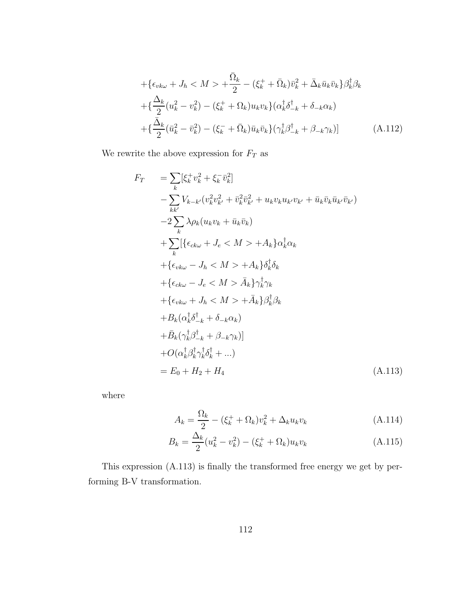$$
+\{\epsilon_{vk\omega} + J_h < M > +\frac{\bar{\Omega}_k}{2} - (\xi_k^+ + \bar{\Omega}_k)\bar{v}_k^2 + \bar{\Delta}_k\bar{u}_k\bar{v}_k\}\beta_k^\dagger\beta_k
$$
\n
$$
+\{\frac{\Delta_k}{2}(u_k^2 - v_k^2) - (\xi_k^+ + \Omega_k)u_kv_k\}(\alpha_k^\dagger\delta_{-k}^\dagger + \delta_{-k}\alpha_k)
$$
\n
$$
+\{\frac{\bar{\Delta}_k}{2}(\bar{u}_k^2 - \bar{v}_k^2) - (\xi_k^- + \bar{\Omega}_k)\bar{u}_k\bar{v}_k\}(\gamma_k^\dagger\beta_{-k}^\dagger + \beta_{-k}\gamma_k)]
$$
\n(A.112)

We rewrite the above expression for  ${\cal F}_T$  as

$$
F_T = \sum_{k} [\xi_k^+ v_k^2 + \xi_k^- \bar{v}_k^2]
$$
  
\n
$$
- \sum_{kk'} V_{k-k'} (v_k^2 v_{k'}^2 + \bar{v}_k^2 \bar{v}_{k'}^2 + u_k v_k u_{k'} v_{k'} + \bar{u}_k \bar{v}_k \bar{u}_{k'} \bar{v}_{k'})
$$
  
\n
$$
- 2 \sum_{k} \lambda \rho_k (u_k v_k + \bar{u}_k \bar{v}_k)
$$
  
\n
$$
+ \sum_{k} [\{\epsilon_{ck\omega} + J_e < M > + A_k\} \alpha_k^{\dagger} \alpha_k
$$
  
\n
$$
+ \{\epsilon_{vk\omega} - J_h < M > + A_k\} \delta_k^{\dagger} \delta_k
$$
  
\n
$$
+ \{\epsilon_{ck\omega} - J_e < M > \bar{A}_k\} \gamma_k^{\dagger} \gamma_k
$$
  
\n
$$
+ \{\epsilon_{vk\omega} + J_h < M > + \bar{A}_k\} \beta_k^{\dagger} \beta_k
$$
  
\n
$$
+ B_k (\alpha_k^{\dagger} \delta_{-k}^{\dagger} + \delta_{-k} \alpha_k)
$$
  
\n
$$
+ \bar{B}_k (\gamma_k^{\dagger} \beta_{-k}^{\dagger} + \beta_{-k} \gamma_k)]
$$
  
\n
$$
+ O(\alpha_k^{\dagger} \beta_k^{\dagger} \gamma_k^{\dagger} \delta_k^{\dagger} + ...)
$$
  
\n
$$
= E_0 + H_2 + H_4
$$
 (A.113)

where

$$
A_k = \frac{\Omega_k}{2} - (\xi_k^+ + \Omega_k)v_k^2 + \Delta_k u_k v_k
$$
 (A.114)

$$
B_k = \frac{\Delta_k}{2} (u_k^2 - v_k^2) - (\xi_k^+ + \Omega_k) u_k v_k
$$
 (A.115)

This expression (A.113) is finally the transformed free energy we get by performing B-V transformation.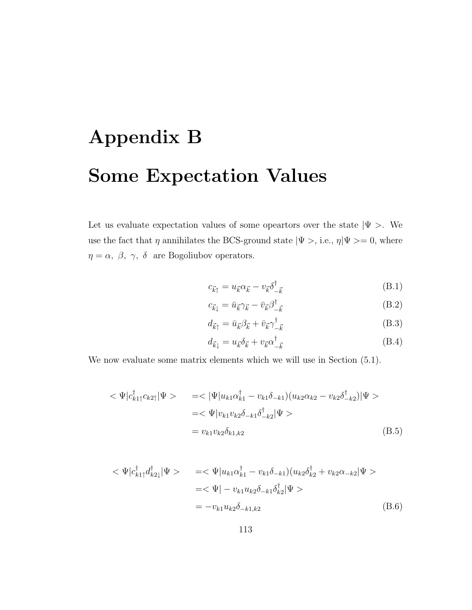## Appendix B Some Expectation Values

Let us evaluate expectation values of some opeartors over the state  $|\Psi\rangle$ . We use the fact that  $\eta$  annihilates the BCS-ground state  $|\Psi>$ , i.e.,  $\eta|\Psi>=0$ , where  $\eta=\alpha,~\beta,~\gamma,~\delta~$  are Bogoliubov operators.

$$
c_{\vec{k}\uparrow} = u_{\vec{k}} \alpha_{\vec{k}} - v_{\vec{k}} \delta^{\dagger}_{-\vec{k}} \tag{B.1}
$$

$$
c_{\vec{k}\downarrow} = \bar{u}_{\vec{k}} \gamma_{\vec{k}} - \bar{v}_{\vec{k}} \beta^{\dagger}_{-\vec{k}} \tag{B.2}
$$

$$
d_{\vec{k}\uparrow} = \bar{u}_{\vec{k}} \beta_{\vec{k}} + \bar{v}_{\vec{k}} \gamma^{\dagger}_{-\vec{k}} \tag{B.3}
$$

$$
d_{\vec{k}\downarrow} = u_{\vec{k}} \delta_{\vec{k}} + v_{\vec{k}} \alpha_{-\vec{k}}^{\dagger} \tag{B.4}
$$

We now evaluate some matrix elements which we will use in Section (5.1).

$$
\langle \Psi | c_{k1\uparrow}^{\dagger} c_{k2\uparrow} | \Psi \rangle = \langle |\Psi | u_{k1} \alpha_{k1}^{\dagger} - v_{k1} \delta_{-k1} ) (u_{k2} \alpha_{k2} - v_{k2} \delta_{-k2}^{\dagger}) | \Psi \rangle
$$
  
=\langle \Psi | v\_{k1} v\_{k2} \delta\_{-k1} \delta\_{-k2}^{\dagger} | \Psi \rangle  
= v\_{k1} v\_{k2} \delta\_{k1,k2} \tag{B.5}

$$
\langle \Psi | c_{k1\uparrow}^{\dagger} d_{k2\downarrow}^{\dagger} | \Psi \rangle = \langle \Psi | u_{k1} \alpha_{k1}^{\dagger} - v_{k1} \delta_{-k1} (u_{k2} \delta_{k2}^{\dagger} + v_{k2} \alpha_{-k2} | \Psi \rangle
$$
  
=\langle \Psi | - v\_{k1} u\_{k2} \delta\_{-k1} \delta\_{k2}^{\dagger} | \Psi \rangle  
= -v\_{k1} u\_{k2} \delta\_{-k1,k2} (B.6)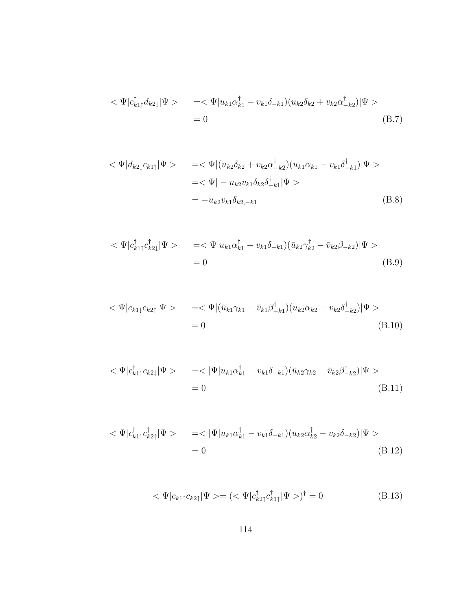$$
\langle \Psi | c_{k1\uparrow}^{\dagger} d_{k2\downarrow} | \Psi \rangle = \langle \Psi | u_{k1} \alpha_{k1}^{\dagger} - v_{k1} \delta_{-k1} ) (u_{k2} \delta_{k2} + v_{k2} \alpha_{-k2}^{\dagger}) | \Psi \rangle
$$
  
= 0 (B.7)

$$
\langle \Psi | d_{k2} c_{k1\uparrow} | \Psi \rangle = \langle \Psi | (u_{k2} \delta_{k2} + v_{k2} \alpha_{-k2}^{\dagger}) (u_{k1} \alpha_{k1} - v_{k1} \delta_{-k1}^{\dagger}) | \Psi \rangle
$$
  
=\langle \Psi | - u\_{k2} v\_{k1} \delta\_{k2} \delta\_{-k1}^{\dagger} | \Psi \rangle  
= -u\_{k2} v\_{k1} \delta\_{k2, -k1} (B.8)

$$
\langle \Psi | c_{k1\uparrow}^{\dagger} c_{k2\downarrow}^{\dagger} | \Psi \rangle = \langle \Psi | u_{k1} \alpha_{k1}^{\dagger} - v_{k1} \delta_{-k1} ) (\bar{u}_{k2} \gamma_{k2}^{\dagger} - \bar{v}_{k2} \beta_{-k2} ) | \Psi \rangle
$$
  
= 0 (B.9)

$$
<\Psi|c_{k1}c_{k2\uparrow}|\Psi> = <\Psi|(\bar{u}_{k1}\gamma_{k1} - \bar{v}_{k1}\beta^{\dagger}_{-k1})(u_{k2}\alpha_{k2} - v_{k2}\delta^{\dagger}_{-k2})|\Psi>
$$
  
= 0 (B.10)

$$
\langle \Psi | c_{k1}^{\dagger} c_{k2\downarrow} | \Psi \rangle = \langle |\Psi| u_{k1} \alpha_{k1}^{\dagger} - v_{k1} \delta_{-k1} ( \bar{u}_{k2} \gamma_{k2} - \bar{v}_{k2} \beta_{-k2}^{\dagger} ) | \Psi \rangle
$$
  
= 0 (B.11)

$$
<\Psi|c_{k1\uparrow}^{\dagger}c_{k2\uparrow}^{\dagger}|\Psi> = <|\Psi|u_{k1}\alpha_{k1}^{\dagger} - v_{k1}\delta_{-k1})(u_{k2}\alpha_{k2}^{\dagger} - v_{k2}\delta_{-k2})|\Psi>
$$
  
= 0 (B.12)

$$
\langle \Psi | c_{k1\uparrow} c_{k2\uparrow} | \Psi \rangle = \langle \langle \Psi | c_{k2\uparrow}^{\dagger} c_{k1\uparrow}^{\dagger} | \Psi \rangle \rangle^{\dagger} = 0 \tag{B.13}
$$